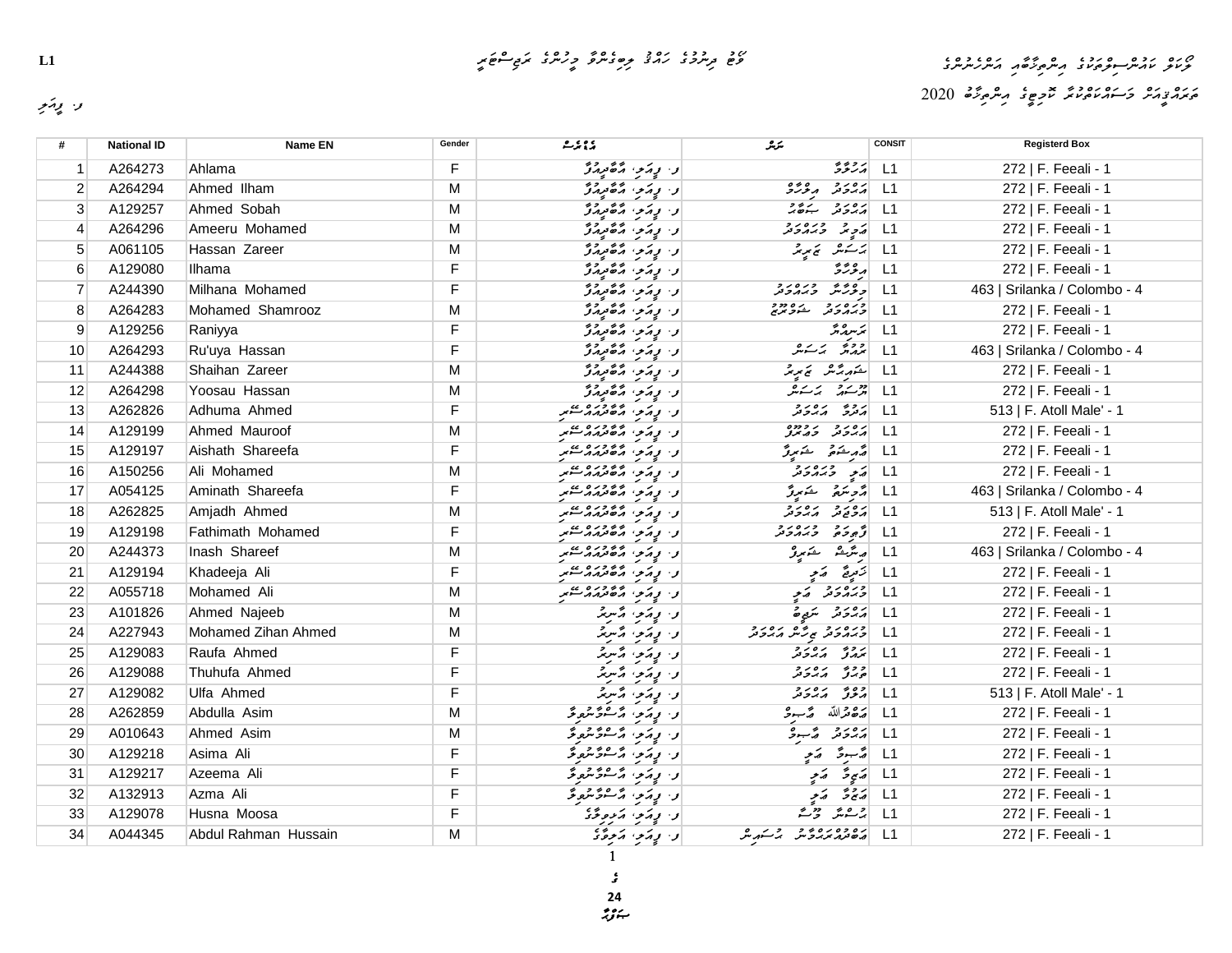ى <sub>م</sub>ەتىر

| #  | <b>National ID</b> | <b>Name EN</b>       | Gender | ننابيث                           | ىترىژ                                                                                                                         | <b>CONSIT</b> | <b>Registerd Box</b>         |
|----|--------------------|----------------------|--------|----------------------------------|-------------------------------------------------------------------------------------------------------------------------------|---------------|------------------------------|
| -1 | A264273            | Ahlama               | F      | والمحمد والمتحفيدة               | 5327                                                                                                                          | L1            | 272   F. Feeali - 1          |
| 2  | A264294            | Ahmed Ilham          | M      | اور ومكور مصرمة                  | $3.3.2$ $-2.5.2.7$ L1                                                                                                         |               | 272   F. Feeali - 1          |
| 3  | A129257            | Ahmed Sobah          | М      | والمحامرة المتقافية في           | $222 - 222$ $-1$                                                                                                              |               | 272   F. Feeali - 1          |
| 4  | A264296            | Ameeru Mohamed       | M      | اوا ومزوا مُتَقْدِمُ وَمُحَمَّدَ | L1 <i>مَجِعْد وْبَدْوْمْ</i> د                                                                                                |               | 272   F. Feeali - 1          |
| 5  | A061105            | Hassan Zareer        | M      | اوا ومكوا مكافيماؤ               | L1   پرسترش تج بریز                                                                                                           |               | 272   F. Feeali - 1          |
| 6  | A129080            | Ilhama               | F      | اور ومكور مصر ومحددة             | $5.53 \times 11$                                                                                                              |               | 272   F. Feeali - 1          |
|    | A244390            | Milhana Mohamed      | F      | اوا ومكوا مكافيماو               | L1 دورٌ پژورور د                                                                                                              |               | 463   Srilanka / Colombo - 4 |
| 8  | A264283            | Mohamed Shamrooz     | M      | او ، وٍ مَرَى الرَّحَّة مِهْرٌوٌ | وره رو در دور<br>حدمات شویری                                                                                                  | L1            | 272   F. Feeali - 1          |
| 9  | A129256            | Raniyya              | F      | اور ومكور مُتَقْوِمُ وَمُحَمَّدَ | $52 - 11$                                                                                                                     |               | 272   F. Feeali - 1          |
| 10 | A264293            | Ru'uya Hassan        | F      | وا وٍ مَرَى المُقْوَالِينَ       | برودي برسكس                                                                                                                   | L1            | 463   Srilanka / Colombo - 4 |
| 11 | A244388            | Shaihan Zareer       | M      | اوا ومكوا مُقْعِمُوْ             | L1   س <i>تەمەنگىرى ئى بىرى</i> تر                                                                                            |               | 272   F. Feeali - 1          |
| 12 | A264298            | Yoosau Hassan        | M      | او. وٍ مَرَى مُتَّامِمُوْ        | $222$ $27$ $-11$                                                                                                              |               | 272   F. Feeali - 1          |
| 13 | A262826            | Adhuma Ahmed         | F      | و. ومر والمتحدد من               | L1 <i>مُحَرَّدٌ مُ</i> حَرَّمَ <i>رٌ</i>                                                                                      |               | 513   F. Atoll Male' - 1     |
| 14 | A129199            | Ahmed Mauroof        | M      | و و مرکز مقدم من                 | $\frac{1}{2}$ $\frac{1}{2}$ $\frac{1}{2}$ $\frac{1}{2}$ $\frac{1}{2}$ $\frac{1}{2}$ $\frac{1}{2}$ $\frac{1}{2}$ $\frac{1}{2}$ |               | 272   F. Feeali - 1          |
| 15 | A129197            | Aishath Shareefa     | F      | وسوم والمقادرة عالم              | L1 مەم ئىشمىر ئىكتىمىرتى                                                                                                      |               | 272   F. Feeali - 1          |
| 16 | A150256            | Ali Mohamed          | M      | و و مرد مقدم مسلم                | L1 <i>حَرِّ وَبَهُوَوْدُ</i>                                                                                                  |               | 272   F. Feeali - 1          |
| 17 | A054125            | Aminath Shareefa     | F      | وسوم والمقصر المعادية            | L1 أَمُّ حِسَنَةً شَمَّ مِنْ                                                                                                  |               | 463   Srilanka / Colombo - 4 |
| 18 | A262825            | Amjadh Ahmed         | M      | و . ومرکز ، مگاه مرده میگیر      | L1 <i>مَرْوَيْ مَدْ دَوْمَ</i> رْ                                                                                             |               | 513   F. Atoll Male' - 1     |
| 19 | A129198            | Fathimath Mohamed    | F      | و وړې ره دره په                  | L1 أَوْجِرَةَ وَبَرُودَتَرَ                                                                                                   |               | 272   F. Feeali - 1          |
| 20 | A244373            | Inash Shareef        | M      | او وركو المعصم من الم            | L1 مەمىرىش خىمب <i>و</i> ر                                                                                                    |               | 463   Srilanka / Colombo - 4 |
| 21 | A129194            | Khadeeja Ali         | F      | و . و مرکز ، مصر مده مسلم        | أرَّمَرِيَّ - مَدَّمِرَ                                                                                                       | L1            | 272   F. Feeali - 1          |
| 22 | A055718            | Mohamed Ali          | M      | و وركو المقرر و علم              | L1 ديرورو کړې                                                                                                                 |               | 272   F. Feeali - 1          |
| 23 | A101826            | Ahmed Najeeb         | M      | اور ويرَمو، برهير                | L1 <i>أَبْرُدُونَرْ سَرْبِي هُ</i>                                                                                            |               | 272   F. Feeali - 1          |
| 24 | A227943            | Mohamed Zihan Ahmed  | M      | اور ومكور محسن                   | L1   دېرورو پېڅنگر ډېرونر                                                                                                     |               | 272   F. Feeali - 1          |
| 25 | A129083            | Raufa Ahmed          | F      | وسوٍ مَرَضٍ المُسِرَمُ           | بروه برورد                                                                                                                    | L1            | 272   F. Feeali - 1          |
| 26 | A129088            | Thuhufa Ahmed        | F      | الأرا ومكور مرسور                |                                                                                                                               |               | 272   F. Feeali - 1          |
| 27 | A129082            | <b>Ulfa Ahmed</b>    | F      | الأرا ومكافر المسرير             | L1 <i>محوق م</i> کرونر                                                                                                        |               | 513   F. Atoll Male' - 1     |
| 28 | A262859            | Abdulla Asim         | M      | ن وٍمَنِ مُسْتَوَسُومٌ           | L1 الصَّاهَ مِنْ اللَّهُ مَنْ سَبِّرَةً                                                                                       |               | 272   F. Feeali - 1          |
| 29 | A010643            | Ahmed Asim           | M      | ن پەيز ، ئەسەئەتھەتى             | L1 <i>مُدْدَمْ</i> مُسِيرُ                                                                                                    |               | 272   F. Feeali - 1          |
| 30 | A129218            | Asima Ali            | F      | ن يەمۇر مەسۇمھىد                 | L1   م <sup>ح</sup> سبرقت م <i>ح</i> مة ح                                                                                     |               | 272   F. Feeali - 1          |
| 31 | A129217            | Azeema Ali           | F      | ن يەترىكى ئەسترىتموتى            | ړې په کام                                                                                                                     | L1            | 272   F. Feeali - 1          |
| 32 | A132913            | Azma Ali             | F      | اور ومكر المر المحافظ المحافظ    | L1 <i>حَدَّةُ حَ</i> مِ                                                                                                       |               | 272   F. Feeali - 1          |
| 33 | A129078            | Husna Moosa          | F      | اوس وكمنص كمنع وعجي              | L1 إير شهرٌ وَسَدٌ                                                                                                            |               | 272   F. Feeali - 1          |
| 34 | A044345            | Abdul Rahman Hussain | M      | اوس وترمز المروري                | L1 كەھ <i>ەر مەرەبىر بى</i> سەر ش                                                                                             |               | 272   F. Feeali - 1          |

*1 ގެ*

**24**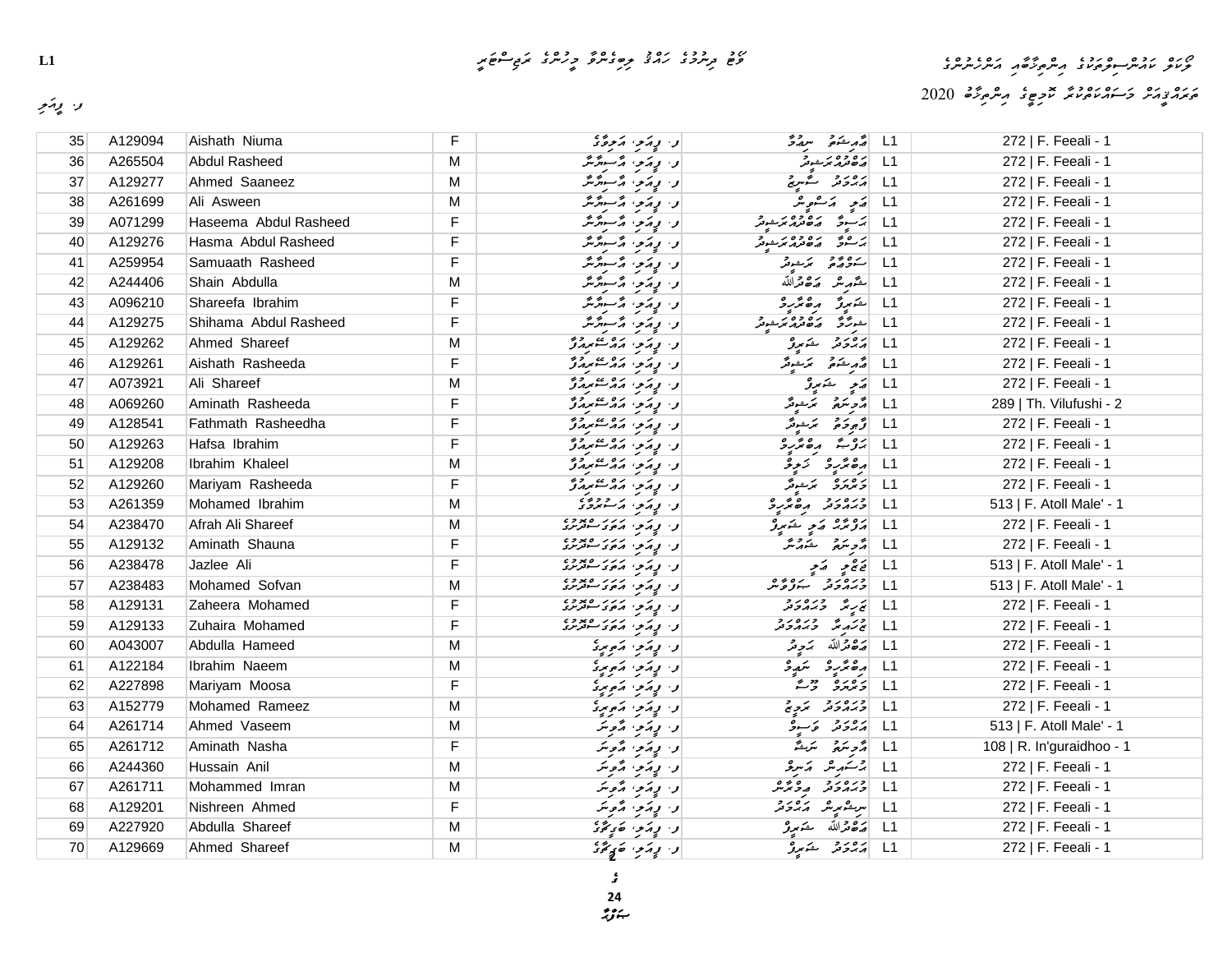*ޯކަލް ކައުންސިލްތަކުގެ އިންތިޚާބާއި އަންހެނުންގެ ވޯ ލ ތަރައްޤީއަށް މަސައްކަތްކުރާ ކޮމިޓީގެ އިންތިޚާބު 2020*

ى <sub>م</sub>ەتىر

| 35 | A129094 | Aishath Niuma         | F | وا وٍمَعٍ، مَعِرَّةٌ            | L1   مُدْمَدْمْ مِدْرَّة                        |    | 272   F. Feeali - 1       |
|----|---------|-----------------------|---|---------------------------------|-------------------------------------------------|----|---------------------------|
| 36 | A265504 | Abdul Rasheed         | м | وا وٍمَرَوا مُرْسَمَّرٌ         | L1 <i>مەھەرمەتى</i> سى <i>م</i> ۇ               |    | 272   F. Feeali - 1       |
| 37 | A129277 | Ahmed Saaneez         | M | اور ومكور محاسنترنتر            | L1 <i>مەنەۋەتى</i> شەمەي                        |    | 272   F. Feeali - 1       |
| 38 | A261699 | Ali Asween            | м | اور ومكور مجانسترنتر            | L1 <i>حدّ جي م</i> شور شر                       |    | 272   F. Feeali - 1       |
| 39 | A071299 | Haseema Abdul Rasheed | F | اور ومرکب مرکب میرکنگ           | L1  پرسون مەھە <i>رە بىرىنىدى</i> ر             |    | 272   F. Feeali - 1       |
| 40 | A129276 | Hasma Abdul Rasheed   | F | وا ومكوا محاسبهم                | L1  پر صوبی مردم مورد مردم در در                |    | 272   F. Feeali - 1       |
| 41 | A259954 | Samuaath Rasheed      | F | اور ومزمز المرسشر               | L1 س <i>تۇممى مۇ</i> ھبوتر                      |    | 272   F. Feeali - 1       |
| 42 | A244406 | Shain Abdulla         | M | وا ومكوا م سلام ك               | شەر ئەھقراللە                                   | L1 | 272   F. Feeali - 1       |
| 43 | A096210 | Shareefa Ibrahim      | F | اور ومزمز المرسشر               | L1 خَمِرَةُ م <b>ُ</b> صَمَّرِةُ                |    | 272   F. Feeali - 1       |
| 44 | A129275 | Shihama Abdul Rasheed | F | اور ومكور مجانستر مكر           | L1 خرچ دەمەدە برىغىدىنى ئىس                     |    | 272   F. Feeali - 1       |
| 45 | A129262 | Ahmed Shareef         | M | وا ومكوا مكاسيم ومح             | L1 <i>مەدەنى</i> خ <i>ىرى</i> ر                 |    | 272   F. Feeali - 1       |
| 46 | A129261 | Aishath Rasheeda      | F | ن ومكو، مكاسيم وفق              | أمام مشكاكي المحرك وكر                          | L1 | 272   F. Feeali - 1       |
| 47 | A073921 | Ali Shareef           | M | وا ومكوا ممكان المعامرة         | L1   م <i>دّمة</i> ستعبور                       |    | 272   F. Feeali - 1       |
| 48 | A069260 | Aminath Rasheeda      | F | والمحضر والمتصر والمحمدة        | L1 أَمُرْ <i>حَرَّمُ</i> مَرْسُومُرُّ           |    | 289   Th. Vilufushi - 2   |
| 49 | A128541 | Fathmath Rasheedha    | F | ن ومكو، مكاسيم وو               | L1 أَوَّجِرْهُمْ مَرْسُومَّرُ                   |    | 272   F. Feeali - 1       |
| 50 | A129263 | Hafsa Ibrahim         | F | ن يوم داره محمدة                | L1   يَرْزَبُ مَنْ مَ <i>دِّرْ دِ</i>           |    | 272   F. Feeali - 1       |
| 51 | A129208 | Ibrahim Khaleel       | M | والمحمد والمروا المعادرة        | أرەنزىرو - زىرو                                 | L1 | 272   F. Feeali - 1       |
| 52 | A129260 | Mariyam Rasheeda      | F | و٠ وٍ مَرِ و مَا مَسْعِمَ وَ وَ | L1 <i>وَبُرْمَرْدُ بَرَ</i> سُبِ <i>مَّ</i> رُ  |    | 272   F. Feeali - 1       |
| 53 | A261359 | Mohamed Ibrahim       | M | ن وړې پر دووه                   | כנהכת השתיק                                     | L1 | 513   F. Atoll Male' - 1  |
| 54 | A238470 | Afrah Ali Shareef     | M | وسوخر خصي المتعادي              | L1   <i>مَرْدُ مَّةً، مَرِ</i> شَ <i>مِرِدْ</i> |    | 272   F. Feeali - 1       |
| 55 | A129132 | Aminath Shauna        | F | اوس وتروس ترور معدوق            | L1   مُرْحِسَمُ شَمَرْتُمْ                      |    | 272   F. Feeali - 1       |
| 56 | A238478 | Jazlee Ali            | F | المستوجعي المتحافية متعاددة     | L1  نئ&م <i>چ مَ</i> مِ                         |    | 513   F. Atoll Male' - 1  |
| 57 | A238483 | Mohamed Sofvan        | M | الى الإمكن مكان متحددة          | L1 دېرونه بنوڅنگر                               |    | 513   F. Atoll Male' - 1  |
| 58 | A129131 | Zaheera Mohamed       | F | المختبر وتركيب والمعاودة        | L1 <i>تأريمهٔ وبره ديو</i>                      |    | 272   F. Feeali - 1       |
| 59 | A129133 | Zuhaira Mohamed       | F | ن و دي ارد و دوه                | 32023 مركز وبرورو<br>محكمة مركز من              | L1 | 272   F. Feeali - 1       |
| 60 | A043007 | Abdulla Hameed        | M | ار، ويدًى مەم برق               | L1 مَدْهُ قَرْاللَّهُ بَرَ <i>ج</i> ةً          |    | 272   F. Feeali - 1       |
| 61 | A122184 | Ibrahim Naeem         | M | اور ومكور مكومية                | أرەنزرۇ شھەۋ                                    | L1 | 272   F. Feeali - 1       |
| 62 | A227898 | Mariyam Moosa         | F | اوسومي مكالم مورد               | رەرە دور                                        | L1 | 272   F. Feeali - 1       |
| 63 | A152779 | Mohamed Rameez        | M | اور ويركب ركبوبونج              | ورورو تروح                                      | L1 | 272   F. Feeali - 1       |
| 64 | A261714 | Ahmed Vaseem          | M | اور وٍ پڑو، پڑویٹر              | أرەر ئەسىر                                      | L1 | 513   F. Atoll Male' - 1  |
| 65 | A261712 | Aminath Nasha         | F | اور ويرتو، اژولتر               | L1 أَمُّ <i>حِينَهُ</i> سَرَسَّةُ               |    | 108   R. In'guraidhoo - 1 |
| 66 | A244360 | Hussain Anil          | M | اور وٍ پرتو، اژّویتر            | L1 پر <i>شہر شہر کارون</i>                      |    | 272   F. Feeali - 1       |
| 67 | A261711 | Mohammed Imran        | M | اور ومقرما المجامل              | L1 <i>دره در و و پی</i> ر                       |    | 272   F. Feeali - 1       |
| 68 | A129201 | Nishreen Ahmed        | F | اور وٍمَرَمٍ، مَرَّوِسَ         | L1   سرڪمبرس <i>مدونر</i>                       |    | 272   F. Feeali - 1       |
| 69 | A227920 | Abdulla Shareef       | M | اوسوخوا كالمحجمى                | L1 22 كون الله خومبر <i>و</i>                   |    | 272   F. Feeali - 1       |
| 70 | A129669 | Ahmed Shareef         | M | وا ويكوا كالمحجمة               | L1 <i>مُدْوَمْ</i> حَ <i>مِيوْ</i>              |    | 272   F. Feeali - 1       |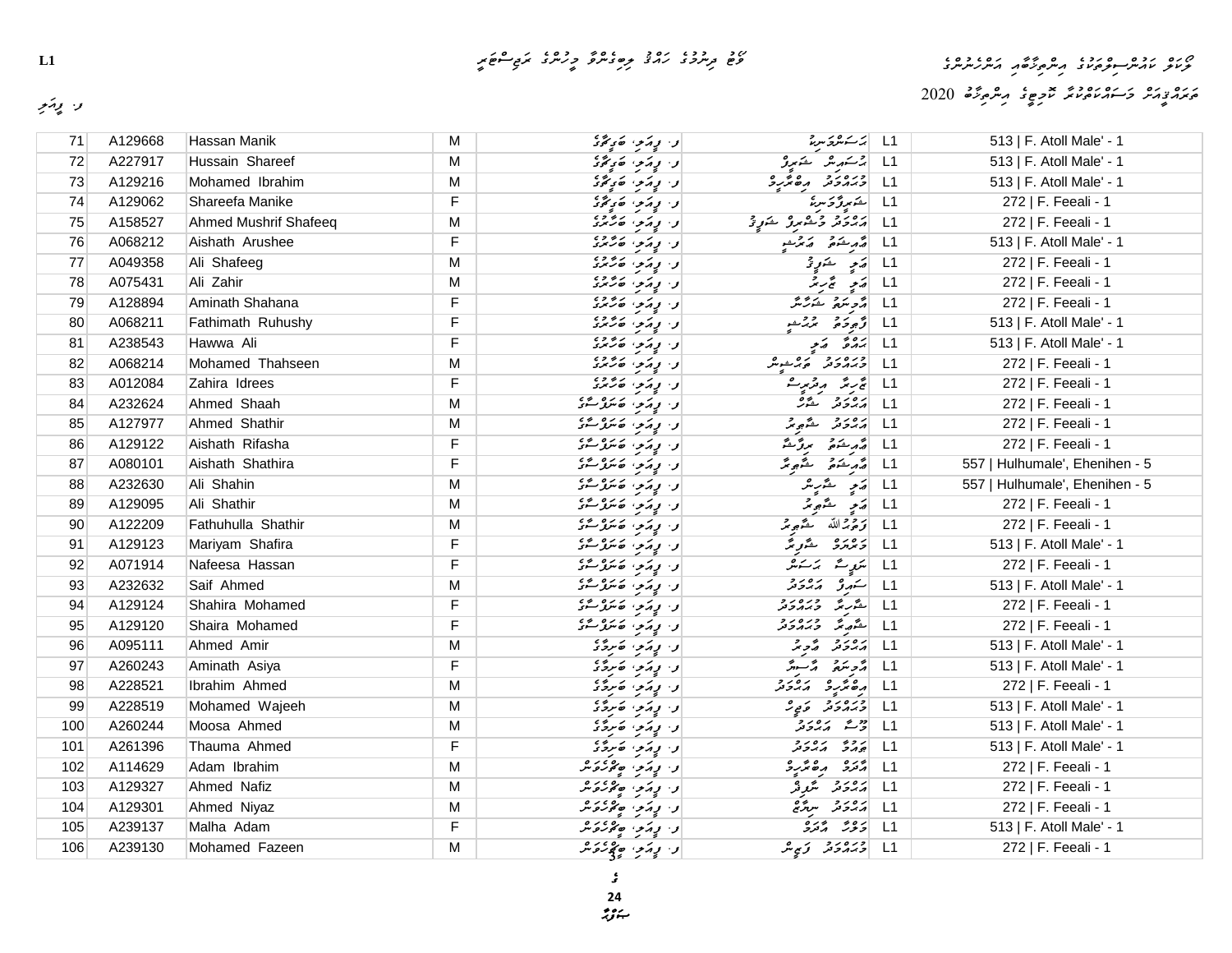*ޯކަލް ކައުންސިލްތަކުގެ އިންތިޚާބާއި އަންހެނުންގެ ވޯ ލ ތަރައްޤީއަށް މަސައްކަތްކުރާ ކޮމިޓީގެ އިންތިޚާބު 2020*

ى <sub>م</sub>ەتىر

| 71  | A129668 | Hassan Manik          | M            | ار ، وٍ ړَی ځي گورگو            | L1   يَرْسَسْهُ حَس <sup>ر</sup> َ                                                                                                                                                                                                         | 513   F. Atoll Male' - 1       |
|-----|---------|-----------------------|--------------|---------------------------------|--------------------------------------------------------------------------------------------------------------------------------------------------------------------------------------------------------------------------------------------|--------------------------------|
| 72  | A227917 | Hussain Shareef       | M            | وا ويدوا ځوند                   | L1 پر <i>شهر شمبرو</i>                                                                                                                                                                                                                     | 513   F. Atoll Male' - 1       |
| 73  | A129216 | Mohamed Ibrahim       | M            | اوسوخوا كالمحجمى                | L1 <i>دېمم</i> ونه م <i>ەمگرد</i> و                                                                                                                                                                                                        | 513   F. Atoll Male' - 1       |
| 74  | A129062 | Shareefa Manike       | F            | اوا ويذوا كالمحافى              | L1  شەمرۇكەس <i>رە</i>                                                                                                                                                                                                                     | 272   F. Feeali - 1            |
| 75  | A158527 | Ahmed Mushrif Shafeeq | M            | اور ومداحق کاروده               | L1 <i>أَدْبُرْدُوْ دُعْمُ بِنْ حُوَيِّدُ</i>                                                                                                                                                                                               | 272   F. Feeali - 1            |
| 76  | A068212 | Aishath Arushee       | F            | اور ومكور كالمرادي              | L1   مُدبِّسَة مَعْرَشِهِ                                                                                                                                                                                                                  | 513   F. Atoll Male' - 1       |
| 77  | A049358 | Ali Shafeeg           | М            | اور ومكور كالمروري              | L1   رَمِ شَر <i>وِ</i> تْر                                                                                                                                                                                                                | 272   F. Feeali - 1            |
| 78  | A075431 | Ali Zahir             | м            | اور ومرکب کارگردی               | L1   <i>مَ</i> حٍ گُرِیْرُ                                                                                                                                                                                                                 | 272   F. Feeali - 1            |
| 79  | A128894 | Aminath Shahana       | F            | والمحادثون كالمرادان            | L1 أُمُّ جِسَمَةٌ شَمَرٌ مَثَّر                                                                                                                                                                                                            | 272   F. Feeali - 1            |
| 80  | A068211 | Fathimath Ruhushy     | F            | اور ومكور كالمحددة              | L1 <i>وَّجِودَة بَرْبَ</i> نْسِ                                                                                                                                                                                                            | 513   F. Atoll Male' - 1       |
| 81  | A238543 | Hawwa Ali             | F            | ن ومنو، ځنګرو                   | L1 <i>يَدُهُمُ</i> مَعِ                                                                                                                                                                                                                    | 513   F. Atoll Male' - 1       |
| 82  | A068214 | Mohamed Thahseen      | M            | ن وٍ مَرَمَوٍ الصَّرْحَةِ       | L1 <i>دېممردنو م</i> ېرىئېتر                                                                                                                                                                                                               | 272   F. Feeali - 1            |
| 83  | A012084 | Zahira Idrees         | F            | اور ومزمز کاربرده               | L1 ئج سِتَر م <i>وقر م</i> وسْد                                                                                                                                                                                                            | 272   F. Feeali - 1            |
| 84  | A232624 | Ahmed Shaah           | M            | اور ومزمز، كانتزل من            | $2.222 - 2.222 = 11$                                                                                                                                                                                                                       | 272   F. Feeali - 1            |
| 85  | A127977 | Ahmed Shathir         | M            | اور ومزمر، كالتركيبي            | L1 <i>مەدەنى</i> ئىقھ <i>ەت</i>                                                                                                                                                                                                            | 272   F. Feeali - 1            |
| 86  | A129122 | Aishath Rifasha       | F            | اوا وأيموا كالتوثيق             | L1 أَحْدَمْتُمْ مَرَّرْشَّةُ                                                                                                                                                                                                               | 272   F. Feeali - 1            |
| 87  | A080101 | Aishath Shathira      | F            | ن وٍ دَمِن صَمَوْ کُمَّةٌ       | L1 مەم ئىق شەھ ئىر                                                                                                                                                                                                                         | 557   Hulhumale', Ehenihen - 5 |
| 88  | A232630 | Ali Shahin            | M            | ن وٍ دَمَن صَمَوْ کُمَّةٌ       | L1 <i>جَرِيب حَيْرِيمُ</i>                                                                                                                                                                                                                 | 557   Hulhumale', Ehenihen - 5 |
| 89  | A129095 | Ali Shathir           | M            | اوا وٍ مَرَوا كَاسَوْ حَدَّى    | L1   رَمِ شَ <sub>ّه</sub> رَ                                                                                                                                                                                                              | 272   F. Feeali - 1            |
| 90  | A122209 | Fathuhulla Shathir    | M            | اور وأيده كالتوقيق              | L1 وَحَدَّ <sup>اللَّه</sup> ُ شَّهْوَ مَدْ                                                                                                                                                                                                | 272   F. Feeali - 1            |
| 91  | A129123 | Mariyam Shafira       | F            | اوا وأترم كالتوصيح              | L1 <i>خەمدۇ شۇرىگ</i>                                                                                                                                                                                                                      | 513   F. Atoll Male' - 1       |
| 92  | A071914 | Nafeesa Hassan        | E            | اور وأيموا كالتوقيقي            | L1   سَمَعِي مِسْتَمَسِّرِ                                                                                                                                                                                                                 | 272   F. Feeali - 1            |
| 93  | A232632 | Saif Ahmed            | M            | اوا وٍمَوا صَنَوْسُنَى          | L1   س <i>نهرو مردون</i> ر                                                                                                                                                                                                                 | 513   F. Atoll Male' - 1       |
| 94  | A129124 | Shahira Mohamed       | F            | اور ومزمز، كانتز كردي           | L1   سُمَر <i>برُ</i> ديرونر                                                                                                                                                                                                               | 272   F. Feeali - 1            |
| 95  | A129120 | Shaira Mohamed        | F            | اوا وٍ مَرَوا كَانَتْرُ سُنَّىَ | 1] گەرىگە دىمەددىر                                                                                                                                                                                                                         | 272   F. Feeali - 1            |
| 96  | A095111 | Ahmed Amir            | M            | اوا ومكوا كالردوع               | $\begin{array}{ccccc}\n\mathbf{1} & \mathbf{1} & \mathbf{1} & \mathbf{1} \\ \mathbf{1} & \mathbf{1} & \mathbf{1} & \mathbf{1} \\ \mathbf{1} & \mathbf{1} & \mathbf{1} & \mathbf{1}\n\end{array}$                                           | 513   F. Atoll Male' - 1       |
| 97  | A260243 | Aminath Asiya         | F            | اوا وٍ مَرَوا صَروَّى           | L1 مُرْحِسَة <i>ُ مُ</i> سَيَّز                                                                                                                                                                                                            | 513   F. Atoll Male' - 1       |
| 98  | A228521 | Ibrahim Ahmed         | M            | اوا ومكوا كالردوع               | L1   رەئزىر ئەرەر د                                                                                                                                                                                                                        | 272   F. Feeali - 1            |
| 99  | A228519 | Mohamed Wajeeh        | M            | اوا وٍ مَرَى صَرِوَى            | L1 ديرە دى ئەر                                                                                                                                                                                                                             | 513   F. Atoll Male' - 1       |
| 100 | A260244 | Moosa Ahmed           | M            | اوا ومكوا كالردوع               | L1 وَسَدٌ دَبَرْدَ مَدْ                                                                                                                                                                                                                    | 513   F. Atoll Male' - 1       |
| 101 | A261396 | Thauma Ahmed          | $\mathsf{F}$ | اوا وٍ مَرِ وَ صَرِوَّةٌ        | $3591 378$ L1                                                                                                                                                                                                                              | 513   F. Atoll Male' - 1       |
| 102 | A114629 | Adam Ibrahim          | M            | ن بِهُ فِي مِهْمُ دُوَنَدُ      | $\stackrel{\circ}{\mathcal{L}}\stackrel{\circ}{\mathcal{L}}\stackrel{\circ}{\mathcal{L}}\stackrel{\circ}{\mathcal{L}}\stackrel{\circ}{\mathcal{L}}\stackrel{\circ}{\mathcal{L}}\stackrel{\circ}{\mathcal{L}}\stackrel{\circ}{\mathcal{L}}$ | 272   F. Feeali - 1            |
| 103 | A129327 | Ahmed Nafiz           | M            | ار پېښو، موځ د وکړ              | L1 <i>مەشقىل سىگ</i> ونىر                                                                                                                                                                                                                  | 272   F. Feeali - 1            |
| 104 | A129301 | Ahmed Niyaz           | M            | و ومرد گردد م                   | L1 <i>أَمْدُدُوْ مَدْ مِيرُّجْ</i>                                                                                                                                                                                                         | 272   F. Feeali - 1            |
| 105 | A239137 | Malha Adam            | F            | ن يومز گوروش                    | L1 دَرْرٌ مُعَرَّدٌ                                                                                                                                                                                                                        | 513   F. Atoll Male' - 1       |
| 106 | A239130 | Mohamed Fazeen        | M            | ر په درو مورو ش                 | L1   <i>جەندە جىر ئى بى</i> ر                                                                                                                                                                                                              | 272   F. Feeali - 1            |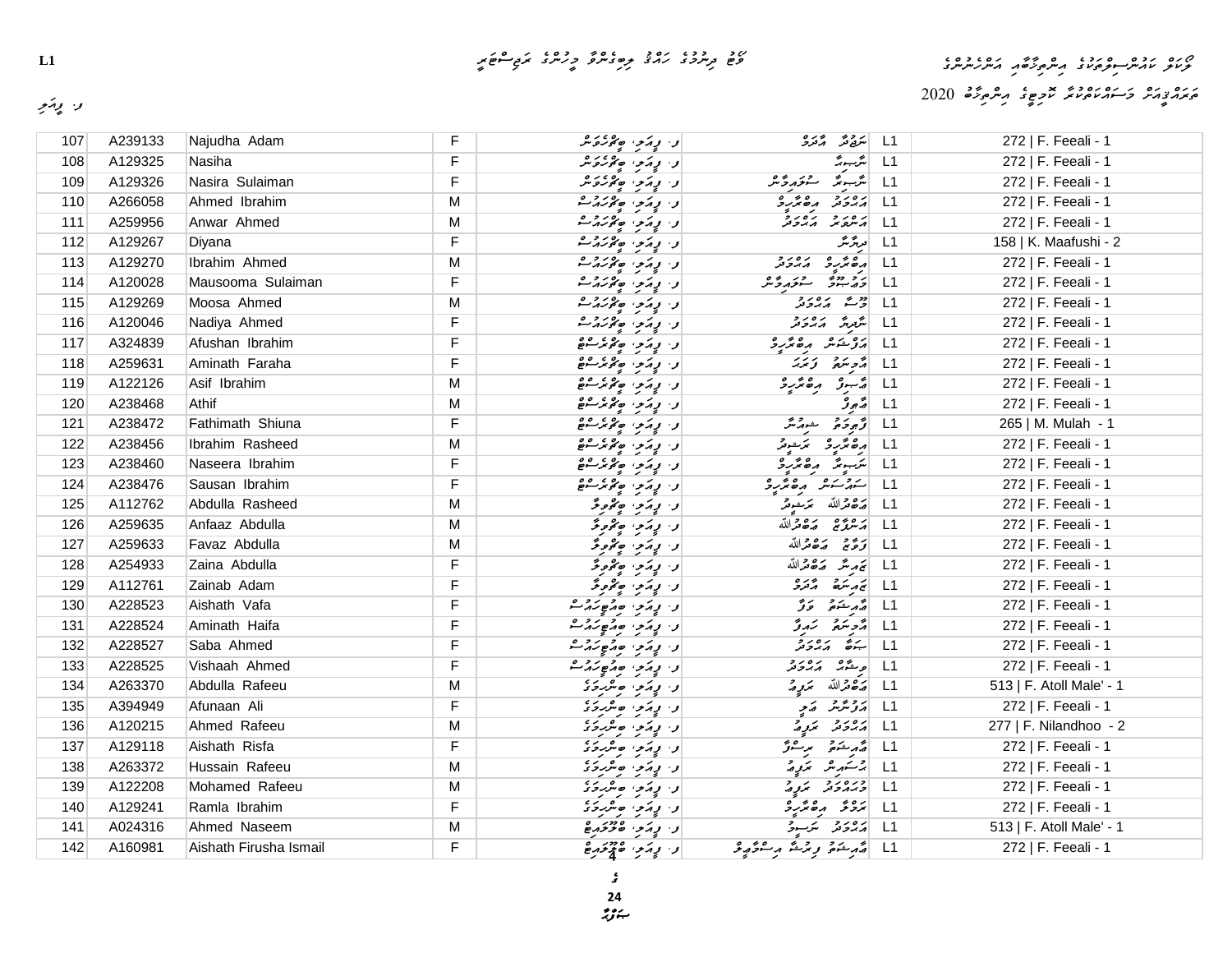<del>خرىكى ئام.ش بۇرى</del>ماي مىلزمەتھەر مىلزىكىلىك *2020 ބު ތިޚާ އިން ގެ ޓީ މި ކޮ ރާ ކު ތް ކަ އް ސަ މަ ށް އަ ޤީ އް ރަ ތަ*

و· *ومنو* 

**L1** 

| 107 | A239133 | Najudha Adam           | F           | و ومرد ولادة                | L1 بَرَةِ مَرَّ مَ <i>مَّرَدُ</i>                                                                               | 272   F. Feeali - 1      |
|-----|---------|------------------------|-------------|-----------------------------|-----------------------------------------------------------------------------------------------------------------|--------------------------|
| 108 | A129325 | Nasiha                 | F           | اور ومزمر، ھەمزەتل          | L1 انتربه بر                                                                                                    | 272   F. Feeali - 1      |
| 109 | A129326 | Nasira Sulaiman        | F           | اور ومدر گوروش              | L1   سَّرْ-- مَرَّ مَتَحَدَّدَّ مَّرْ                                                                           | 272   F. Feeali - 1      |
| 110 | A266058 | Ahmed Ibrahim          | М           | و ومد و محمد الم            | L1 <i>הُגُכ</i> قر م <i>ُ</i> ھُمَّرِدُ                                                                         | 272   F. Feeali - 1      |
| 111 | A259956 | Anwar Ahmed            | М           | اور ومكور محكم محمد من      | 22222221                                                                                                        | 272   F. Feeali - 1      |
| 112 | A129267 | Diyana                 | F           | اوا ومكوا محكمته            | L1  م <i>رمز</i> مئر                                                                                            | 158   K. Maafushi - 2    |
| 113 | A129270 | Ibrahim Ahmed          | M           | اور ومكور ھەممەت            | L1   مەھم <i>گرى</i> مەمدى                                                                                      | 272   F. Feeali - 1      |
| 114 | A120028 | Mausooma Sulaiman      | $\mathsf F$ | اور ومكور ھەممەت            | L1 <i>خەشبىر ئىغ</i> رۇش                                                                                        | 272   F. Feeali - 1      |
| 115 | A129269 | Moosa Ahmed            | M           | اور ومدر گورو م             | L1 حيث بروتر                                                                                                    | 272   F. Feeali - 1      |
| 116 | A120046 | Nadiya Ahmed           | F           | ار ومدر مكر ده              | L1 سُمِعر <i>مُدُّدَوْرٌ</i>                                                                                    | 272   F. Feeali - 1      |
| 117 | A324839 | Afushan Ibrahim        | F           | اور ومدر ھەممىسى            | L1 <i>مۇ</i> شكىر م <i>ەشرى</i> ر                                                                               | 272   F. Feeali - 1      |
| 118 | A259631 | Aminath Faraha         | F           | اور ويدو، ھەجمىسى           | L1 أَمُرْ مِسَعْ وَ مَدَيْهَ                                                                                    | 272   F. Feeali - 1      |
| 119 | A122126 | Asif Ibrahim           | М           | اور ويزو، ھەمرىك            | L1 مُسِرْدُ م <b>ُ</b> مُدْبِرْ                                                                                 | 272   F. Feeali - 1      |
| 120 | A238468 | Athif                  | M           | اور ومرو، ھەجرىسى           | $\int \mathcal{L}$ $\approx$ $\mathcal{L}$                                                                      | 272   F. Feeali - 1      |
| 121 | A238472 | Fathimath Shiuna       | F           | اور ومدرس ھەممىسى           | L1 أَوَّجِرْحَمْ مُسْتَمَرَّسَ                                                                                  | 265   M. Mulah - 1       |
| 122 | A238456 | Ibrahim Rasheed        | M           | اور ومزوا ھەمرىسى           | L1 رەم <i>ۇرۇ مۇ</i> مۇمۇ                                                                                       | 272   F. Feeali - 1      |
| 123 | A238460 | Naseera Ibrahim        | F           | اور ومدرس موكومر المع       | L1   سَرَ-بِعَدُ مِنْ صَحَّرِيْتِهِ                                                                             | 272   F. Feeali - 1      |
| 124 | A238476 | Sausan Ibrahim         | F           | اور ومدرس موكومر المعا      | L1 سَدَيْسَيْر م <i>ەھترى</i> ر                                                                                 | 272   F. Feeali - 1      |
| 125 | A112762 | Abdulla Rasheed        | М           | اوا ومنوا ھاموتى            | L1   مَەھْتَراللە مَرْسْب <sup>و</sup> رْ                                                                       | 272   F. Feeali - 1      |
| 126 | A259635 | Anfaaz Abdulla         | М           | اور ويزو، ھاءُوتَر          | L1 <i>مَسْعَدٌّج مَ</i> صْعَرْاللّه                                                                             | 272   F. Feeali - 1      |
| 127 | A259633 | Favaz Abdulla          | М           | اور ويزو، ھاڻھوڻ            | L1 وَحَ <sup>ح</sup> صَنْ صَدَّاللَّه                                                                           | 272   F. Feeali - 1      |
| 128 | A254933 | Zaina Abdulla          | F           | اور ويزو، ھاءُوتَر          | L1 بَجَ <i>م</i> ر مَثَرَ مَدَّدَّة مَدَّاللَّه                                                                 | 272   F. Feeali - 1      |
| 129 | A112761 | Zainab Adam            | F           | اور ويرور ھائوق             | $\frac{1}{2}$ $\frac{1}{2}$ $\frac{1}{2}$ $\frac{1}{2}$ $\frac{1}{2}$ $\frac{1}{2}$ $\frac{1}{2}$ $\frac{1}{2}$ | 272   F. Feeali - 1      |
| 130 | A228523 | Aishath Vafa           | F           | وا ومدار محمد من المحمد     | L1 مُصِنْعَة قُرَّ                                                                                              | 272   F. Feeali - 1      |
| 131 | A228524 | Aminath Haifa          | F           | ני נָתֹלִי סְתֹפְלַת        | L1 أَمُرْحَسَنَةً سَ <i>مَدَ</i>                                                                                | 272   F. Feeali - 1      |
| 132 | A228527 | Saba Ahmed             | E           | و ومدر مدوند -              | $35.22$ $\frac{2}{9}$ $\frac{1}{2}$ $\frac{1}{2}$                                                               | 272   F. Feeali - 1      |
| 133 | A228525 | Vishaah Ahmed          | F           | ن بِهُ و مُوسِ و مُشْ       | L1 <i>وَحَدُّدْ مَدْدَوْرْ</i>                                                                                  | 272   F. Feeali - 1      |
| 134 | A263370 | Abdulla Rafeeu         | M           | اور ويرو، ھاھرىءَ           | L1 حَدَّقْرَاللَّهُ تَحْدِيْرَ                                                                                  | 513   F. Atoll Male' - 1 |
| 135 | A394949 | Afunaan Ali            | F           | اور ويكور وشروع             | L1 <i>پروُنگ<sup>و</sup>گ پ</i> ر                                                                               | 272   F. Feeali - 1      |
| 136 | A120215 | Ahmed Rafeeu           | M           | اور ويذي گريدون             | L1 <i>مەرى مەدە</i>                                                                                             | 277   F. Nilandhoo - 2   |
| 137 | A129118 | Aishath Risfa          | F           | اور ويرو، گردوی             | L1 <i>مەمشۇم بىر شۇ</i>                                                                                         | 272   F. Feeali - 1      |
| 138 | A263372 | Hussain Rafeeu         | M           | اور ومكور ماشدة كا          | L1  پژست <sub>م</sub> برش تز <sub>وی</sub> ژ                                                                    | 272   F. Feeali - 1      |
| 139 | A122208 | Mohamed Rafeeu         | м           | ادا وأموا ما المردة         | L1   <i>5223 مَرْوِمُ</i>                                                                                       | 272   F. Feeali - 1      |
| 140 | A129241 | Ramla Ibrahim          | F           | اوا ومكوا محددة             | L1 بَرْدْ دَ م <i>ەمَّ</i> رْر                                                                                  | 272   F. Feeali - 1      |
| 141 | A024316 | Ahmed Naseem           | м           | $\frac{1}{2}$ $\frac{1}{2}$ | L1 <i>أَدْبُرْدُوْ</i> مَرْسِيْرَ                                                                               | 513   F. Atoll Male' - 1 |
| 142 | A160981 | Aishath Firusha Ismail | F           | اور ومكور ويؤثروه           | L1   مەم ئۇمۇ بويمىش مەسىر <i>ۇم</i> ۇ                                                                          | 272   F. Feeali - 1      |

*ގެ 4*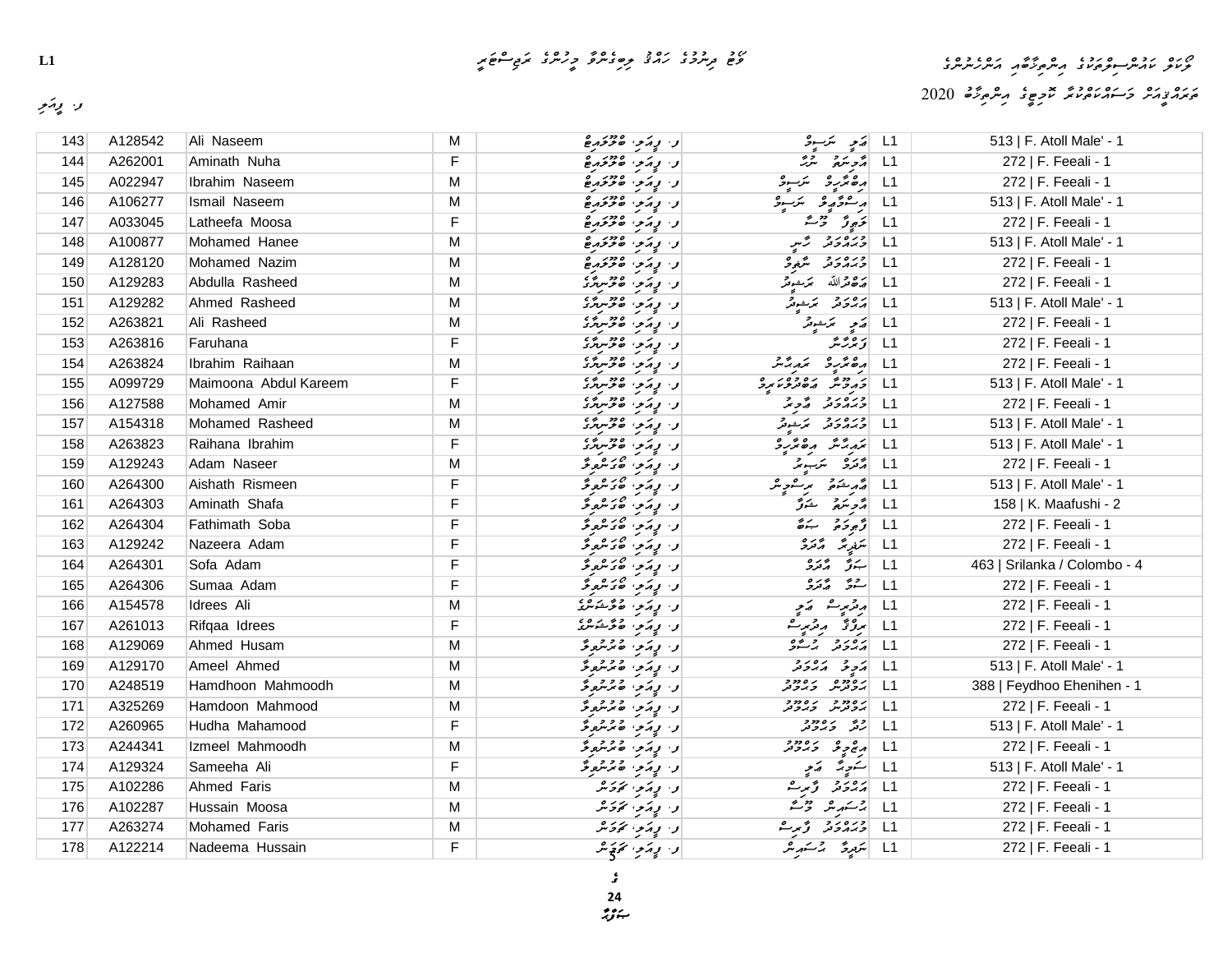*ޯކަލް ކައުންސިލްތަކުގެ އިންތިޚާބާއި އަންހެނުންގެ ވޯ ލ ތަރައްޤީއަށް މަސައްކަތްކުރާ ކޮމިޓީގެ އިންތިޚާބު 2020*

ى <sub>م</sub>ەتىر

| 143 | A128542 | Ali Naseem            | M | والإركاد والمحتورة         | L1   رَمِ سَرَسِرْ وَ                                                                                                                                                                                                                                                                                                                                                                                                                                                                             | 513   F. Atoll Male' - 1     |
|-----|---------|-----------------------|---|----------------------------|---------------------------------------------------------------------------------------------------------------------------------------------------------------------------------------------------------------------------------------------------------------------------------------------------------------------------------------------------------------------------------------------------------------------------------------------------------------------------------------------------|------------------------------|
| 144 | A262001 | Aminath Nuha          | F | والإركاد ودودة             | L1 ا <i>مُّرْحَتَّة مِنْ</i> تُرُّ                                                                                                                                                                                                                                                                                                                                                                                                                                                                | 272   F. Feeali - 1          |
| 145 | A022947 | Ibrahim Naseem        | M | ادا ومكوا فيؤدع            | L1 <i>أم هُ مُّرْبِ</i> مُنْ مَرْسِرْدُ                                                                                                                                                                                                                                                                                                                                                                                                                                                           | 272   F. Feeali - 1          |
| 146 | A106277 | Ismail Naseem         | M | ن وٍ مَرَى صَحْرَ مَدَهِ   | L1   مِرِ سُمَّةٍ مِرْ سَرَ سِرْ مِنْ سِرْ حَرْ                                                                                                                                                                                                                                                                                                                                                                                                                                                   | 513   F. Atoll Male' - 1     |
| 147 | A033045 | Latheefa Moosa        | F | اور ومكور محركم ومح        | L1  خ <sub>جو</sub> ڙ "شگ                                                                                                                                                                                                                                                                                                                                                                                                                                                                         | 272   F. Feeali - 1          |
| 148 | A100877 | Mohamed Hanee         | M | و وٍ مَعِ مُحْمَدة         | L1 در دور ژبر                                                                                                                                                                                                                                                                                                                                                                                                                                                                                     | 513   F. Atoll Male' - 1     |
| 149 | A128120 | Mohamed Nazim         | M | والمحمد والمتحفظ           | L1 در درور ش <sub>خو</sub> ر                                                                                                                                                                                                                                                                                                                                                                                                                                                                      | 272   F. Feeali - 1          |
| 150 | A129283 | Abdulla Rasheed       | M | و. وأمو، 20 سرمرة          | L1 رَصْحَرْاللَّهُ تَرَسُومَّر                                                                                                                                                                                                                                                                                                                                                                                                                                                                    | 272   F. Feeali - 1          |
| 151 | A129282 | Ahmed Rasheed         | M | و. وأمو، 20 مركز           | L1 <i>مەدەنى مەنبەن</i>                                                                                                                                                                                                                                                                                                                                                                                                                                                                           | 513   F. Atoll Male' - 1     |
| 152 | A263821 | Ali Rasheed           | M | و و مو موسوده              | L1 كەي كەن <u>ى</u> پەتر                                                                                                                                                                                                                                                                                                                                                                                                                                                                          | 272   F. Feeali - 1          |
| 153 | A263816 | Faruhana              | F | ن وأموا مؤسرة              | L1 وَبَرْرَتَّرَ                                                                                                                                                                                                                                                                                                                                                                                                                                                                                  | 272   F. Feeali - 1          |
| 154 | A263824 | Ibrahim Raihaan       | M | والمحمد والمتعادي          | L1 رەئزىر ئى <i>رى</i> گىز                                                                                                                                                                                                                                                                                                                                                                                                                                                                        | 272   F. Feeali - 1          |
| 155 | A099729 | Maimoona Abdul Kareem | F | و ومرد محمد من             | L1 <i>خەرق شەھىر خەرىم بو</i> ر                                                                                                                                                                                                                                                                                                                                                                                                                                                                   | 513   F. Atoll Male' - 1     |
| 156 | A127588 | Mohamed Amir          | M | و. وأمو، هو سره            | $2, 2, 3, 3, 3, 5$ L1                                                                                                                                                                                                                                                                                                                                                                                                                                                                             | 272   F. Feeali - 1          |
| 157 | A154318 | Mohamed Rasheed       | M | ن وأكرم ولا سركر           | L1 وَيَرْدُونَرْ يَرْجُدِنْرْ                                                                                                                                                                                                                                                                                                                                                                                                                                                                     | 513   F. Atoll Male' - 1     |
| 158 | A263823 | Raihana Ibrahim       | F | اور ومكور فالمحمدة         | L1 <i>بَنْدِيَّتَرْ م</i> ەھْرُر <sup>و</sup>                                                                                                                                                                                                                                                                                                                                                                                                                                                     | 513   F. Atoll Male' - 1     |
| 159 | A129243 | Adam Naseer           | M | ن پېړو، ځوشونځ             | L1 أَمُرْقَرْ سَنَ سِنْدِ مَدْ                                                                                                                                                                                                                                                                                                                                                                                                                                                                    | 272   F. Feeali - 1          |
| 160 | A264300 | Aishath Rismeen       | F | و ، وٍمَعٍ، صَی شَهونَدُ   | L1 مۇم ھۇم ئىم سىسى بىر مىشرىدىكى بىر                                                                                                                                                                                                                                                                                                                                                                                                                                                             | 513   F. Atoll Male' - 1     |
| 161 | A264303 | Aminath Shafa         | F | ن وٍ دَمَنِ صَيْ شَهْدَتَّ | L1 أَمُّ <i>حِينُهُ</i> شَرَّرُ                                                                                                                                                                                                                                                                                                                                                                                                                                                                   | 158   K. Maafushi - 2        |
| 162 | A264304 | Fathimath Soba        | F | و و مَو صي شهو مَدَّ       | $\stackrel{\circ}{\circ}$ $\stackrel{\circ}{\circ}$ $\stackrel{\circ}{\circ}$ $\stackrel{\circ}{\circ}$ $\stackrel{\circ}{\circ}$ $\stackrel{\circ}{\circ}$ $\stackrel{\circ}{\circ}$ $\stackrel{\circ}{\circ}$ $\stackrel{\circ}{\circ}$ $\stackrel{\circ}{\circ}$ $\stackrel{\circ}{\circ}$ $\stackrel{\circ}{\circ}$ $\stackrel{\circ}{\circ}$ $\stackrel{\circ}{\circ}$ $\stackrel{\circ}{\circ}$ $\stackrel{\circ}{\circ}$ $\stackrel{\circ}{\circ}$ $\stackrel{\circ}{\circ}$ $\stackrel{\$ | 272   F. Feeali - 1          |
| 163 | A129242 | Nazeera Adam          | F | و وړو ځوشونه               | سَمْدِيمٌ الرَّمْرَةِ<br>L1                                                                                                                                                                                                                                                                                                                                                                                                                                                                       | 272   F. Feeali - 1          |
| 164 | A264301 | Sofa Adam             | F | ن پېړنو، ځوشونځ            | $3.5$ $\frac{2}{3}$ $\frac{2}{3}$ $\frac{1}{2}$ $\frac{1}{2}$ $\frac{1}{2}$                                                                                                                                                                                                                                                                                                                                                                                                                       | 463   Srilanka / Colombo - 4 |
| 165 | A264306 | Sumaa Adam            | F | ن پېښو، ځونمونځ            | المسترق المرتدون<br>L1                                                                                                                                                                                                                                                                                                                                                                                                                                                                            | 272   F. Feeali - 1          |
| 166 | A154578 | Idrees Ali            | M | اور ومزمر، ھۇشەھە          | L1 اپرېټر <i>ېنگ م</i> ړمو                                                                                                                                                                                                                                                                                                                                                                                                                                                                        | 272   F. Feeali - 1          |
| 167 | A261013 | Rifgaa Idrees         | F | اور ومكور ەۋشكىر           | L1   بروْتَرْ   م <i>ەقرىب</i> -شە                                                                                                                                                                                                                                                                                                                                                                                                                                                                | 272   F. Feeali - 1          |
| 168 | A129069 | Ahmed Husam           | M | ن ومن في مهمو              | $3.23.27$ L1                                                                                                                                                                                                                                                                                                                                                                                                                                                                                      | 272   F. Feeali - 1          |
| 169 | A129170 | Ameel Ahmed           | M | وا ومكوا كالمملكوم         | L1 <i>أرْوِ</i> وْ <i>مَدْدُوْرْ</i>                                                                                                                                                                                                                                                                                                                                                                                                                                                              | 513   F. Atoll Male' - 1     |
| 170 | A248519 | Hamdhoon Mahmoodh     | M | ن وړې ځی شوځ               | L1 رەمىر ئەدەر                                                                                                                                                                                                                                                                                                                                                                                                                                                                                    | 388   Feydhoo Ehenihen - 1   |
| 171 | A325269 | Hamdoon Mahmood       | M | ن وٍ مَنْ صَمَّسْمُعَ مَّ  | L1 كەفتەر ئەرەپىر                                                                                                                                                                                                                                                                                                                                                                                                                                                                                 | 272   F. Feeali - 1          |
| 172 | A260965 | Hudha Mahamood        | F | ار. ومرَمْ، ھىرىترونْز     | L1 رُمَّز دَبروتر                                                                                                                                                                                                                                                                                                                                                                                                                                                                                 | 513   F. Atoll Male' - 1     |
| 173 | A244341 | Izmeel Mahmoodh       | M | و وړې ځیرشونځ              | L1 رچ <i>ج</i> و محدود و                                                                                                                                                                                                                                                                                                                                                                                                                                                                          | 272   F. Feeali - 1          |
| 174 | A129324 | Sameeha Ali           | F | ار، روز موسطح              | L1  س <i>توبرٌ م</i> َتوِ                                                                                                                                                                                                                                                                                                                                                                                                                                                                         | 513   F. Atoll Male' - 1     |
| 175 | A102286 | Ahmed Faris           | M | اد . دٍ پرَمِ، مَحَرَ شَ   | L1 <i>أَدْبُرْدُوْ</i> تَوْبَرْتْ                                                                                                                                                                                                                                                                                                                                                                                                                                                                 | 272   F. Feeali - 1          |
| 176 | A102287 | Hussain Moosa         | M | اوس ومكوسكات كالمحافظ      | L1 پر <i>شہر</i> شرح محر شہ                                                                                                                                                                                                                                                                                                                                                                                                                                                                       | 272   F. Feeali - 1          |
| 177 | A263274 | Mohamed Faris         | M | اوس وكمكوس مخافانكما       | L1   دېم دېمر ته توسه                                                                                                                                                                                                                                                                                                                                                                                                                                                                             | 272   F. Feeali - 1          |
| 178 | A122214 | Nadeema Hussain       | F | ادا وٍ دَمِن نَمَوَمْ مُ   | L1   سَعِرِیَّ مُحْسَبِ مِسْر                                                                                                                                                                                                                                                                                                                                                                                                                                                                     | 272   F. Feeali - 1          |

*ގެ* **24**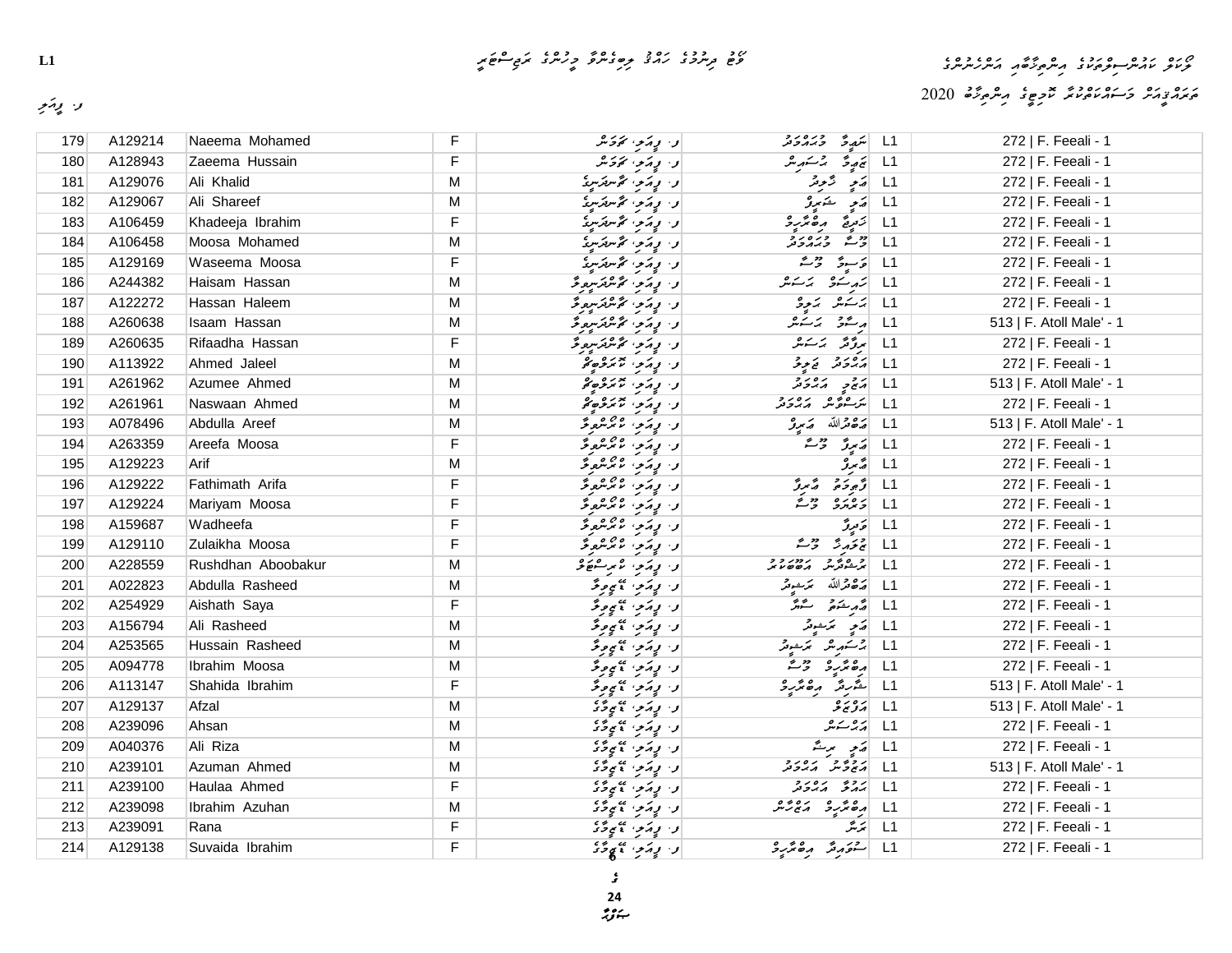<del>خرىكى ئام.ش بۇرى</del>ماي مىلزمەتھەر مىلزىكىلىك *2020 ބު ތިޚާ އިން ގެ ޓީ މި ކޮ ރާ ކު ތް ކަ އް ސަ މަ ށް އަ ޤީ އް ރަ ތަ*

و· *ومنو* 

**L1** 

| 179 | A129214 | Naeema Mohamed     | F            | اوس وتكوي كالمحافر للمر                      | L1 سَمِيعٌ حَمَدَ مَعَهُ              | 272   F. Feeali - 1      |
|-----|---------|--------------------|--------------|----------------------------------------------|---------------------------------------|--------------------------|
| 180 | A128943 | Zaeema Hussain     | F            | اوس ويمنوا مخانا على                         | L1  ى <i>ن بوڭ بۇستىرى</i> گر         | 272   F. Feeali - 1      |
| 181 | A129076 | Ali Khalid         | M            | اور ومكور المحموم مرتبط                      | L1 <i>حَجِ</i> رَّحِمَّ               | 272   F. Feeali - 1      |
| 182 | A129067 | Ali Shareef        | M            | اوا ويركبوا المحمولاتين                      | L1   مَرِ جَمَعِ وَ                   | 272   F. Feeali - 1      |
| 183 | A106459 | Khadeeja Ibrahim   | F            | اوا ومكوا المستكس                            | L1 دَمِيعٌ مِنْ صُمَّرِةٌ             | 272   F. Feeali - 1      |
| 184 | A106458 | Moosa Mohamed      | M            | او- ويموا گاملامين                           | $3333$ $23$ $11$                      | 272   F. Feeali - 1      |
| 185 | A129169 | Waseema Moosa      | $\mathsf F$  | اوا ومكوا المستكس                            | $23 - 5 - 1$                          | 272   F. Feeali - 1      |
| 186 | A244382 | Haisam Hassan      | M            | اور ومكور گەنگەتكەنبىدۇ.                     | L1   زر سکو   بر سکاهل                | 272   F. Feeali - 1      |
| 187 | A122272 | Hassan Haleem      | M            | اور ومكور گانگريزيون                         | L1   پزشش کرونی                       | 272   F. Feeali - 1      |
| 188 | A260638 | Isaam Hassan       | M            | اور ومكور گانگورسوم                          | L1   مەشتى ئەسكەنلە                   | 513   F. Atoll Male' - 1 |
| 189 | A260635 | Rifaadha Hassan    | F            | اور ومكور گەنگەترىن ئى                       | L1 بر <i>وَّة بَرَسَ</i> سْ           | 272   F. Feeali - 1      |
| 190 | A113922 | Ahmed Jaleel       | M            | اوا ومكوا محمدوه كا                          | L1 <i>مَدْدَة.</i> ق يَوتْرُ          | 272   F. Feeali - 1      |
| 191 | A261962 | Azumee Ahmed       | M            | اوا ومكوا للمروه كا                          | L1 <i>مَنَّج مَدْوَنْدُ</i>           | 513   F. Atoll Male' - 1 |
| 192 | A261961 | Naswaan Ahmed      | M            | اور ومكور المحمد وهامي                       | L1   مَرْسْوَمَّرْ كَمْدَوْمْرْ       | 272   F. Feeali - 1      |
| 193 | A078496 | Abdulla Areef      | M            | ن پېړنو، ماندشمونځه                          | L1 حَدَّةَ مِّرْاللَّه صَمِيوْ        | 513   F. Atoll Male' - 1 |
| 194 | A263359 | Areefa Moosa       | F            | ن دٍ پرَمَزٍ، المَرْسُمُونَّى                | L1   مَبِرَّدٌ حَ <sup>م</sup> َّ     | 272   F. Feeali - 1      |
| 195 | A129223 | Arif               | M            | ن پېړنو، عريقونځ                             | L1 مەنىرۇ                             | 272   F. Feeali - 1      |
| 196 | A129222 | Fathimath Arifa    | $\mathsf{F}$ | ن پەيزا ئاندىگەنچ                            | L1 وَجوحَة صَعروَّ                    | 272   F. Feeali - 1      |
| 197 | A129224 | Mariyam Moosa      | F            | ادا وړې لمیمشونځ                             | $23$ $22$ $21$                        | 272   F. Feeali - 1      |
| 198 | A159687 | Wadheefa           | F            | ادا وړې لمیمشونځ                             | L1   <i>ق</i> َمِيوٌ                  | 272   F. Feeali - 1      |
| 199 | A129110 | Zulaikha Moosa     | F            | ادا وٍ دَمَوا المَمْالِمُومَّى               | $23 - 52$ $11$                        | 272   F. Feeali - 1      |
| 200 | A228559 | Rushdhan Aboobakur | M            | والمحضر والمراجع                             | $22222$ $2422$                        | 272   F. Feeali - 1      |
| 201 | A022823 | Abdulla Rasheed    | M            | ار، روزې ، پاړون                             | L1   مَەھْتَرَاللَّهُ كَرَسْبِعْرَ    | 272   F. Feeali - 1      |
| 202 | A254929 | Aishath Saya       | $\mathsf{F}$ | اوس ويمنوا الممج وق                          | L1 <i>مەمشۇ ئى</i> گە                 | 272   F. Feeali - 1      |
| 203 | A156794 | Ali Rasheed        | M            | ار، دٍ ړَیږ، ، نیمویژ                        | L1 أ <i>مَّةٍ مَرْحِ</i> يَّةٍ        | 272   F. Feeali - 1      |
| 204 | A253565 | Hussain Rasheed    | M            | ار، رېږې ، ، پایونه                          | L1   پژس <i>تهر بنگه برنشیونژ</i>     | 272   F. Feeali - 1      |
| 205 | A094778 | Ibrahim Moosa      | M            | اور وړکور مېموگ                              | L1   م <i>ەنڈر</i> و ق <sup>م</sup> ە | 272   F. Feeali - 1      |
| 206 | A113147 | Shahida Ibrahim    | F            | ادا ومكوا كالمجاه فخ                         | L1   ش <i>ەرىر مەمۇر</i> ۇ            | 513   F. Atoll Male' - 1 |
| 207 | A129137 | Afzal              | M            | $\mathcal{E}$ ر ، وړکې ، کالمح               | $353 - 11$                            | 513   F. Atoll Male' - 1 |
| 208 | A239096 | Ahsan              | M            | ن پېښو، مېموگ                                | $2221$ L1                             | 272   F. Feeali - 1      |
| 209 | A040376 | Ali Riza           | M            | ن پېړو، مېموگ                                | L1   <i>مَوِّستم</i>                  | 272   F. Feeali - 1      |
| 210 | A239101 | Azuman Ahmed       | M            | ادا وٍ مَنْ اللَّهِ وَ وَ وَ                 | L1 كەنج ئەر كەردىر                    | 513   F. Atoll Male' - 1 |
| 211 | A239100 | Haulaa Ahmed       | $\mathsf{F}$ | ار، وړې ، ، ، وڅو                            | $3337$ $337$ $L1$                     | 272   F. Feeali - 1      |
| 212 | A239098 | Ibrahim Azuhan     | M            | الأرا ومكور فيتموقو                          | L1 <i>مِنْ حَمَّرِ وَ مَعْ رَّسْ</i>  | 272   F. Feeali - 1      |
| 213 | A239091 | Rana               | F            | $\left  \mathcal{E} \right $ و، دړکو، ځې وگړ | ىرىتر<br>L1                           | 272   F. Feeali - 1      |
| 214 | A129138 | Suvaida Ibrahim    | F            | ن پېښې " کامخه د                             | L1   سوّم موسّى مع محر مع در حد       | 272   F. Feeali - 1      |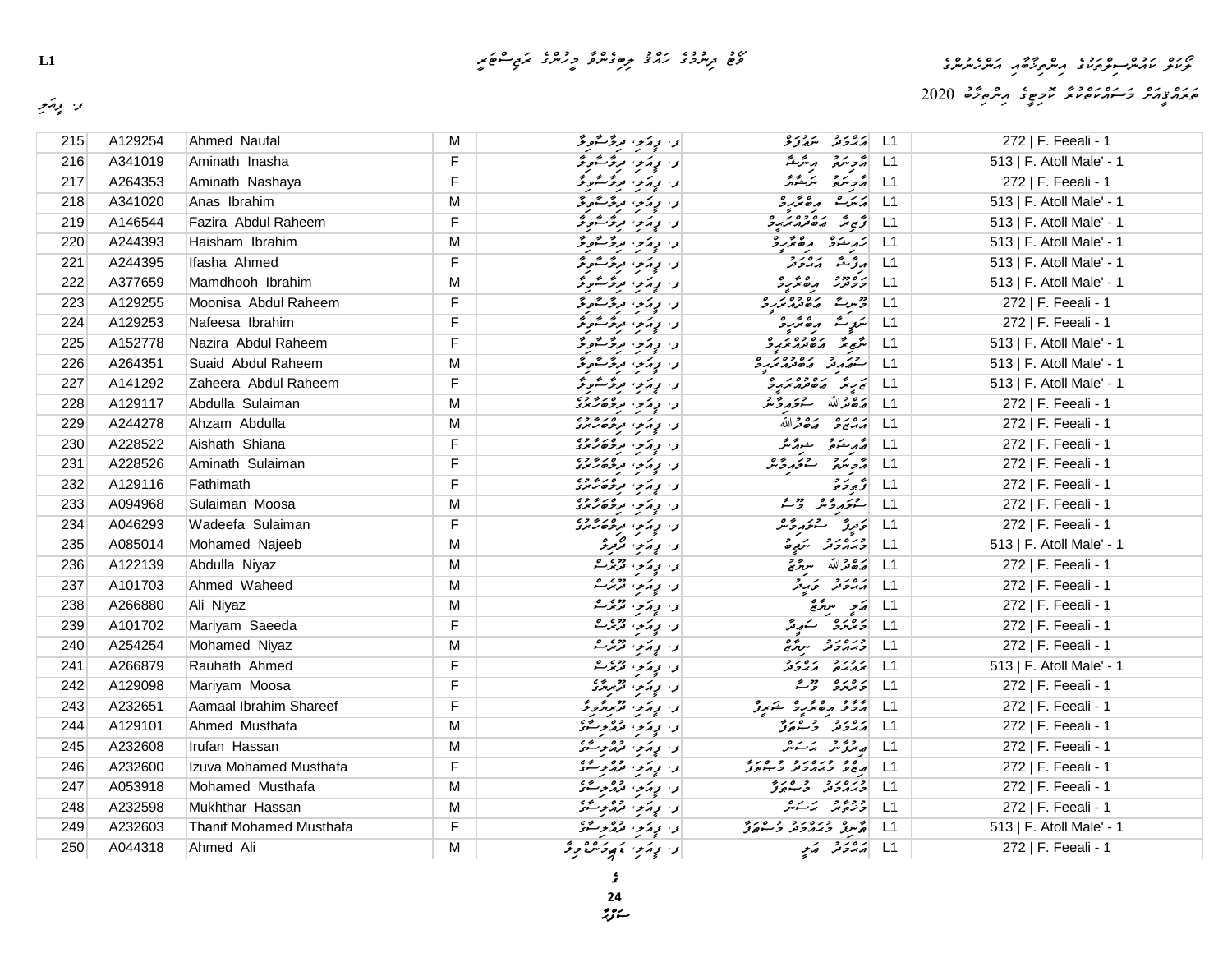*ޯކަލް ކައުންސިލްތަކުގެ އިންތިޚާބާއި އަންހެނުންގެ ވޯ ލ ތަރައްޤީއަށް މަސައްކަތްކުރާ ކޮމިޓީގެ އިންތިޚާބު 2020*

ى <sub>م</sub>ەتىر

| 215 | A129254 | Ahmed Naufal            | M | اد . دٍ پَرَمِ ِ مِروَّسَمُوتَرَ          | L1   <i>مەدە</i> ر ش <i>مۇزى</i>               | 272   F. Feeali - 1      |
|-----|---------|-------------------------|---|-------------------------------------------|------------------------------------------------|--------------------------|
| 216 | A341019 | Aminath Inasha          | F | ادا وٍمَنْ مِرْتَمُوتَرْ                  | L1   مُرْحِسَمُ مِسَّرْحَةٌ                    | 513   F. Atoll Male' - 1 |
| 217 | A264353 | Aminath Nashaya         | F | اوا وٍ رَمَوا مِروَّسَمُونَّ              | L1 أَمُّ <i>حِينَهُمْ سَنُ</i> شَّهُّرُّ       | 272   F. Feeali - 1      |
| 218 | A341020 | Anas Ibrahim            | M | ادا وٍمَرَمٍ، مَروَّسَمُونَّ              | L1   مَسَرَ - مِرْهُ مَّرْرِدْ                 | 513   F. Atoll Male' - 1 |
| 219 | A146544 | Fazira Abdul Raheem     | F | او ، وٍړَی مروَّسگونَّ                    | L1 ژٌی پُر مَصْرَ مَدِ دِ و                    | 513   F. Atoll Male' - 1 |
| 220 | A244393 | Haisham Ibrahim         | м | اد ۔ دٍ پَرَمٍ ، مروَّسَمونَوْ            | L1 <i>كەرىشۇ مەھگرى</i> ۋ                      | 513   F. Atoll Male' - 1 |
| 221 | A244395 | Ifasha Ahmed            | F | او ، وٍړَی مروَّسگونَّ                    | L1   مرگ <sup>م</sup> گ م <i>رک</i> وتر        | 513   F. Atoll Male' - 1 |
| 222 | A377659 | Mamdhooh Ibrahim        | M | او ، وٍ پُرَمٍ، مِروَّسَمُونَوْ           | 5, 5, 7, 7, 7, 7, 7                            | 513   F. Atoll Male' - 1 |
| 223 | A129255 | Moonisa Abdul Raheem    | F | وا وٍ دَمَوا مَرَوَّسُودَ                 | L1 جي سرت ص <i>ح وه وه برب</i> ر ه             | 272   F. Feeali - 1      |
| 224 | A129253 | Nafeesa Ibrahim         | F | و- وٍړَی مروَّسُووَ                       | L1   سَمِيتَ مِنْ صَمَّرِةِ                    | 272   F. Feeali - 1      |
| 225 | A152778 | Nazira Abdul Raheem     | F | اوا وٍ په دو شوی                          | L1 سَّمِ يَرْ مَصْ <i>مَدْهُ مَدَب</i> رِ مُحَ | 513   F. Atoll Male' - 1 |
| 226 | A264351 | Suaid Abdul Raheem      | M | اوا وٍ دَمَنٍ مِرَّتَ رُّوتٌ              | 5.6202222                                      | 513   F. Atoll Male' - 1 |
| 227 | A141292 | Zaheera Abdul Raheem    | F | اوا وٍمَرَمٍ، مَرَوَّسُمُونَّ             | L1 <i>تأريگ ماڻ ده وه ترب</i> ار               | 513   F. Atoll Male' - 1 |
| 228 | A129117 | Abdulla Sulaiman        | M | او٠ وٍ مَرَمٍ وَ وَ وَ وَ وَ وَ           | L1 22 مِنْ مِنْ اللّه سُنْ مَعَرْ مِنْ مِنْ    | 272   F. Feeali - 1      |
| 229 | A244278 | Ahzam Abdulla           | M | ن وٍ وَمَعٍ مِرْحَةٍ رَوِيَ               | L1 <i>مَدْيَمْ مَنْ مَدَّاللَّه</i>            | 272   F. Feeali - 1      |
| 230 | A228522 | Aishath Shiana          | F | او٠ وٍ مَرَمٍ وَ وَ وَ وَ وَ وَ           | L1 <i>مُحمَّد شَهُمْ</i> شَ <i>مَرُّسَّر</i>   | 272   F. Feeali - 1      |
| 231 | A228526 | Aminath Sulaiman        | F | ن وٍ مَرِ وَ وَوَصَرَ مَرَدٌ              | L1 أُمُرْسَرَة سَنَوَرِدُ سُرُ                 | 272   F. Feeali - 1      |
| 232 | A129116 | Fathimath               | F | او٠ وٍ مَرَمٍ وَ وَ وَ وَ وَ وَ           | L1 وُج <i>وح</i> و                             | 272   F. Feeali - 1      |
| 233 | A094968 | Sulaiman Moosa          | м | او٠ وٍ مَرَمٍ وَ وَ وَ وَ وَ وَ           | ئەخمەر ئەش ئۇسى<br>L1                          | 272   F. Feeali - 1      |
| 234 | A046293 | Wadeefa Sulaiman        | F | او٠ وٍ مَرَمٍ وَ مِرْحَدٌ مِرَدٌ          | L1 <i>قەبەد شۇم</i> ۇش                         | 272   F. Feeali - 1      |
| 235 | A085014 | Mohamed Najeeb          | M | وسمج دكري الحريوني                        | L1 درورو تربي                                  | 513   F. Atoll Male' - 1 |
| 236 | A122139 | Abdulla Niyaz           | M | اور ويرتو، فريزے                          | L1 أَرَّةَ مَرْاللَّهُ مَ <i>سَرَّجَ</i>       | 272   F. Feeali - 1      |
| 237 | A101703 | Ahmed Waheed            | M | اوا وٍ مَرَضٍ الْمُرْمَرُ - وَالْمَرْسَمُ | L1 <i>مَدْوَنْزِ مَ</i> بِقْر                  | 272   F. Feeali - 1      |
| 238 | A266880 | Ali Niyaz               | M | اوا ومكوا فرمرت                           | L1   <i>مَرْمِ</i> سِ <i>رْمَّ</i>             | 272   F. Feeali - 1      |
| 239 | A101702 | Mariyam Saeeda          | F | اوا ومكوا فريزه                           | L1 دېمه شهر شهر                                | 272   F. Feeali - 1      |
| 240 | A254254 | Mohamed Niyaz           | M | اوا ومكوا فرمرت                           | L1 <i>22022</i> سر <i>گر</i> ی                 | 272   F. Feeali - 1      |
| 241 | A266879 | Rauhath Ahmed           | F | اوا وٍ مَرَضٍ الْمَرْسُ                   | נכנכ נסנכ<br>מגמפ גמכנ<br>L1                   | 513   F. Atoll Male' - 1 |
| 242 | A129098 | Mariyam Moosa           | F | اور ومكور فرمهرد                          | رەرە دور<br>L1                                 | 272   F. Feeali - 1      |
| 243 | A232651 | Aamaal Ibrahim Shareef  | F | اور ومكور فرمهره ومح                      |                                                | 272   F. Feeali - 1      |
| 244 | A129101 | Ahmed Musthafa          | M | أوا وٍ مَرَوا مُرْمَرُوسُنَىْ             | L1 <i>ډېرونه</i> وينه <i>ون</i>                | 272   F. Feeali - 1      |
| 245 | A232608 | Irufan Hassan           | M | اور ومكور مهر وسكي                        | L1 <i>مەيزۇنتى برسى</i> ش                      | 272   F. Feeali - 1      |
| 246 | A232600 | Izuva Mohamed Musthafa  | F | وا وٍ مَرَوٍ، فَرُمْزِمِ مَنْ             |                                                | 272   F. Feeali - 1      |
| 247 | A053918 | Mohamed Musthafa        | M | اور ومكور مهروسكي                         |                                                | 272   F. Feeali - 1      |
| 248 | A232598 | Mukhthar Hassan         | M | اوا وٍمَرَمٍ، فَرُمُّ وَسُوَّى            | L1   وَرْحَمَّرْ   بَرْسَسْ                    | 272   F. Feeali - 1      |
| 249 | A232603 | Thanif Mohamed Musthafa | F | اوا ومكوا مهروسكي                         | ه مرد دره د و دره<br>پوسر د برابرد د ب<br>L1   | 513   F. Atoll Male' - 1 |
| 250 | A044318 | Ahmed Ali               | м | ارا وٍمَنْ الْمُوَسَّنَّةُ وَمَّ          | L1 <i>مَدْدَوْرٌ مَ</i> عِ                     | 272   F. Feeali - 1      |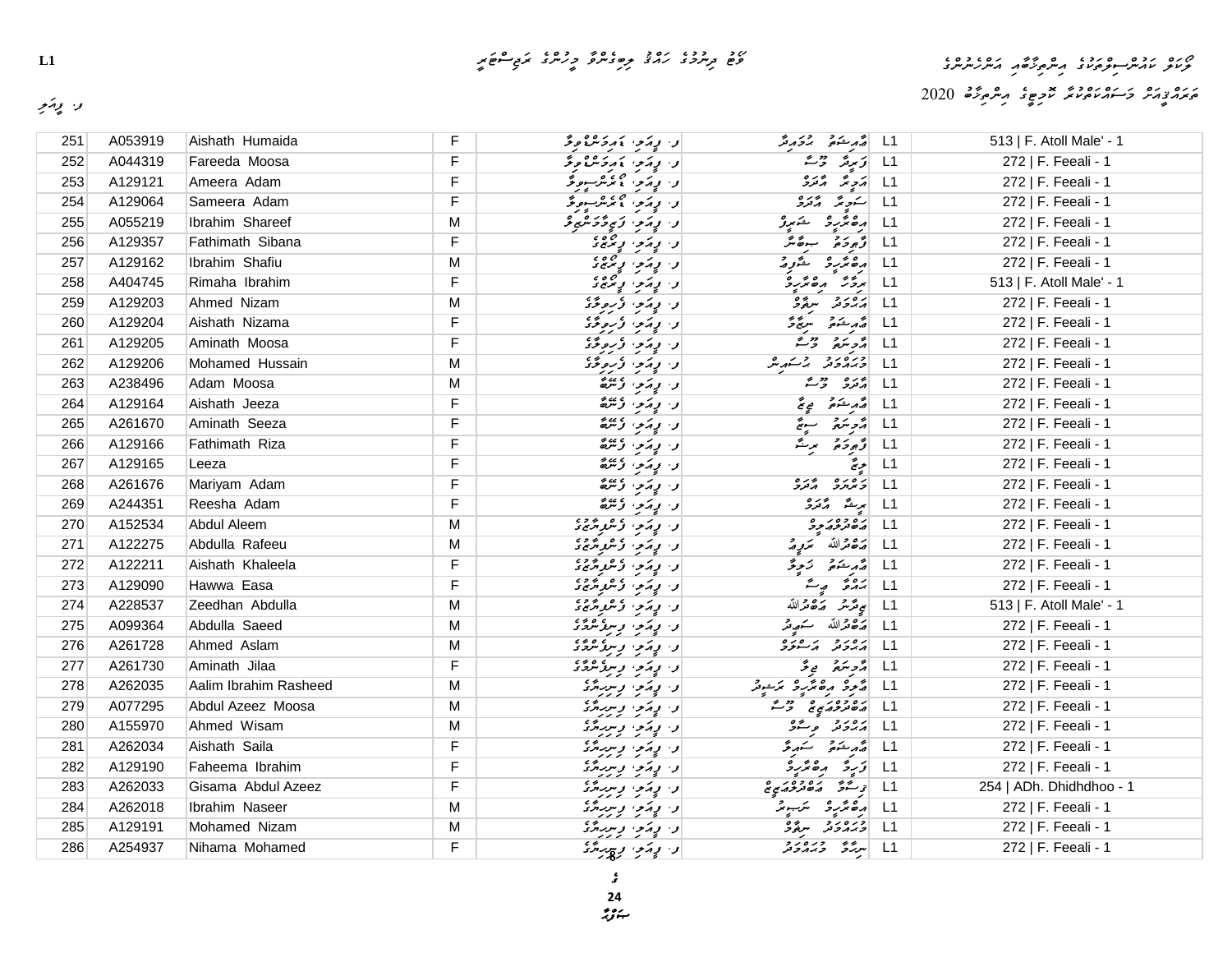<del>خرىكى ئام.ش بۇرى</del>ماي مىلزمەتھەر مىلزىكىلىك *2020 ބު ތިޚާ އިން ގެ ޓީ މި ކޮ ރާ ކު ތް ކަ އް ސަ މަ ށް އަ ޤީ އް ރަ ތަ*

و· *ومنو* 

**L1** 

| 251 | A053919 | Aishath Humaida       | F           | ار، وړې ، د د کرو گرو گر       | L1 <i>مەم شىم بى</i> ئەرەتگە                                                                                            |                | 513   F. Atoll Male' - 1 |
|-----|---------|-----------------------|-------------|--------------------------------|-------------------------------------------------------------------------------------------------------------------------|----------------|--------------------------|
| 252 | A044319 | Fareeda Moosa         | F           | ن ومنو، ، مام شركا و مح        | L1 أَوْمِرِيْرٌ وَ"سُدَّ                                                                                                |                | 272   F. Feeali - 1      |
| 253 | A129121 | Ameera Adam           | F           | ار. رٍمَزِ، ، مَمَّسْرِ وَ     | L1 <i>أَدَّجِ مَدْ أَرْمَدُ</i> \$                                                                                      |                | 272   F. Feeali - 1      |
| 254 | A129064 | Sameera Adam          | F           | ن وٍړَي کالمگر کره ک           | L1   س <i>ن</i> وبٹر م <i>رکو</i> ٹر                                                                                    |                | 272   F. Feeali - 1      |
| 255 | A055219 | Ibrahim Shareef       | M           | ادا يەتەب ۋەپەۋەشەق            | L1 رەئزىر خىرى                                                                                                          |                | 272   F. Feeali - 1      |
| 256 | A129357 | Fathimath Sibana      | F           | وسوميوسو موجوع                 | L1 أَوَّجْهِ دَهُمْ سِنَّةٌ مَثَّر                                                                                      |                | 272   F. Feeali - 1      |
| 257 | A129162 | Ibrahim Shafiu        | М           | اور وترتور وجهي                | L1   مەھم <i>گرى</i> شگ <i>وم</i> ۇ                                                                                     |                | 272   F. Feeali - 1      |
| 258 | A404745 | Rimaha Ibrahim        | F           | ن وترو، ويمي                   | برڈڑ رہ براد                                                                                                            | L1             | 513   F. Atoll Male' - 1 |
| 259 | A129203 | Ahmed Nizam           | M           | وسمية تربع قرة                 | رەرو سۇۋ                                                                                                                | L1             | 272   F. Feeali - 1      |
| 260 | A129204 | Aishath Nizama        | $\mathsf F$ | وسمية كمر وكربونجة             | L1 مُدِينَةً سِيَّةً                                                                                                    |                | 272   F. Feeali - 1      |
| 261 | A129205 | Aminath Moosa         | F           | وسوة وسوءًى                    | $23 - 25 - 11$                                                                                                          |                | 272   F. Feeali - 1      |
| 262 | A129206 | Mohamed Hussain       | M           | وسمية تركي وترج بحري           | ورەرو ئەسكەش                                                                                                            | L1             | 272   F. Feeali - 1      |
| 263 | A238496 | Adam Moosa            | М           | وا وٍ مَرَمٍ، وَنَتَزَةً       | دره دورم                                                                                                                | L1             | 272   F. Feeali - 1      |
| 264 | A129164 | Aishath Jeeza         | F           | اوا ومكوا وتنه                 | L1 حُدِينَهُمْ مِيَّ                                                                                                    |                | 272   F. Feeali - 1      |
| 265 | A261670 | Aminath Seeza         | F           | اور ويكور وعقة                 | L1 أَمُرْحَسَمُو سِيَّ                                                                                                  |                | 272   F. Feeali - 1      |
| 266 | A129166 | Fathimath Riza        | F           | اور ويرتو، وتنه                | و مورد مرت                                                                                                              | L1             | 272   F. Feeali - 1      |
| 267 | A129165 | Leeza                 | F           | اور ويذب وعدة                  | مجريج                                                                                                                   | L1             | 272   F. Feeali - 1      |
| 268 | A261676 | Mariyam Adam          | F           | اور ويرتو، وتنه                | במתכני הנקב                                                                                                             | L1             | 272   F. Feeali - 1      |
| 269 | A244351 | Reesha Adam           | F           | اور ويرتو، وتنه                | برندگان مرکوری                                                                                                          | L1             | 272   F. Feeali - 1      |
| 270 | A152534 | Abdul Aleem           | M           | اور ويرو وعروضي                | رە دەر دە<br>مەھىر <i>خەر</i> ج                                                                                         | L <sub>1</sub> | 272   F. Feeali - 1      |
| 271 | A122275 | Abdulla Rafeeu        | М           | اوا وٍ رَمَوا وَعُلامَ وَهُ    | L1 رَصْحَرْاللَّهُ تَحْ <i>وِيْ</i>                                                                                     |                | 272   F. Feeali - 1      |
| 272 | A122211 | Aishath Khaleela      | F           | اور ويمور وعروضي               | L1 مەم شىم ئىچە ئى                                                                                                      |                | 272   F. Feeali - 1      |
| 273 | A129090 | Hawwa Easa            | F           | اوا وٍمَعٍ، وَعْرِمَىٰ         | $\mathcal{L}_{\varphi}$ $\mathcal{L}_{\varphi}$ $\mathcal{L}_{\varphi}$ $\mathcal{L}_{\varphi}$ $\mathcal{L}_{\varphi}$ |                | 272   F. Feeali - 1      |
| 274 | A228537 | Zeedhan Abdulla       | M           | ادا وٍمَرَمٍ، وَسْوَمَّعْ وَيَ | L1   ي <sub>و</sub> مَّرْ مَرْ صَرْحَ مَدَاللَّه                                                                        |                | 513   F. Atoll Male' - 1 |
| 275 | A099364 | Abdulla Saeed         | M           | ادا وٍمَوا وِسِرْ مُرَدَّدُ    | L1 22 مَصْعَرْاللَّه سَعْصِعْر                                                                                          |                | 272   F. Feeali - 1      |
| 276 | A261728 | Ahmed Aslam           | M           | ن پېژو، پېژگروم                | L1 <i>محدّدة م</i> كسّورة                                                                                               |                | 272   F. Feeali - 1      |
| 277 | A261730 | Aminath Jilaa         | F           | ادا وٍمَوا وِسِدْمُدَّدَ       | L1 أ <i>مَّ د مَرَةً</i> مِعَّ                                                                                          |                | 272   F. Feeali - 1      |
| 278 | A262035 | Aalim Ibrahim Rasheed | M           | اور ومرور ومدرده               | L1   <i>مُزْجِرة مِنْ مُرْجِدة مُرْجِدة</i>                                                                             |                | 272   F. Feeali - 1      |
| 279 | A077295 | Abdul Azeez Moosa     | M           | اور ومكور وسيدهم               | L1 <i>مەھىر ھەيج ق</i>                                                                                                  |                | 272   F. Feeali - 1      |
| 280 | A155970 | Ahmed Wisam           | M           | أوا ويكوا ومرتبط               | L1 <i>مَدْدَنْدُ وَسَّ</i> وْ                                                                                           |                | 272   F. Feeali - 1      |
| 281 | A262034 | Aishath Saila         | F           | اور ويكور وسربردة              | L1 <i>مەم شەق ئىم</i> رگ                                                                                                |                | 272   F. Feeali - 1      |
| 282 | A129190 | Faheema Ibrahim       | F           | اور ويكور وبررامي              | L1 وَرِدَّ م <i>ەھترى</i> دْ                                                                                            |                | 272   F. Feeali - 1      |
| 283 | A262033 | Gisama Abdul Azeez    | F           | وا وٍمَوا وِسِرِمَّةٌ          | L1 ت <sub>ې</sub> ش <sup>و</sup> مەھىر <i>خەن</i> دى                                                                    |                | 254   ADh. Dhidhdhoo - 1 |
| 284 | A262018 | Ibrahim Naseer        | M           | وا وٍمَوا وِسِرِمَّةٌ          | L1 <i>مِنْ مِيْرِدْ مَنْ</i> بِيْرَ                                                                                     |                | 272   F. Feeali - 1      |
| 285 | A129191 | Mohamed Nizam         | M           | [وا وٍمَنْ وَسِرْمَنْ          | L1   ج <i>زوجو سرگی</i> ح                                                                                               |                | 272   F. Feeali - 1      |
| 286 | A254937 | Nihama Mohamed        | F           | و. وأكو، وبير المحمد           | L1   س <i>رگر<sup>2</sup> جند ج</i> عر                                                                                  |                | 272   F. Feeali - 1      |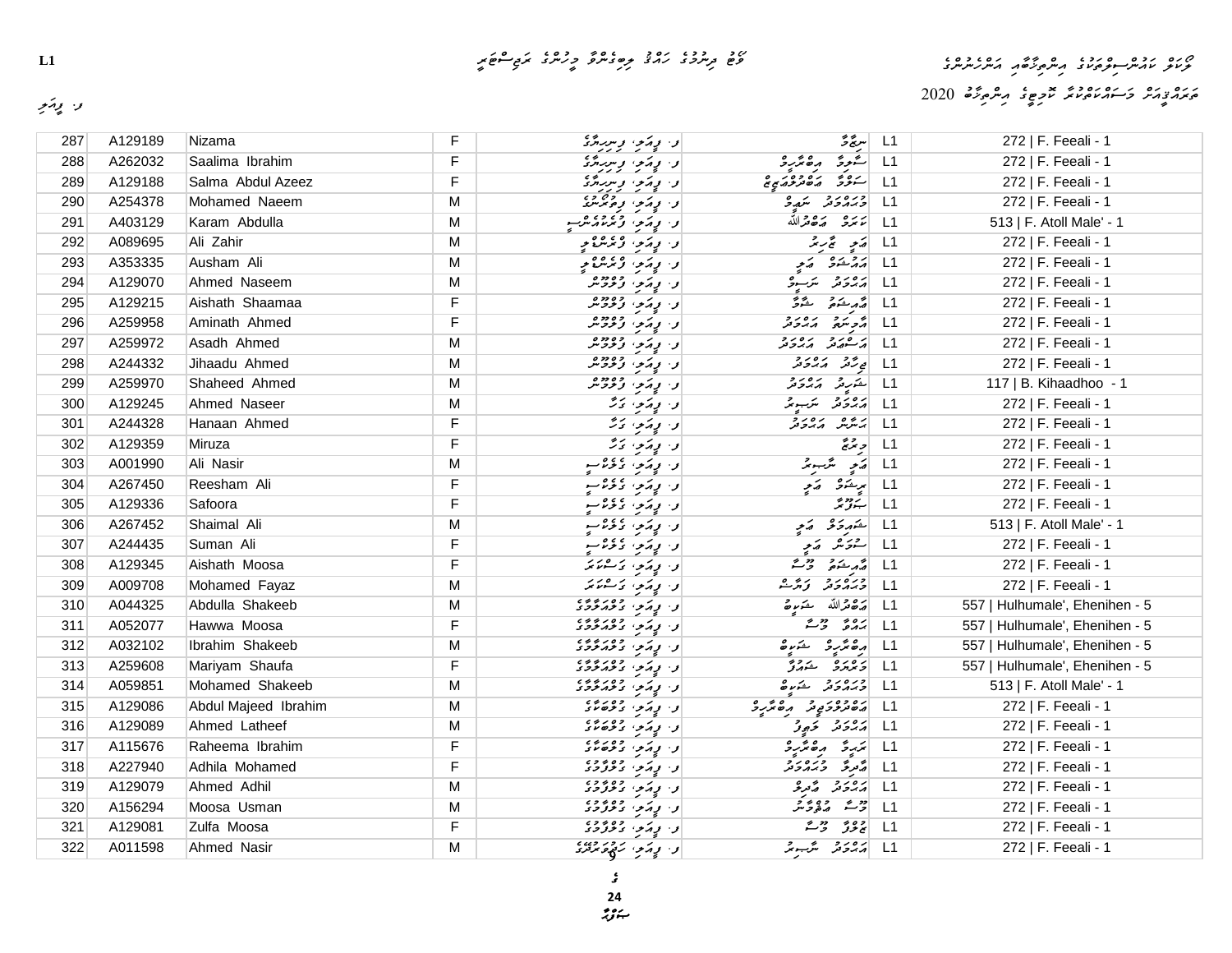<del>خرىكى ئام.ش بۇرى</del>ماي مىلزمەتھەر مىلزىكىلىك *2020 ބު ތިޚާ އިން ގެ ޓީ މި ކޮ ރާ ކު ތް ކަ އް ސަ މަ ށް އަ ޤީ އް ރަ ތަ*

و· *ومنو* 

**L1** 

| 287 | A129189 | Nizama               | F           | والإمكن ومرسرة                    | سرنج و<br>L1                                                                                                                                                                                                                                                                                                                                                                                                                                                                    | 272   F. Feeali - 1            |  |
|-----|---------|----------------------|-------------|-----------------------------------|---------------------------------------------------------------------------------------------------------------------------------------------------------------------------------------------------------------------------------------------------------------------------------------------------------------------------------------------------------------------------------------------------------------------------------------------------------------------------------|--------------------------------|--|
| 288 | A262032 | Saalima Ibrahim      | F           | والإرتوا والبدادة                 | ستوق مەھمىرو<br>L1                                                                                                                                                                                                                                                                                                                                                                                                                                                              | 272   F. Feeali - 1            |  |
| 289 | A129188 | Salma Abdul Azeez    | F           | والإرتوا والإرادة                 | L1 جۇڭ مەھىر <i>ۈم ي</i>                                                                                                                                                                                                                                                                                                                                                                                                                                                        | 272   F. Feeali - 1            |  |
| 290 | A254378 | Mohamed Naeem        | M           | ادا ويموا وه بروه ده              | כנסנכת תגם<br>L1                                                                                                                                                                                                                                                                                                                                                                                                                                                                | 272   F. Feeali - 1            |  |
| 291 | A403129 | Karam Abdulla        | M           | ادا وٍمَدِ وَمُرَامَدٌ مِنْ       | L1 <i>عامرة مقام</i> رالله                                                                                                                                                                                                                                                                                                                                                                                                                                                      | 513   F. Atoll Male' - 1       |  |
| 292 | A089695 | Ali Zahir            | М           | اد· دٍ پرَمُو، وَتَدَمَّدْهُ مِهِ | L1   <i>مَ</i> حٍ مِحْ سِمْر                                                                                                                                                                                                                                                                                                                                                                                                                                                    | 272   F. Feeali - 1            |  |
| 293 | A353335 | Ausham Ali           | M           | ادا وٍمَنْ وَيَرْمَنْ وَ          | L1 <i>أَمَدْ شَدَّدْ</i> كَمَ مِ                                                                                                                                                                                                                                                                                                                                                                                                                                                | 272   F. Feeali - 1            |  |
| 294 | A129070 | Ahmed Naseem         | M           | ادا وٍ په داروده و و              | L1 <i>مُدُوَمْ مَن</i> ِيوْ                                                                                                                                                                                                                                                                                                                                                                                                                                                     | 272   F. Feeali - 1            |  |
| 295 | A129215 | Aishath Shaamaa      | $\mathsf F$ | ادا وٍ دَمَنٍ وُوُوْسٌ            | $\stackrel{3}{\sim}$ $\stackrel{2}{\sim}$ $\stackrel{4}{\sim}$ $\stackrel{4}{\sim}$ $\stackrel{5}{\sim}$ $\stackrel{6}{\sim}$ $\stackrel{6}{\sim}$ $\stackrel{7}{\sim}$ $\stackrel{8}{\sim}$ $\stackrel{1}{\sim}$ $\stackrel{1}{\sim}$                                                                                                                                                                                                                                          | 272   F. Feeali - 1            |  |
| 296 | A259958 | Aminath Ahmed        | F           | ادا وٍ مَرَمٍ، وَوُدْرُهُ         | L1 أَمُرْحَسَمُ أَمَدُونَرُ                                                                                                                                                                                                                                                                                                                                                                                                                                                     | 272   F. Feeali - 1            |  |
| 297 | A259972 | Asadh Ahmed          | M           | ادا وٍ پرَمُوا وَوُوَسَ           | L1 كەشھەقر كەندى تىر                                                                                                                                                                                                                                                                                                                                                                                                                                                            | 272   F. Feeali - 1            |  |
| 298 | A244332 | Jihaadu Ahmed        | M           | ادا وٍ په داروده و و              | L1   م <i>حدَّد مَدُوَمَر</i> ُ                                                                                                                                                                                                                                                                                                                                                                                                                                                 | 272   F. Feeali - 1            |  |
| 299 | A259970 | Shaheed Ahmed        | M           | ادا وٍ په داروده و و و            | L1   ح <i>تى بىر مەندى تەر</i>                                                                                                                                                                                                                                                                                                                                                                                                                                                  | 117   B. Kihaadhoo - 1         |  |
| 300 | A129245 | Ahmed Naseer         | M           | اوس ويماموس المامي                | L1   <i>مەدەنى</i> س <i>ىب</i> ىر                                                                                                                                                                                                                                                                                                                                                                                                                                               | 272   F. Feeali - 1            |  |
| 301 | A244328 | Hanaan Ahmed         | F           | اوس وترًى لاتر                    | L1 ئەنىر مەدىر                                                                                                                                                                                                                                                                                                                                                                                                                                                                  | 272   F. Feeali - 1            |  |
| 302 | A129359 | Miruza               | F           | اوس ويمنوس تحظ                    | L1 دېرې                                                                                                                                                                                                                                                                                                                                                                                                                                                                         | 272   F. Feeali - 1            |  |
| 303 | A001990 | Ali Nasir            | M           | ادا دٍ پرتوا دولاسه               | ەكىي سىگىسىدىكى<br>L1                                                                                                                                                                                                                                                                                                                                                                                                                                                           | 272   F. Feeali - 1            |  |
| 304 | A267450 | Reesham Ali          | F           | ادا دٍ پرَمَوا لاَلْحَظَ ب        | برخکو کمی<br>L1                                                                                                                                                                                                                                                                                                                                                                                                                                                                 | 272   F. Feeali - 1            |  |
| 305 | A129336 | Safoora              | F           | ادا ومزما ووهاسه                  | پېړۍ مخپر<br>L1                                                                                                                                                                                                                                                                                                                                                                                                                                                                 | 272   F. Feeali - 1            |  |
| 306 | A267452 | Shaimal Ali          | M           | ادا وٍ مَرَمٍ، وَوَلَاب           | المتهرة بحر أمرمي<br>L1                                                                                                                                                                                                                                                                                                                                                                                                                                                         | 513   F. Atoll Male' - 1       |  |
| 307 | A244435 | Suman Ali            | F           | ادا وٍ پروا کالومات               | L1 يەنى ئەب                                                                                                                                                                                                                                                                                                                                                                                                                                                                     | 272   F. Feeali - 1            |  |
| 308 | A129345 | Aishath Moosa        | F           | الأالمحضض كالتفليم                | $\stackrel{\circ}{\sim}$ $\stackrel{\circ}{\sim}$ $\stackrel{\circ}{\sim}$ $\stackrel{\circ}{\sim}$ $\stackrel{\circ}{\sim}$ $\stackrel{\circ}{\sim}$ $\stackrel{\circ}{\sim}$ $\stackrel{\circ}{\sim}$ $\stackrel{\circ}{\sim}$ $\stackrel{\circ}{\sim}$ $\stackrel{\circ}{\sim}$ $\stackrel{\circ}{\sim}$ $\stackrel{\circ}{\sim}$ $\stackrel{\circ}{\sim}$ $\stackrel{\circ}{\sim}$ $\stackrel{\circ}{\sim}$ $\stackrel{\circ}{\sim}$ $\stackrel{\circ}{\sim}$ $\stackrel{\$ | 272   F. Feeali - 1            |  |
| 309 | A009708 | Mohamed Fayaz        | M           | اوا وٍمَعٍا وَسَمَعَ              | L1 دېرونو زېژىنه                                                                                                                                                                                                                                                                                                                                                                                                                                                                | 272   F. Feeali - 1            |  |
| 310 | A044325 | Abdulla Shakeeb      | M           | اور وٍمَرٍ وورووو                 | $24 - 28$ مَدهقراللّه مُحَمَّدِهِ                                                                                                                                                                                                                                                                                                                                                                                                                                               | 557   Hulhumale', Ehenihen - 5 |  |
| 311 | A052077 | Hawwa Moosa          | F           | وسومنوس وورووه                    | $23$ $32$ $11$                                                                                                                                                                                                                                                                                                                                                                                                                                                                  | 557   Hulhumale', Ehenihen - 5 |  |
| 312 | A032102 | Ibrahim Shakeeb      | M           | ادر وٍمَرٍ ووروده                 | L1 <i>مەھەتگى</i> رۇ<br>$\stackrel{o}{\circ}$ ria                                                                                                                                                                                                                                                                                                                                                                                                                               | 557   Hulhumale', Ehenihen - 5 |  |
| 313 | A259608 | Mariyam Shaufa       | F           | والإمكن المحمد بحري               | L1   ئ <i>ەيدى ئىممۇ</i>                                                                                                                                                                                                                                                                                                                                                                                                                                                        | 557   Hulhumale', Ehenihen - 5 |  |
| 314 | A059851 | Mohamed Shakeeb      | M           | ادر ومزمز ووروده                  | $\frac{1}{2}$ $\frac{1}{2}$ $\frac{1}{2}$ $\frac{1}{2}$ $\frac{1}{2}$ $\frac{1}{2}$ $\frac{1}{2}$ $\frac{1}{2}$                                                                                                                                                                                                                                                                                                                                                                 | 513   F. Atoll Male' - 1       |  |
| 315 | A129086 | Abdul Majeed Ibrahim | M           | ن وٍ مَسْ وَقَوْمَ وَ             | L1 مەھىرى <i>دەۋرىيە مەھەردى</i>                                                                                                                                                                                                                                                                                                                                                                                                                                                | 272   F. Feeali - 1            |  |
| 316 | A129089 | Ahmed Latheef        | M           | ادر ومزمز وورده                   | L1 <i>مَدْدُوَنْ وَج</i> ورُ                                                                                                                                                                                                                                                                                                                                                                                                                                                    | 272   F. Feeali - 1            |  |
| 317 | A115676 | Raheema Ibrahim      | F           | ن پېښې د ده ده                    | L1 <i>بَدَبِ</i> وَمُقَدَّرِ وَ                                                                                                                                                                                                                                                                                                                                                                                                                                                 | 272   F. Feeali - 1            |  |
| 318 | A227940 | Adhila Mohamed       | F           | ادا وتمن وقوده                    | L1   م <i>ُدودٌ وَبَرُودُو</i>                                                                                                                                                                                                                                                                                                                                                                                                                                                  | 272   F. Feeali - 1            |  |
| 319 | A129079 | Ahmed Adhil          | M           | ادا وٍ په دار ووځ ده              | L1 <i>أن بروتر مق</i> رقر                                                                                                                                                                                                                                                                                                                                                                                                                                                       | 272   F. Feeali - 1            |  |
| 320 | A156294 | Moosa Usman          | M           | ادا وٍ په دار وووده               | L1 دحمقہ میڈوٹنز                                                                                                                                                                                                                                                                                                                                                                                                                                                                | 272   F. Feeali - 1            |  |
| 321 | A129081 | Zulfa Moosa          | F           | او ، وٍ پڑو ، وقووہ               | المحترق المحر في المسترجع<br>L1                                                                                                                                                                                                                                                                                                                                                                                                                                                 | 272   F. Feeali - 1            |  |
| 322 | A011598 | Ahmed Nasir          | М           | ن ويكو ركه وي                     | L1 <i>مەدەنى</i> م <i>ىب</i> ىر                                                                                                                                                                                                                                                                                                                                                                                                                                                 | 272   F. Feeali - 1            |  |

*ގެ 9*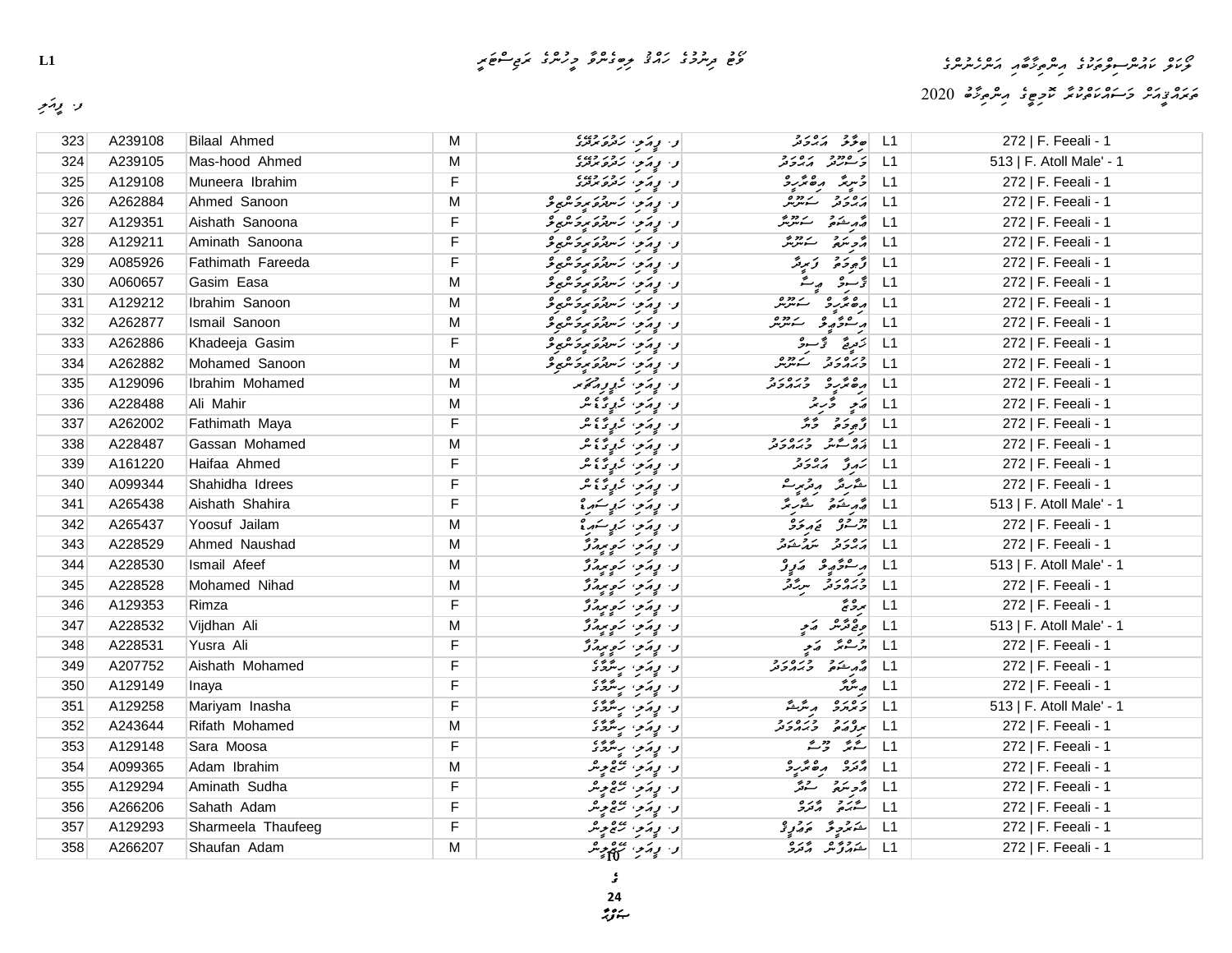<del>خرىكى ئام.ش بۇرى</del>ماي مىلزمەتھەر مىلزىكىلىك *2020 ބު ތިޚާ އިން ގެ ޓީ މި ކޮ ރާ ކު ތް ކަ އް ސަ މަ ށް އަ ޤީ އް ރަ ތަ*

و· *ومنو* 

**L1** 

| 323 | A239108 | <b>Bilaal Ahmed</b> | M | و . وٍ پرکو ، رکور وی ،                   | L1 حرَّق برَرْدَتر                                                                            | 272   F. Feeali - 1      |
|-----|---------|---------------------|---|-------------------------------------------|-----------------------------------------------------------------------------------------------|--------------------------|
| 324 | A239105 | Mas-hood Ahmed      | M | او . وٍ پرکو او در در در در در ا          | L1   ئەسىرىقە ئەيرەتىر                                                                        | 513   F. Atoll Male' - 1 |
| 325 | A129108 | Muneera Ibrahim     | F | او٠ وٍ پرَ مِن رَمَزَهُ مِرْمَرَة         | L1 دېبېر م <i>ەمگرى</i> د                                                                     | 272   F. Feeali - 1      |
| 326 | A262884 | Ahmed Sanoon        | М | أوا ويكوا كالعقوق بروكي و                 | L1 <i>محدود سترتر</i>                                                                         | 272   F. Feeali - 1      |
| 327 | A129351 | Aishath Sanoona     | F | ار، وٍړَی رَسِیْرَ پِرِدَسِّی دِ          | L1 <i>مەم ھەققى كەنتىرىتى</i>                                                                 | 272   F. Feeali - 1      |
| 328 | A129211 | Aminath Sanoona     | F | والمحمد والمستركا بركامية                 | سەمىرىگە<br>L1   م <i>مَّ</i> حە مَتَّعْد                                                     | 272   F. Feeali - 1      |
| 329 | A085926 | Fathimath Fareeda   | F | ال أوادي المستقرة برة شهاد                | L1 وَج <i>وحَمْ وَمِ</i> يعَرَّ                                                               | 272   F. Feeali - 1      |
| 330 | A060657 | Gasim Easa          | M | والمحمد والمستركة بركاهي فحر              | $\stackrel{2}{\sim}$ $\sim$ $\stackrel{2}{\sim}$ $\stackrel{3}{\sim}$ $\stackrel{1}{\sim}$ 11 | 272   F. Feeali - 1      |
| 331 | A129212 | Ibrahim Sanoon      | M | أوا ومكوا كالملكوم وكاللي كالمح           | L1 <i>مەمگرى</i> ئىش <i>رىش</i>                                                               | 272   F. Feeali - 1      |
| 332 | A262877 | Ismail Sanoon       | M | او . وٍ مَرَمٍ ، رَسِيْرَهُ مِرْدَ شَيْءٌ | أم سائۇم ئوق سىتىرلىر<br>L1                                                                   | 272   F. Feeali - 1      |
| 333 | A262886 | Khadeeja Gasim      | F | أوا ومكوا كالملكوكالمركانكوني             | L1  زَمِرةٌ تَخْسِسُ                                                                          | 272   F. Feeali - 1      |
| 334 | A262882 | Mohamed Sanoon      | M | أوا ومكوا كالملكوة برة شياقى              | L1 دېرورو شو <i>رو</i>                                                                        | 272   F. Feeali - 1      |
| 335 | A129096 | Ibrahim Mohamed     | M | اوسومي الثابو ومطما                       | L1 رەھ <i>مگرى دىمەدەر</i>                                                                    | 272   F. Feeali - 1      |
| 336 | A228488 | Ali Mahir           | M | ادا وٍ مَرِ وَالِيَوْمَ عَرَ              | L1   مَرِ وَرِيْرُ                                                                            | 272   F. Feeali - 1      |
| 337 | A262002 | Fathimath Maya      | F | اور وٍمَوِ، رُوِدٌٌ ۽ مُر                 | L1 <i>وُّجوح</i> م حُمَّرُ                                                                    | 272   F. Feeali - 1      |
| 338 | A228487 | Gassan Mohamed      | M | او، وٍمَو، رُوِءٌ ۽ مُد                   | L1 <i>ذکر شہر دیدون</i> ر                                                                     | 272   F. Feeali - 1      |
| 339 | A161220 | Haifaa Ahmed        | F | ادا وٍمَنْ رَوِءٌ لَا مُدَ                | L1 زَروٌ دَبَرْدَ مَر                                                                         | 272   F. Feeali - 1      |
| 340 | A099344 | Shahidha Idrees     | F | <i>و، وٍړَو، رُوِ</i> وُءُ مُر            | L1   يَذْرِيْرُ م <i>حرْبِرِ</i> كَ                                                           | 272   F. Feeali - 1      |
| 341 | A265438 | Aishath Shahira     | F | [وا وٍمَنْ رَوِسَهِ ٤                     | L1 أَهُدَ مِنْهُمْ مِنْ مُدَبَّرٌ                                                             | 513   F. Atoll Male' - 1 |
| 342 | A265437 | Yoosuf Jailam       | M | اوا وٍ رَمَوا رَوِسَهِ ٤                  | L1 أفر عن في مركز من المركز                                                                   | 272   F. Feeali - 1      |
| 343 | A228529 | Ahmed Naushad       | M | او- وٍ ړٌی رَوِیږدٌوٌ                     | L1 <i>أَدْ بَرْدُوْ مَنْ مُدْ</i> شَرْ                                                        | 272   F. Feeali - 1      |
| 344 | A228530 | Ismail Afeef        | M | اوا وٍ مَنْ رَوِيْهِ وَ وَ                | L1   مەش <i>ۇم</i> قۇرۇ                                                                       | 513   F. Atoll Male' - 1 |
| 345 | A228528 | Mohamed Nihad       | M | او- وٍ ړٌی کویږدوٌ                        | כנסנכ תיב<br>L1                                                                               | 272   F. Feeali - 1      |
| 346 | A129353 | Rimza               | F | او- وٍ ړٌی کویږدوٌ                        | $z^2$ ل ابروی                                                                                 | 272   F. Feeali - 1      |
| 347 | A228532 | Vijdhan Ali         | М | او- وِمَرِ رَوِيدِوٌ                      | وقع مگر مگرم<br>L1                                                                            | 513   F. Atoll Male' - 1 |
| 348 | A228531 | Yusra Ali           | F | او- وٍ ړٌو، رَوِ پِهڻَ                    | L1 پر شهر که پر                                                                               | 272   F. Feeali - 1      |
| 349 | A207752 | Aishath Mohamed     | F | ادا ومنوا رینده                           | L1 <i>مەمشۇ دىمەدىر</i>                                                                       | 272   F. Feeali - 1      |
| 350 | A129149 | Inaya               | F | ادا وٍړَی رِسُمَّۃٌ                       | L1 متَرَدَّر                                                                                  | 272   F. Feeali - 1      |
| 351 | A129258 | Mariyam Inasha      | F | ادا وٍ مَنْ رِسُمْتُ وَ                   | L1 <i>دې</i> رگر مېرمنگه                                                                      | 513   F. Atoll Male' - 1 |
| 352 | A243644 | Rifath Mohamed      | M | ادا وٍ مَنْ رِسْمَةٌ وَ                   | برورد دره در<br>L1                                                                            | 272   F. Feeali - 1      |
| 353 | A129148 | Sara Moosa          | F | ن په توري رسمې                            | $23 - 22$<br>L1                                                                               | 272   F. Feeali - 1      |
| 354 | A099365 | Adam Ibrahim        | M | ادا دٍ پرَمَ کار کار کار کار می           | أزدره أركا برد<br>L1                                                                          | 272   F. Feeali - 1      |
| 355 | A129294 | Aminath Sudha       | F | ادا دٍ پرَمَ کارانگاه و مگر               | L1 أَمُرْحَسَنَةً سَفَرٌ                                                                      | 272   F. Feeali - 1      |
| 356 | A266206 | Sahath Adam         | F | ادا وٍ مَرَمٍّ السَّحْوِسُ                | سەرە ئەرە<br>L1                                                                               | 272   F. Feeali - 1      |
| 357 | A129293 | Sharmeela Thaufeeg  | F | ادا وٍ په داران وره ک                     | L1  شەترى <sub>چ</sub> ىۋ ت <i>وڭ ب</i> ولۇ                                                   | 272   F. Feeali - 1      |
| 358 | A266207 | Shaufan Adam        | M | وسمج تروس منهج ويثر                       | L1 خەر <i>ۇش مەنرى</i>                                                                        | 272   F. Feeali - 1      |

*ގެ 10*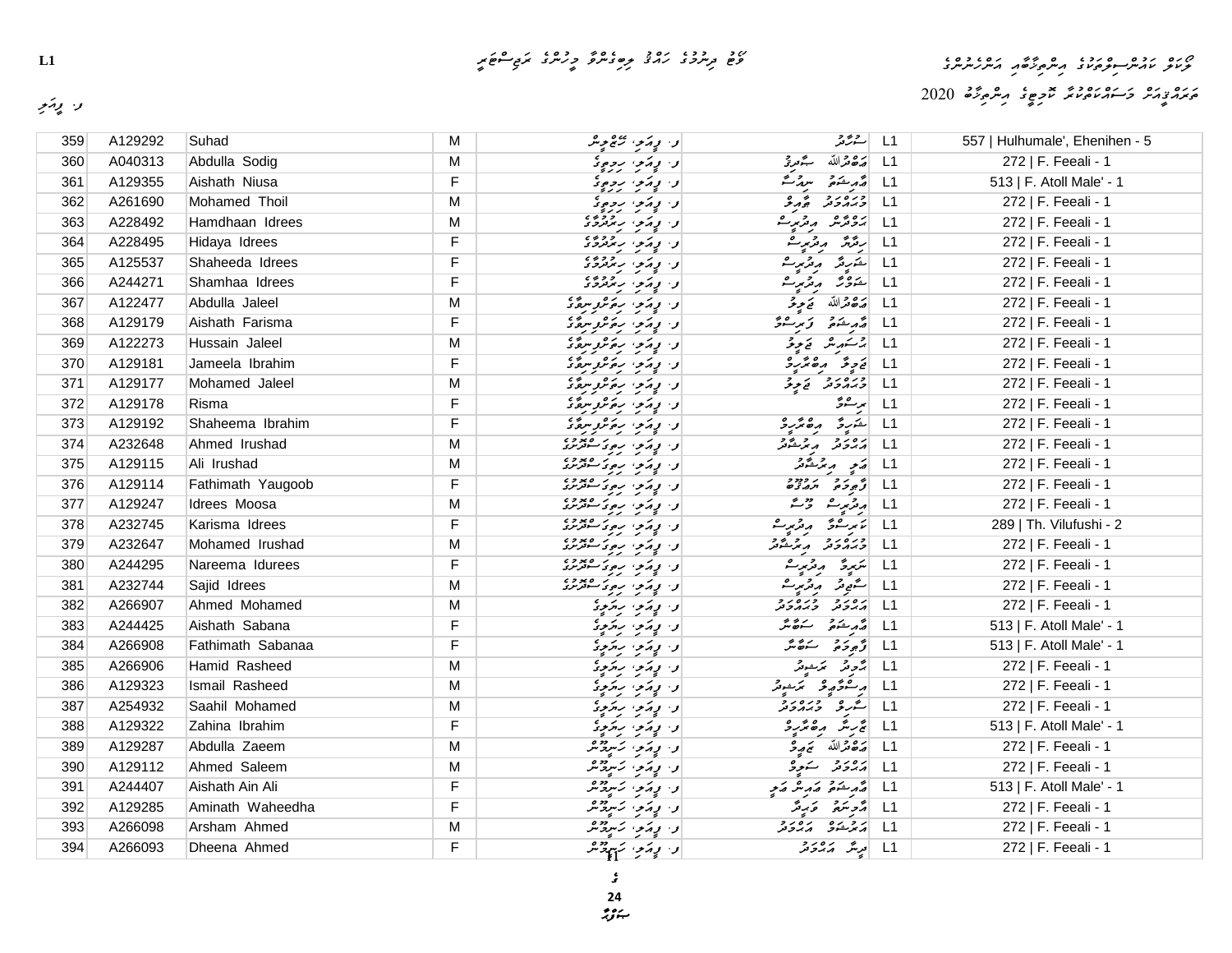و· *ومنو* 

**L1** 

| 359 | A129292 | Suhad             | M | ن په پورې د چې چې پر                        | L1   لسر محمد                                                                                                                 |    | 557   Hulhumale', Ehenihen - 5 |
|-----|---------|-------------------|---|---------------------------------------------|-------------------------------------------------------------------------------------------------------------------------------|----|--------------------------------|
| 360 | A040313 | Abdulla Sodig     | М | اور ويرو رومود                              | L1 رَصْحَرْاللَّهُ جَ <sup>مُ</sup> ورتَّح                                                                                    |    | 272   F. Feeali - 1            |
| 361 | A129355 | Aishath Niusa     | F | اور ويركو الرجوي                            |                                                                                                                               |    | 513   F. Atoll Male' - 1       |
| 362 | A261690 | Mohamed Thoil     | М | اوسوخوس بالمحافي                            | $3.87332$ $-11$                                                                                                               |    | 272   F. Feeali - 1            |
| 363 | A228492 | Hamdhaan Idrees   | M | او . وٍ پرس به پرتروی                       | L1   ئەۋقرىر   مەزىرىشە                                                                                                       |    | 272   F. Feeali - 1            |
| 364 | A228495 | Hidaya Idrees     | F | ن وٍمَنْ رَحْمَوْيَ                         | L1 رى <i>تى</i> تر مەمرىبە <i>-</i>                                                                                           |    | 272   F. Feeali - 1            |
| 365 | A125537 | Shaheeda Idrees   | F | او وړې رنژوده                               | L1  خترینڈ میٹرمی <sup>م</sup>                                                                                                |    | 272   F. Feeali - 1            |
| 366 | A244271 | Shamhaa Idrees    | F | او ، وٍ پر و ، ر بر و و ۽ ،                 | L1  شۇرى مەزىبە <i>1</i>                                                                                                      |    | 272   F. Feeali - 1            |
| 367 | A122477 | Abdulla Jaleel    | м | اور ومكور بالمحترو للمعدة                   | L1 رَصْحَرْاللَّهُ      وَحِرْحَرْ                                                                                            |    | 272   F. Feeali - 1            |
| 368 | A129179 | Aishath Farisma   | F | ادا وٍ مَرَمٍ الرِيمَ عَرُوجِ مِرْيَمَ يَحْ | L1 <i>مەمشۇ ق</i> ىر شۇ                                                                                                       |    | 272   F. Feeali - 1            |
| 369 | A122273 | Hussain Jaleel    | М | اوسومكوس بتماثرو ببقائ                      | L1 پژ <i>سته بنگ فی ی</i> وتو                                                                                                 |    | 272   F. Feeali - 1            |
| 370 | A129181 | Jameela Ibrahim   | F | اور ومكور بالمحافز بالمحافى                 | L1   <i>ق<sub>َ</sub>وِرْقُ مِرْھُمَّرِدْ</i>                                                                                 |    | 272   F. Feeali - 1            |
| 371 | A129177 | Mohamed Jaleel    | М | اور ومكور بالمحافز بالمحافي                 | L1   <i>وَرُدْدُوَدْ</i> كَامِرْتْر                                                                                           |    | 272   F. Feeali - 1            |
| 372 | A129178 | Risma             | F | اور ويزو، بەنەر سەنى                        | برره پچ                                                                                                                       | L1 | 272   F. Feeali - 1            |
| 373 | A129192 | Shaheema Ibrahim  | F | اور ويكور بەلەر سەڭ                         | خرگر مەمگرى                                                                                                                   | L1 | 272   F. Feeali - 1            |
| 374 | A232648 | Ahmed Irushad     | M | او . و پرس رج پر معدو ،                     | L1 <i>أربر ح</i> رم مر مر مشتر                                                                                                |    | 272   F. Feeali - 1            |
| 375 | A129115 | Ali Irushad       | M | ل کړې ره د صورت                             | L1 <i>ھَجِ مِعْنَ</i> مِمَّد                                                                                                  |    | 272   F. Feeali - 1            |
| 376 | A129114 | Fathimath Yaugoob | F | ن په کوم سوی کشوروی                         | $\frac{1}{2}$ $\frac{1}{2}$ $\frac{1}{2}$ $\frac{1}{2}$ $\frac{1}{2}$ $\frac{1}{2}$ $\frac{1}{2}$ $\frac{1}{2}$ $\frac{1}{2}$ |    | 272   F. Feeali - 1            |
| 377 | A129247 | Idrees Moosa      | М | اوس وترکموس مورک مقرمری                     | L1   مرمزمور شد میشتر                                                                                                         |    | 272   F. Feeali - 1            |
| 378 | A232745 | Karisma Idrees    | F | اور ومکور رجوی کے دور                       | L1 <i>مائد س</i> یم میں مقدس میں سے                                                                                           |    | 289   Th. Vilufushi - 2        |
| 379 | A232647 | Mohamed Irushad   | М | والمحضر والمتحصر والمعاودة                  | L1 درەرو مەشقىر                                                                                                               |    | 272   F. Feeali - 1            |
| 380 | A244295 | Nareema Idurees   | F | ن و د کوه روی سهرده                         | L1   سَرَمِرةٌ   مِقْرَمِرِ مُتَّا                                                                                            |    | 272   F. Feeali - 1            |
| 381 | A232744 | Sajid Idrees      | M | ل په په موسیق ده ده د                       | L1  ستموش م <i>وشرمی</i> شہ                                                                                                   |    | 272   F. Feeali - 1            |
| 382 | A266907 | Ahmed Mohamed     | М | اوا وٍ پرسوا ریزوِی                         | L1 <i>ג' ג' ג' ג' ג' ג' ג'</i>                                                                                                |    | 272   F. Feeali - 1            |
| 383 | A244425 | Aishath Sabana    | F | اوسوخر بالمركوى                             | L1 أ <i>ەنگە خەش ئى</i> ر                                                                                                     |    | 513   F. Atoll Male' - 1       |
| 384 | A266908 | Fathimath Sabanaa | F | اوا وٍ په دار به برخور                      | L1 أَوَّجِرَةَ مُتَوَسَّرٌ                                                                                                    |    | 513   F. Atoll Male' - 1       |
| 385 | A266906 | Hamid Rasheed     | M | اوسوخر بالمركوى                             | L1 پُرونر برَجونر                                                                                                             |    | 272   F. Feeali - 1            |
| 386 | A129323 | Ismail Rasheed    | M | اوس وكمنوس بالمزوى                          | أم سكوكر في الكرسوفر                                                                                                          | L1 | 272   F. Feeali - 1            |
| 387 | A254932 | Saahil Mohamed    | M | اوا وٍ په دار به برتوری                     | L1   س <i>ترى دىمەدىر</i>                                                                                                     |    | 272   F. Feeali - 1            |
| 388 | A129322 | Zahina Ibrahim    | F | اوا وٍ په دار به بروی                       | L1 تج رى <i>گە مەھەترى</i> دۇ                                                                                                 |    | 513   F. Atoll Male' - 1       |
| 389 | A129287 | Abdulla Zaeem     | М | اور وٍ پرَمُو، رَسِرُوهن                    | L1 مَدْهِ قَرْاللَّهُ بَحَ مِرْدَّ                                                                                            |    | 272   F. Feeali - 1            |
| 390 | A129112 | Ahmed Saleem      | М | وا وٍ مرَضٍ كَسِرَةٌ مَرْ                   | L1 <i>مەدى ئىب</i>                                                                                                            |    | 272   F. Feeali - 1            |
| 391 | A244407 | Aishath Ain Ali   | F | وا وٍ مرَضٍ كَسِرَةٌ مَرَّ                  | L1   م <i>ەُم شەھ مەمەنلى مەي</i>                                                                                             |    | 513   F. Atoll Male' - 1       |
| 392 | A129285 | Aminath Waheedha  | F | اوا وٍمَوا رَسِرُولُمْ                      | L1 أَمُّ <i>جِيبَهُمْ وَبِ</i> يَّدُ                                                                                          |    | 272   F. Feeali - 1            |
| 393 | A266098 | Arsham Ahmed      | М | اوا وٍمَوا رَسِرُهُ مَ                      | L1   مَعْرَ شَدَّقَ مَدَّرْ قَدْ                                                                                              |    | 272   F. Feeali - 1            |
| 394 | A266093 | Dheena Ahmed      | F | ن پېښو کېږې شه                              | L1   م <sub>ی</sub> رش برجونز                                                                                                 |    | 272   F. Feeali - 1            |

⊭ا<br>≵<br>24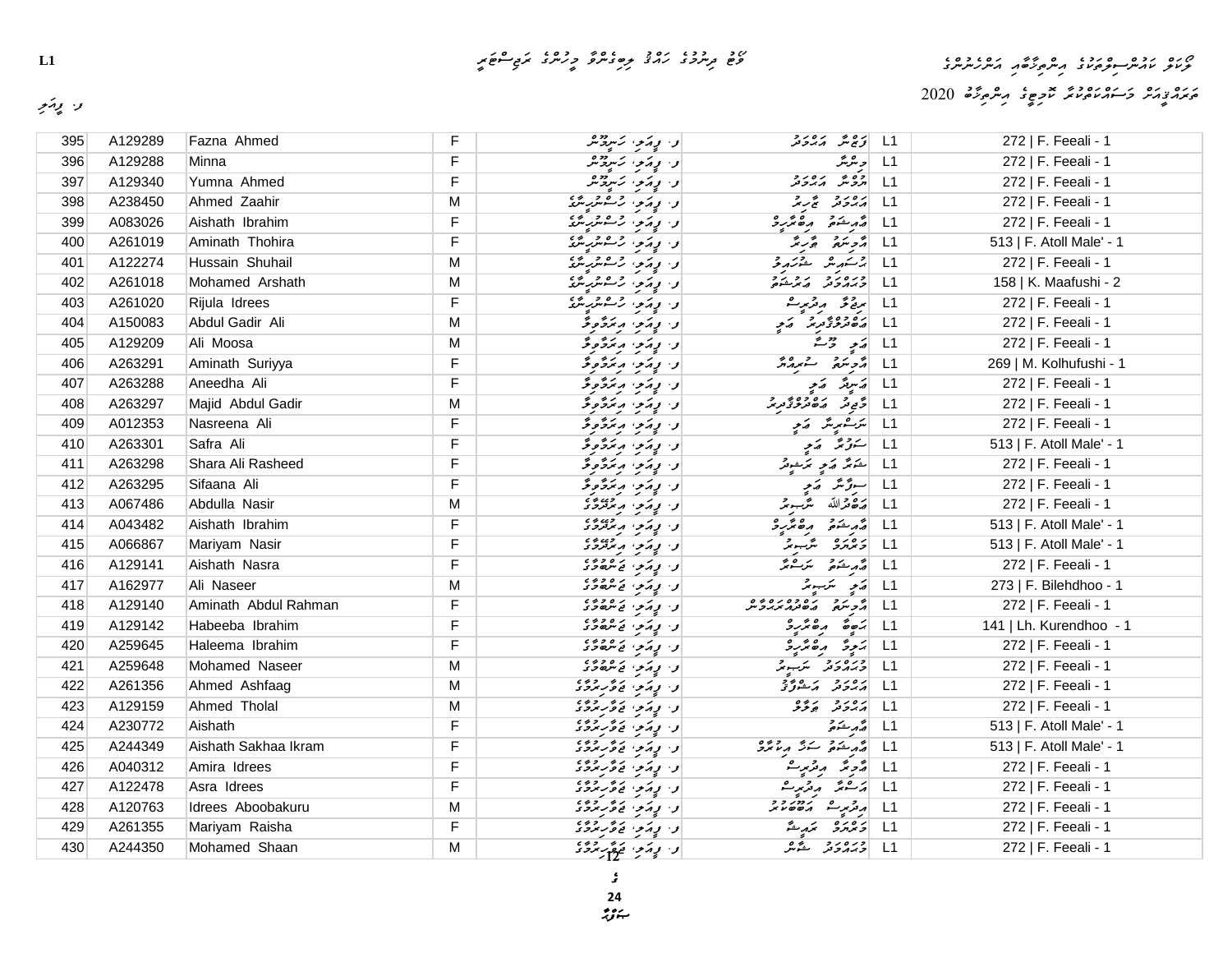*ޯކަލް ކައުންސިލްތަކުގެ އިންތިޚާބާއި އަންހެނުންގެ ވޯ ލ ތަރައްޤީއަށް މަސައްކަތްކުރާ ކޮމިޓީގެ އިންތިޚާބު 2020*

ى <sub>م</sub>ەتىر

| 395 | A129289 | Fazna Ahmed          | F            | وا وٍ مَوا رَسِيدَ مَد                           | L1 زَیْ شَرَ مَدَوْمَر                                                                  | 272   F. Feeali - 1      |
|-----|---------|----------------------|--------------|--------------------------------------------------|-----------------------------------------------------------------------------------------|--------------------------|
| 396 | A129288 | Minna                | E            | والإركاب كالبردهن                                | L1 دىگەنگە                                                                              | 272   F. Feeali - 1      |
| 397 | A129340 | Yumna Ahmed          | F            | اوا وٍمَوا رَسِرُوهِ                             | L1 برونٹر برورور                                                                        | 272   F. Feeali - 1      |
| 398 | A238450 | Ahmed Zaahir         | M            | اور ومرکب الرحم مرکب مرکز                        | L1 <i>مَدْدَوْرٌ</i> مِحْرَ مَمْر                                                       | 272   F. Feeali - 1      |
| 399 | A083026 | Aishath Ibrahim      | F            | اور ومكور رقم على مكريمة                         | L1 <i>مەمشۇ مەمگرى</i><br>                                                              | 272   F. Feeali - 1      |
| 400 | A261019 | Aminath Thohira      | F            | اور ومكور وكالمترسكة                             | L1 أُمُّ <i>جِينَ جُ</i> رِيمُ                                                          | 513   F. Atoll Male' - 1 |
| 401 | A122274 | Hussain Shuhail      | M            | اور ومكور رقم على مكريمة                         | L1   ير <i>سكه مثر مثر كرد</i> تحر                                                      | 272   F. Feeali - 1      |
| 402 | A261018 | Mohamed Arshath      | M            | اور ومكور رقش مرتكز                              | L1 <i>دې ده د تر</i> شو                                                                 | 158   K. Maafushi - 2    |
| 403 | A261020 | Rijula Idrees        | F            | ادا وٍ مَرَمٍ، رُّسْشَرْرِسُّنَدُ                | L1   يرقى قر مرت <i>ربر</i> شر                                                          | 272   F. Feeali - 1      |
| 404 | A150083 | Abdul Gadir Ali      | M            | ال إيادي مِنگونگونگ                              | L1 - مەھىرى <i>قىرىتى مەر</i>                                                           | 272   F. Feeali - 1      |
| 405 | A129209 | Ali Moosa            | M            | ادا وٍ مَرَمٍ المُتَوَوَّوَ                      | L1   م <i>َ</i> مِ حِمْ مُتَّ                                                           | 272   F. Feeali - 1      |
| 406 | A263291 | Aminath Suriyya      | F            | ادا وٍ په دار مروگونی                            | L1 أَمُرْحِسَنَةَ سُنَمَ <i>مَمَ</i>                                                    | 269   M. Kolhufushi - 1  |
| 407 | A263288 | Aneedha Ali          | F            | ادا وٍمَنْ مِعَوَّوَةٌ                           | L1 <i>مذہبڈ م</i> َد <i>ِ</i>                                                           | 272   F. Feeali - 1      |
| 408 | A263297 | Majid Abdul Gadir    | M            | ادا وٍړَی ریرَوُونَ                              | L1 گۇي <sub>ى</sub> تر مەھىرىرگەرىر                                                     | 272   F. Feeali - 1      |
| 409 | A012353 | Nasreena Ali         | F            | ادا وٍمَنْ مِعَدَّوةً                            | L1 <i>سَرَے پر سُرَ م</i> َ پرِ                                                         | 272   F. Feeali - 1      |
| 410 | A263301 | Safra Ali            | F            | ادا وٍ په دار برگرونگ                            | L1  سَوْتَرَ صَعِ                                                                       | 513   F. Atoll Male' - 1 |
| 411 | A263298 | Shara Ali Rasheed    | F            | ار، وٍړَی ریردُودٌ                               | 1]   شَمَعٌ <b>مَ</b> مِ مَرْسُومٌ                                                      | 272   F. Feeali - 1      |
| 412 | A263295 | Sifaana Ali          | E            | ادا وٍمَنْ مِعَدَّوَمٌ                           | L1   سورٌ مَثَرِ مَصَوِ                                                                 | 272   F. Feeali - 1      |
| 413 | A067486 | Abdulla Nasir        | M            | او ، وٍ مَرَمٍ ، مرتزوی                          | L1 22 مَقْتَرَاللَّهُ شَرْجِعْتُ                                                        | 272   F. Feeali - 1      |
| 414 | A043482 | Aishath Ibrahim      | F            | او وترو بر ودود                                  | L1 مەمشۇ م <i>ەمگرى</i> ئ                                                               | 513   F. Atoll Male' - 1 |
| 415 | A066867 | Mariyam Nasir        | F            | او و په د او د ده ده                             | L1   <i>وَبُرْدَرْدْ</i> مُ <i>رْبِيد</i> ْ                                             | 513   F. Atoll Male' - 1 |
| 416 | A129141 | Aishath Nasra        | F            | او ، و مرکز ، و معرضی                            | L1 <i>مەم شۇمى</i> س <i>رگىن</i> گە                                                     | 272   F. Feeali - 1      |
| 417 | A162977 | Ali Naseer           | M            | اور ومكور كالمعامرة                              | L1   رَمِ سَ سَرَبِ                                                                     | 273   F. Bilehdhoo - 1   |
| 418 | A129140 | Aminath Abdul Rahman | F            | او . و مر و ، و محمد موسوع                       | $1$ $\frac{1}{2}$ $\frac{1}{2}$ $\frac{1}{2}$ $\frac{1}{2}$ $\frac{1}{2}$ $\frac{1}{2}$ | 272   F. Feeali - 1      |
| 419 | A129142 | Habeeba Ibrahim      | F            | و . وٍ مَرِ وَ عَسْرَ وَ وَ وَ عَ                |                                                                                         | 141   Lh. Kurendhoo - 1  |
| 420 | A259645 | Haleema Ibrahim      | F            | اوا ويدوا كالمعادوي                              | L1 <i>ټوپو وگاپ</i> و                                                                   | 272   F. Feeali - 1      |
| 421 | A259648 | Mohamed Naseer       | M            | اور ومدار و مقصور                                | L1 <i>وُبَرْهُ دَوْ</i> مَرَسِیْتُمْ                                                    | 272   F. Feeali - 1      |
| 422 | A261356 | Ahmed Ashfaag        | M            | و وٍ مَو مَوَ مِرود                              | L1 <i>مەدەر مشۇقى</i>                                                                   | 272   F. Feeali - 1      |
| 423 | A129159 | Ahmed Tholal         | M            | او ، وٍمَو، فَاقْرَ بِرَوْهِ                     | L1 <i>مَدْدَمْ وَقُ</i> وْ                                                              | 272   F. Feeali - 1      |
| 424 | A230772 | Aishath              | $\mathsf{F}$ | و ، وٍ مَرَمٍ ، وَ وَ مُرَوَى                    | $\frac{3}{2}$ $\frac{3}{2}$ $\frac{3}{2}$ $\frac{1}{2}$ $\frac{1}{2}$                   | 513   F. Atoll Male' - 1 |
| 425 | A244349 | Aishath Sakhaa Ikram | E            | و ، وٍ مَرَمٍ ، وَ وَ وَ وَ وَ وَ وَ وَ وَ وَ وَ | L1 ۾ُدِينوَ سَڏَ دِينِرُدِ                                                              | 513   F. Atoll Male' - 1 |
| 426 | A040312 | Amira Idrees         | F            | ال ولكو، فأقر وها                                | L1 مَرْحِبَّدُ مِنْزَمِرِ مَشْ                                                          | 272   F. Feeali - 1      |
| 427 | A122478 | Asra Idrees          | E            | ادا وٍمَنْ وَقَدْ وَوَهُ                         | L1 أرَّ-شَتَرَ م <i>جونْبِ</i> -شَ                                                      | 272   F. Feeali - 1      |
| 428 | A120763 | Idrees Aboobakuru    | M            | و ومرد فكار دوه                                  | L1 روبر مقصوم بر                                                                        | 272   F. Feeali - 1      |
| 429 | A261355 | Mariyam Raisha       | F            | و ومرد فكار دوه                                  | L1   <i>5 بروزی برم بن</i> گ                                                            | 272   F. Feeali - 1      |
| 430 | A244350 | Mohamed Shaan        | M            | ادا وٍ دَمِنِ الْمَعْ رَحْمَةُ وَ                | L1 دېرونو ځمنگ                                                                          | 272   F. Feeali - 1      |

*ގެ*

**24**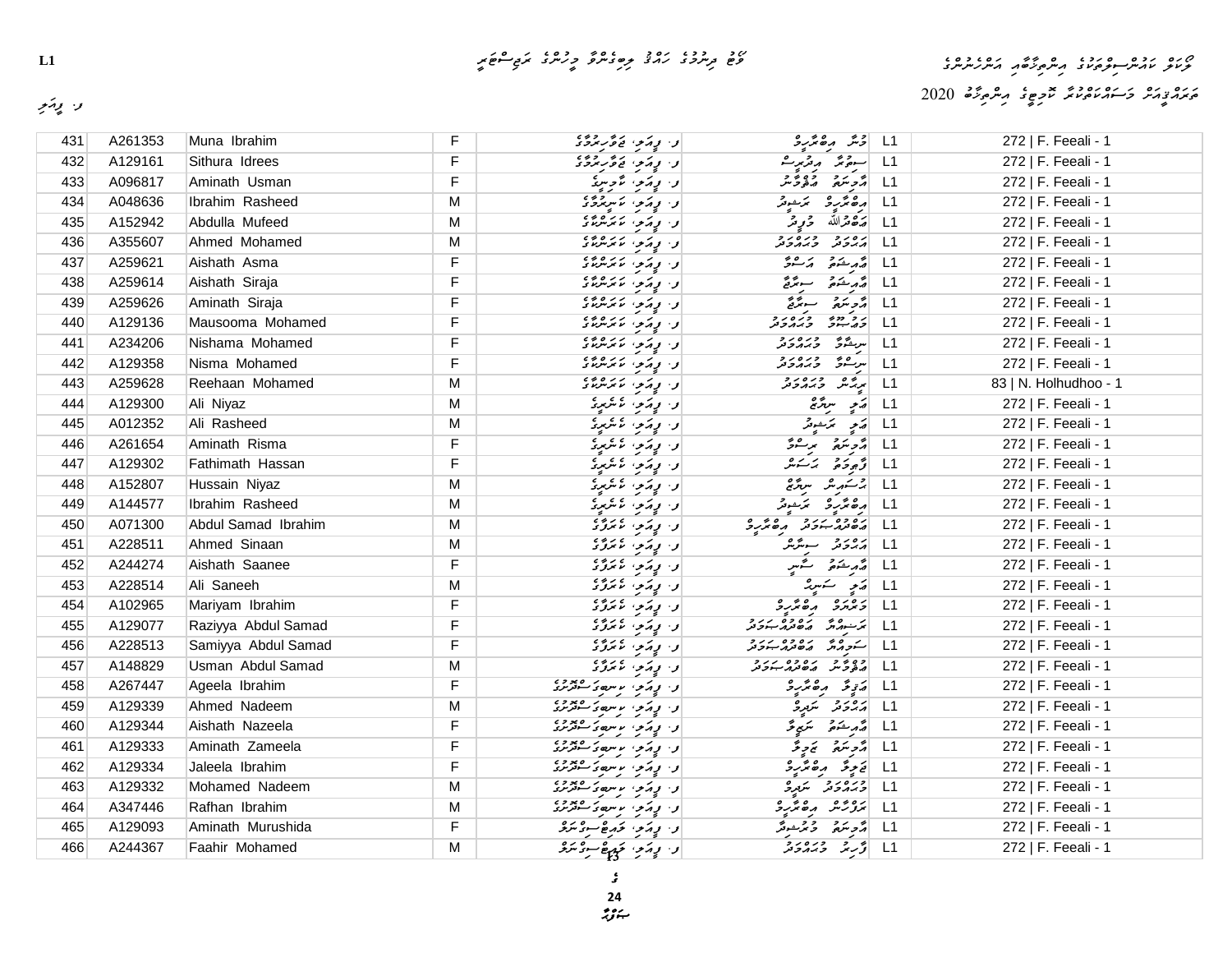<del>خرىكى ئام.ش بۇرى</del>ماي مىلزمەتھەر مىلزىكىلىك *2020 ބު ތިޚާ އިން ގެ ޓީ މި ކޮ ރާ ކު ތް ކަ އް ސަ މަ ށް އަ ޤީ އް ރަ ތަ*

و· *ومنو* 

**L1** 

| 431 | A261353 | Muna Ibrahim        | F           | اوا وٍ مَرْمٍ الْمَوَّرِ مُرْدَّدٌ      | L1   دْسُرْ مەھْرَىب <sup>و</sup>                      | 272   F. Feeali - 1   |
|-----|---------|---------------------|-------------|-----------------------------------------|--------------------------------------------------------|-----------------------|
| 432 | A129161 | Sithura Idrees      | F           | وسوري فأقربهم                           | L1   سو <i>مۇنگە مەمرىب</i>                            | 272   F. Feeali - 1   |
| 433 | A096817 | Aminath Usman       | F           | اور ويمنوا الموسيع                      |                                                        | 272   F. Feeali - 1   |
| 434 | A048636 | Ibrahim Rasheed     | M           | اور ويكور لاستعداد                      | L1 رەڭرىر <i>ۇ ترىنى</i> قر                            | 272   F. Feeali - 1   |
| 435 | A152942 | Abdulla Mufeed      | М           | اوا وأموا المماسما                      | L1   رَصْحَرْاللّه   تَرُوِيْرُ                        | 272   F. Feeali - 1   |
| 436 | A355607 | Ahmed Mohamed       | М           | اوا ومكوا المتمامات                     | L1 <i>הגבת בגתבת</i>                                   | 272   F. Feeali - 1   |
| 437 | A259621 | Aishath Asma        | F           | اوا وٍ مَرَمٍ الأَنَّمُ مَعَنَّمَ مَدَّ | L1 مەم ئەسىئەتى كەنسىز                                 | 272   F. Feeali - 1   |
| 438 | A259614 | Aishath Siraja      | F           | اوا ويكوا المترسمان                     | L1 مُدِيسَة سِتَرَةَ                                   | 272   F. Feeali - 1   |
| 439 | A259626 | Aminath Siraja      | F           | اوا وٍ مرَمٍ الأَعْرَ مَعَنَّ مِنْ      | L1 أَمَّرْحَتَهُمْ سَعَمَّةً                           | 272   F. Feeali - 1   |
| 440 | A129136 | Mausooma Mohamed    | F           | والمحضرة المتحاطف                       | 5, 2, 3, 5, 7, 7, 7                                    | 272   F. Feeali - 1   |
| 441 | A234206 | Nishama Mohamed     | F           | ن وٍ دَي مَعَسْرَةٌ وَ                  | L1  س شَرَقَ وَبَرْدُونَر                              | 272   F. Feeali - 1   |
| 442 | A129358 | Nisma Mohamed       | F           | ن ومنو، منز الله عن                     | L1 سرگوگر وبرورو                                       | 272   F. Feeali - 1   |
| 443 | A259628 | Reehaan Mohamed     | М           | ن وٍمَنْ مَتَرَهُ لِمَعَةً              | L1   بریژنٹر <i>محکم ج</i> وٹر                         | 83   N. Holhudhoo - 1 |
| 444 | A129300 | Ali Niyaz           | М           | او- وٍ پرَمو، المالكيږي                 | L1   رَمِهِ سِ <i>رَدْج</i>                            | 272   F. Feeali - 1   |
| 445 | A012352 | Ali Rasheed         | М           | او- وٍ پڑو، انگریزنی                    | L1   م <i>دّمة م</i> ترجومر                            | 272   F. Feeali - 1   |
| 446 | A261654 | Aminath Risma       | F           | او- وٍمَوَا الأَسْمَرِي                 | L1 أُمُّ <i>حِيدَةً بِرِ</i> سْتَرَّ                   | 272   F. Feeali - 1   |
| 447 | A129302 | Fathimath Hassan    | F           | او- وٍ مَنْ وَ عَمَيْرِيْ               | L1 <i>وُجوحَة برَسَ</i> سْر                            | 272   F. Feeali - 1   |
| 448 | A152807 | Hussain Niyaz       | M           | اوا وٍ پرَمُوا الأَسْمَلِينَ            | L1 پر <i>شہر مثل سرمرمن</i> ج                          | 272   F. Feeali - 1   |
| 449 | A144577 | Ibrahim Rasheed     | M           | اوا وٍمَوا الأَسْمَيْرَ                 | L1   م <i>ِی مُرْبِ</i> وْ کَرَسْبِیْر                 | 272   F. Feeali - 1   |
| 450 | A071300 | Abdul Samad Ibrahim | М           | ادا وٍ په داده کاروه                    | $1 - 2 - 3 - 3 - 6$                                    | 272   F. Feeali - 1   |
| 451 | A228511 | Ahmed Sinaan        | М           | اوا ومكوا المعزوي                       | L1   ا <i>ربزد تر</i> سه سر شریبر                      | 272   F. Feeali - 1   |
| 452 | A244274 | Aishath Saanee      | F           | اوا وٍمَوا المعروفي                     | L1 ۾ُمِشَمَّ ٿَسِ                                      | 272   F. Feeali - 1   |
| 453 | A228514 | Ali Saneeh          | м           | اوا ومكوا المعزوى                       | L1   رَمِ سَمَسِ د                                     | 272   F. Feeali - 1   |
| 454 | A102965 | Mariyam Ibrahim     | $\mathsf F$ | اوا ومكوا المنكرى                       | 5, 20, 20, 5                                           | 272   F. Feeali - 1   |
| 455 | A129077 | Raziyya Abdul Samad | F           | اوا ومكوا المعزوى                       | L1 <i>بر شوره و ه ه توه برد و</i>                      | 272   F. Feeali - 1   |
| 456 | A228513 | Samiyya Abdul Samad | F           | والمحضر الملحوي                         | $1 - 2202 - 895$                                       | 272   F. Feeali - 1   |
| 457 | A148829 | Usman Abdul Samad   | м           | الأدا ومكود المالكروي                   | L1 <i>1,000 - 1000 - 1000</i>                          | 272   F. Feeali - 1   |
| 458 | A267447 | Ageela Ibrahim      | $\mathsf F$ | ن و د کو است و د د د د                  | L1 <i>ھَ<sub>تِّ</sub>وَدُّ م</i> ِھْتَر <i>ُدِ</i> دُ | 272   F. Feeali - 1   |
| 459 | A129339 | Ahmed Nadeem        | м           | او . و مرکز ، ما سعه کا سعورسری         | L1 <i>مَدْوَمْ سَعِ</i> رْ                             | 272   F. Feeali - 1   |
| 460 | A129344 | Aishath Nazeela     | F           | او . و مرکز ، ما سرحانی معدوده          | L1 چەرىشىق سىبى ئى                                     | 272   F. Feeali - 1   |
| 461 | A129333 | Aminath Zameela     | F           | و . و مرکز ، ما سرحه که سود دره         | L1 أَمُّ <i>جِينَهُ</i> بِمَج <sup>و</sup> َّةً        | 272   F. Feeali - 1   |
| 462 | A129334 | Jaleela Ibrahim     | F           | و . و مرکز ، ما سرحه که سور در د        | L1   ق موتى م مر <i>ھ ترب</i> ۋ                        | 272   F. Feeali - 1   |
| 463 | A129332 | Mohamed Nadeem      | M           | و و دو است و دود                        | L1 <i>وَبَرُوْدُوْ سَبْ</i> رِدْ                       | 272   F. Feeali - 1   |
| 464 | A347446 | Rafhan Ibrahim      | M           | او ، و مرکز ، ما سرحانی سود و به        | L1 <i>بزور شه می شرد</i>                               | 272   F. Feeali - 1   |
| 465 | A129093 | Aminath Murushida   | F           | اوسومنوا بمدع سومن                      | L1   مُرْحِسَمُ مِحْمَدِ مِنْ مِنْ                     | 272   F. Feeali - 1   |
| 466 | A244367 | Faahir Mohamed      | М           | ادا وٍ رَوِدا مَهْبِعْ سِوْسَرَةَ       | L1 أَوَّرِيمُ وَيَرْدُونَّرُ                           | 272   F. Feeali - 1   |

*ގެ 13*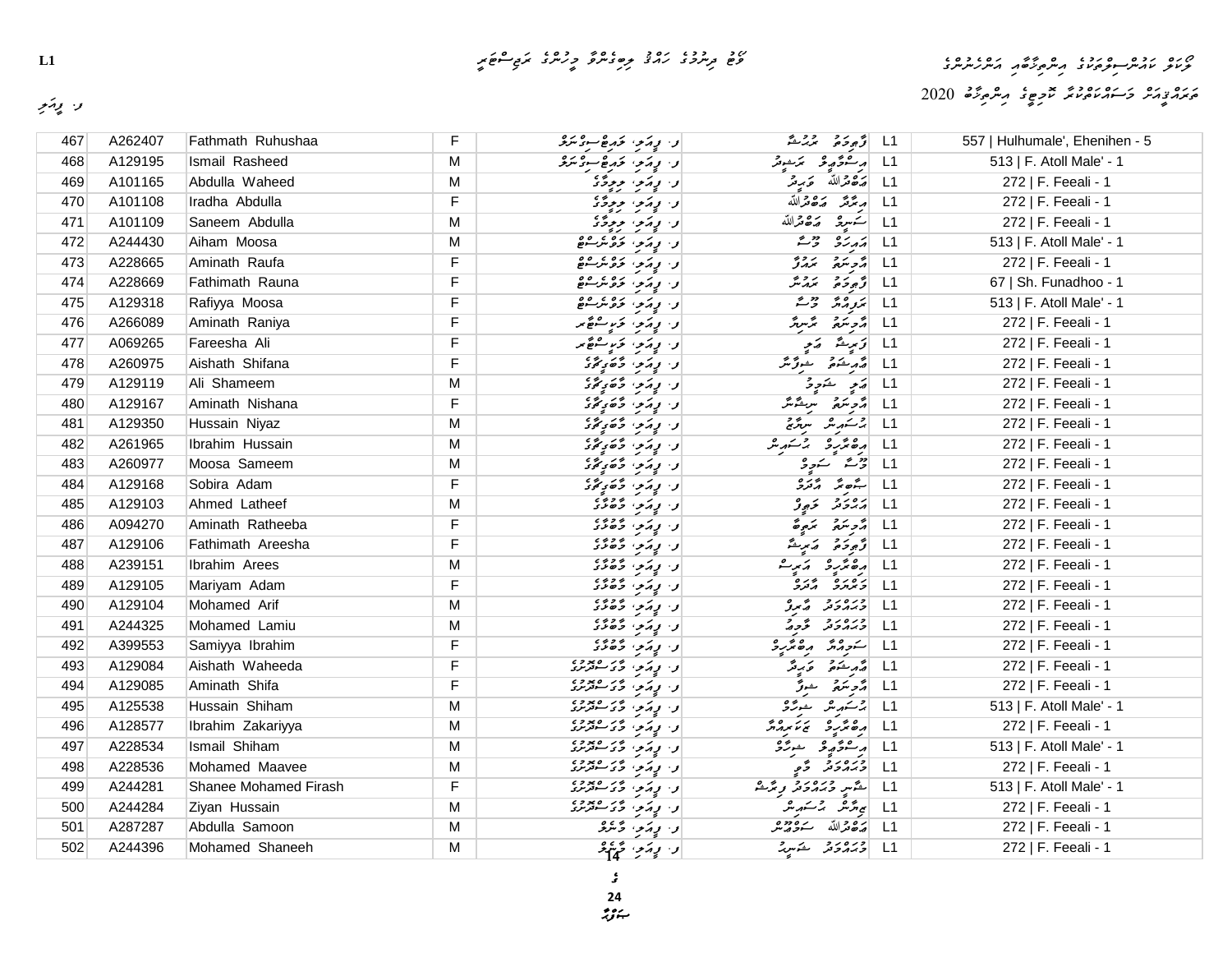*ޯކަލް ކައުންސިލްތަކުގެ އިންތިޚާބާއި އަންހެނުންގެ ވޯ ލ ތަރައްޤީއަށް މަސައްކަތްކުރާ ކޮމިޓީގެ އިންތިޚާބު 2020*

ى <sub>م</sub>ەتىر

| 467 | A262407 | Fathmath Ruhushaa     | F           | الأستجاري المحارية والمحاشرة              | L1 <i>وُجوح</i> و مركز منهُ                 | 557   Hulhumale', Ehenihen - 5 |
|-----|---------|-----------------------|-------------|-------------------------------------------|---------------------------------------------|--------------------------------|
| 468 | A129195 | Ismail Rasheed        | М           | المستواري المحمدة سوالموالي               | L1  م <i>ېرىنىڭ بولىغ</i> وتر               | 513   F. Atoll Male' - 1       |
| 469 | A101165 | Abdulla Waheed        | М           | ادا وٍړٌی ووِدٌی                          | L1   مَدْهُ قُرْاللّه     مَ بِقْر          | 272   F. Feeali - 1            |
| 470 | A101108 | Iradha Abdulla        | F           | ن وٍ مَنْ وَوِوْدٌ                        | L1 مرتمر <i>ة مك</i> انكة                   | 272   F. Feeali - 1            |
| 471 | A101109 | Saneem Abdulla        | м           | ادا وٍ وَرَمِ الْمُعْرِوَةُ وَ            | L1  سَمَسِرْتُہ صَرْحَةَ مَرْاللّه          | 272   F. Feeali - 1            |
| 472 | A244430 | Aiham Moosa           | M           | اور وتكور تحويل فاقا                      | $23$ $321$ $11$                             | 513   F. Atoll Male' - 1       |
| 473 | A228665 | Aminath Raufa         | F           | اوا وأتمن تحق شرقي                        | L1 أَمُرْحَسَنَةً مَدَمَرٌ                  | 272   F. Feeali - 1            |
| 474 | A228669 | Fathimath Rauna       | F           | والمحضر وكالمحافي فأفحف والمحافي          | L1 <i>وَّجوحَمْ بَدَم</i> ْتُر              | 67   Sh. Funadhoo - 1          |
| 475 | A129318 | Rafiyya Moosa         | F           | اوا وٍ مَرَمٍ، نَوَهُ شَرْحَهِ            | L1 بَرَوِهُ ثُرَّ ثُرَ مَّ                  | 513   F. Atoll Male' - 1       |
| 476 | A266089 | Aminath Raniya        | F           | اوا وٍمَرَوا مَرَسِّعَةٍ مَرَّ            | L1 أُمُّ جِسَعَةً مُحَسَّدَةً               | 272   F. Feeali - 1            |
| 477 | A069265 | Fareesha Ali          | F           | اوا وٍ مَرِّمٍ الْحَرَّابِ الْمُتَحَامِرِ | L1  زَمِرِشٌ <sub>م</sub> َرَمٍ             | 272   F. Feeali - 1            |
| 478 | A260975 | Aishath Shifana       | F           | اور ويكور وكالمحموم                       | L1 مەم ئىكتى ئىستى ئىگەنگىز                 | 272   F. Feeali - 1            |
| 479 | A129119 | Ali Shameem           | М           | وا وٍمَنْ وَقَاءِ مُحْمَدُ                | L1 <i>ڇُوِ خُووُ</i>                        | 272   F. Feeali - 1            |
| 480 | A129167 | Aminath Nishana       | F           | اور وٍ مَرِمٍ، وَتَحَوِيَوْءُ             | L1   مُرْحِسَةُ مِنْ مِنْتَمَتَر            | 272   F. Feeali - 1            |
| 481 | A129350 | Hussain Niyaz         | M           | اوا ومكوا وكالمحافي                       | L1 بر <i>شہر مثل میں پر ج</i>               | 272   F. Feeali - 1            |
| 482 | A261965 | Ibrahim Hussain       | М           | وا وٍمَنْ وَقَاوِمُوَ                     | L1 رەئزىر ئەسكەنلە                          | 272   F. Feeali - 1            |
| 483 | A260977 | Moosa Sameem          | M           | اوا ويركب وكالمحافي                       | L1   2 شرقر                                 | 272   F. Feeali - 1            |
| 484 | A129168 | Sobira Adam           | F           | اوا ومكوا وكالمحالج                       | L1 شەھىگە م <i>ەند</i> ى                    | 272   F. Feeali - 1            |
| 485 | A129103 | Ahmed Latheef         | M           | اور ومکع، ڈھڑی                            | L1 <i>مُدْدَنْدُ</i> مَعِيوْ                | 272   F. Feeali - 1            |
| 486 | A094270 | Aminath Ratheeba      | F           | ادا وٍ مَرَى وَ وَ وَ وَ                  | L1 أَمُرْحَسَهُ مَرْجِرَةٌ                  | 272   F. Feeali - 1            |
| 487 | A129106 | Fathimath Areesha     | F           | ادا ومكوا ومحاملات                        | L1 أَوَّج <i>ودَةْ</i> أَصَّبِرْ مِشَّ      | 272   F. Feeali - 1            |
| 488 | A239151 | Ibrahim Arees         | M           | اور وٍ مَرَمٍ، وٌَ وَوَيَ                 | L1 رەئزىر <i>ۇ مېر</i>                      | 272   F. Feeali - 1            |
| 489 | A129105 | Mariyam Adam          | F           | ادا ومكوا ومحمو                           | L1   ئەتەر <i>ە بۇنى</i> رە                 | 272   F. Feeali - 1            |
| 490 | A129104 | Mohamed Arif          | M           | ادا ومكوا ومحفى                           | L1 دېرورو وگمبرو                            | 272   F. Feeali - 1            |
| 491 | A244325 | Mohamed Lamiu         | M           | اور ومكور ومحقوق                          | ورورو محجة<br>L <sub>1</sub>                | 272   F. Feeali - 1            |
| 492 | A399553 | Samiyya Ibrahim       | F           | اور ومكور ومحصوف                          | سورش رەشرە<br>L1                            | 272   F. Feeali - 1            |
| 493 | A129084 | Aishath Waheeda       | F           | و٠ وٍ دَي دُمَ د ٥ موده                   | L1 حَمدِ شَمَعْ وَرِمَّدٌ                   | 272   F. Feeali - 1            |
| 494 | A129085 | Aminath Shifa         | $\mathsf F$ | والمحضي فتحصص والمعاواة                   | L1 أَمُرْ <i>مِرْهُ</i> شَ <i>وَّلُ</i> ّ   | 272   F. Feeali - 1            |
| 495 | A125538 | Hussain Shiham        | M           | ن وٍ دَي وَي معروفا                       | $2.2 - 2.7 - 2 = 11$                        | 513   F. Atoll Male' - 1       |
| 496 | A128577 | Ibrahim Zakariyya     | М           | ن وٍ دَي دَي سهود                         | L1 رەغرىر ئ <i>ى ئىرم</i> ىر                | 272   F. Feeali - 1            |
| 497 | A228534 | Ismail Shiham         | M           | ل و پرې د په ده ده د                      | L1   م <i>ِسْوَّمْ وَ</i> سُن <i>ِرْ</i> دُ | 513   F. Atoll Male' - 1       |
| 498 | A228536 | Mohamed Maavee        | M           | او ، وٍ پڑی وی وی وی                      | L1   <i>وْبَہْدُوَمْد</i> وُّمِ             | 272   F. Feeali - 1            |
| 499 | A244281 | Shanee Mohamed Firash | F           | ل ويرکمو، نحری علومان                     | L1   سَدَّسِ دُبَرُدْدَتْرَ وِبَرَّسْهُ     | 513   F. Atoll Male' - 1       |
| 500 | A244284 | Ziyan Hussain         | M           | او ، وٍ پڑو ، وی کے معروف                 | L1 بېرتى <i>ش بى<sup>م</sup>ىت</i> مەيتى    | 272   F. Feeali - 1            |
| 501 | A287287 | Abdulla Samoon        | M           | ادا وٍمَنْ وَلَتَرَوْ                     | L1 رَصْحَرْاللَّهُ سَوْمِ مَعْ              | 272   F. Feeali - 1            |
| 502 | A244396 | Mohamed Shaneeh       | м           | ادا دٍ دَمَرٍ الحَمَّاثِي                 | L1 <i>وَبَدُودُوْ</i> شَ <i>سِرَ</i>        | 272   F. Feeali - 1            |

*ގެ* **24**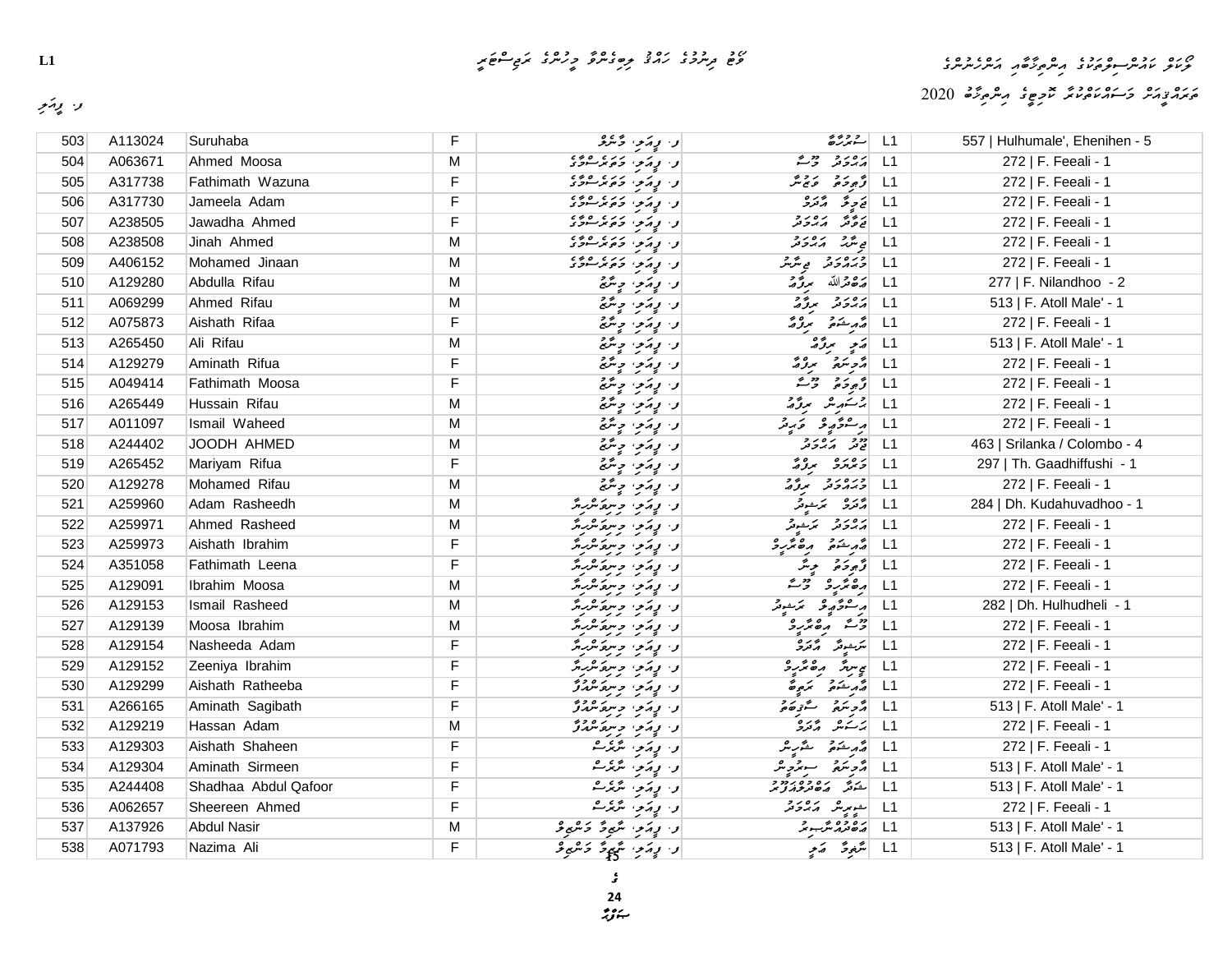<del>خرىكى ئام.ش بۇرى</del>ماي مىلزمەتھەر مىلزىكىلىك *2020 ބު ތިޚާ އިން ގެ ޓީ މި ކޮ ރާ ކު ތް ކަ އް ސަ މަ ށް އަ ޤީ އް ރަ ތަ*

و· *ومنو* 

**L1** 

| 503 | A113024 | Suruhaba             | F | ن په دې د شرو                         | $222$ $-11$                                                   |                | 557   Hulhumale', Ehenihen - 5 |
|-----|---------|----------------------|---|---------------------------------------|---------------------------------------------------------------|----------------|--------------------------------|
| 504 | A063671 | Ahmed Moosa          | M | ن وٍ دَمِنِ دَءِ ۽ ٥٤٥                | $23.221$ L1                                                   |                | 272   F. Feeali - 1            |
| 505 | A317738 | Fathimath Wazuna     | F |                                       | L1 أَوَّج <i>وحَهُ وَيَ</i> مَّرُ                             |                | 272   F. Feeali - 1            |
| 506 | A317730 | Jameela Adam         | F | والمحادث وكالمرداء والمحاد            | L1 ا <sub>ق</sub> ح و محمد محمد شرقت السرقر<br>مسلمات التاريخ |                | 272   F. Feeali - 1            |
| 507 | A238505 | Jawadha Ahmed        | F | ن وړې د ده ده ده                      | L1 يَحوَّقَرَ بِرَبَّرَوْتَرَ                                 |                | 272   F. Feeali - 1            |
| 508 | A238508 | Jinah Ahmed          | M | ن وأرو، وأورى والماء                  | L1   ي <i>ې مگرڅ مرکز دی</i>                                  |                | 272   F. Feeali - 1            |
| 509 | A406152 | Mohamed Jinaan       | M | ن وړې د ده ده ده                      | ورەرو يې شر                                                   | L1             | 272   F. Feeali - 1            |
| 510 | A129280 | Abdulla Rifau        | M | ن په دې چنگځ                          | L1 رَصْحَرْاللَّهُ مَرَ <i>وَّهُ</i>                          |                | 277   F. Nilandhoo - 2         |
| 511 | A069299 | Ahmed Rifau          | м | ار، ويرس ويرة                         | $2222$ $-222$                                                 |                | 513   F. Atoll Male' - 1       |
| 512 | A075873 | Aishath Rifaa        | F | اور ويرتو، ويثنى                      | L1 <i>مەم شەق بىرۇ</i> م                                      |                | 272   F. Feeali - 1            |
| 513 | A265450 | Ali Rifau            | M | ار. رٍ پرَمُو، جِسَّمَ                | L1   <i>مَرِ بِروُّهُ</i>                                     |                | 513   F. Atoll Male' - 1       |
| 514 | A129279 | Aminath Rifua        | F | ار، ويرَمُو، ويتَّنَعُ                | L1 أُمْرَسُو بِرَوْمٌ                                         |                | 272   F. Feeali - 1            |
| 515 | A049414 | Fathimath Moosa      | F | ار، ويرو، ويتمعُ                      | $2, 3, 5, 5$ $\sim$ 11                                        |                | 272   F. Feeali - 1            |
| 516 | A265449 | Hussain Rifau        | M | ار، ويرَمُو، وِسَمَّعْ                | رحم شهر معرقرها                                               | L1             | 272   F. Feeali - 1            |
| 517 | A011097 | Ismail Waheed        | M | ار. رٍ پرَمَ چِسَمَعُ                 | أرىسى ئەرقى ئۇياتىر                                           | L1             | 272   F. Feeali - 1            |
| 518 | A244402 | JOODH AHMED          | M | او- وِرَمَو، وِسَمَّعَ                | ود د در د<br>محمد مدرو تر                                     | L1             | 463   Srilanka / Colombo - 4   |
| 519 | A265452 | Mariyam Rifua        | F | ار. وٍړَی وِیُنځ                      | $29 - 272 = 11$                                               |                | 297   Th. Gaadhiffushi - 1     |
| 520 | A129278 | Mohamed Rifau        | M | ار، ويرَمُو، ويُرَجّ                  | 22 ביני היבר<br>היה ביני היבר                                 | L1             | 272   F. Feeali - 1            |
| 521 | A259960 | Adam Rasheedh        | M | اوا وأمر وسكر مدير                    | أدكروا أترشوقر                                                | L1             | 284   Dh. Kudahuvadhoo - 1     |
| 522 | A259971 | Ahmed Rasheed        | M | والمحمد والمحافيدة                    | L1 <i>مُدُوَمَّة مَرْ</i> حَدِّةً                             |                | 272   F. Feeali - 1            |
| 523 | A259973 | Aishath Ibrahim      | F | اور ومكور وسكاسكر                     | $2.20$ $2.40$ $1$                                             |                | 272   F. Feeali - 1            |
| 524 | A351058 | Fathimath Leena      | F | اور ومكور وسكانه                      | L1 <i>وَّهِ دَهْ</i> مِسَّر                                   |                | 272   F. Feeali - 1            |
| 525 | A129091 | Ibrahim Moosa        | M | والإمكام وبلوكريم                     | أرە ئۆر ئەست                                                  | L1             | 272   F. Feeali - 1            |
| 526 | A129153 | Ismail Rasheed       | M | والإمكام والمقاطرة                    | أم سكوكم ومحر المركب وتر                                      | L <sub>1</sub> | 282   Dh. Hulhudheli - 1       |
| 527 | A129139 | Moosa Ibrahim        | M | اور ويكور وبيفاشيان                   | 3, 20, 20                                                     | L1             | 272   F. Feeali - 1            |
| 528 | A129154 | Nasheeda Adam        | F | ن وٍ مَنْ وِسِعَشْرِ مَنْ             | L1 سَرَجومَد مُرْمَرْدُ                                       |                | 272   F. Feeali - 1            |
| 529 | A129152 | Zeeniya Ibrahim      | F | اوا ومكوا وللمكرمة                    | بمستر مقتررة                                                  | L1             | 272   F. Feeali - 1            |
| 530 | A129299 | Aishath Ratheeba     | F | والإمكام وسقاهدة                      | وكرشو بموة                                                    | L1             | 272   F. Feeali - 1            |
| 531 | A266165 | Aminath Sagibath     | F | والإمكام والملامين                    | L1 أَمُرْحِبَّرَةً مُسَّوَّةً مِ                              |                | 513   F. Atoll Male' - 1       |
| 532 | A129219 | Hassan Adam          | M | والإمكام وسقاسموني                    | L1 پزشش م <i>جود</i> ه                                        |                | 272   F. Feeali - 1            |
| 533 | A129303 | Aishath Shaheen      | F | ار. دٍ پرَمُو، سَرَبَرُ شَ            | L1 <i>مەم ھۇرىتى ھۇرىتى</i>                                   |                | 272   F. Feeali - 1            |
| 534 | A129304 | Aminath Sirmeen      | F | ار، رِمَزِ، مَرَمَرُ -                | L1   مُرْحِسَةُ سِيمْحِيشُ                                    |                | 513   F. Atoll Male' - 1       |
| 535 | A244408 | Shadhaa Abdul Qafoor | F | ار، رِمَزِ، مَرَمَرُ -                | L1 خەش مەھىر <i>ى دە د</i>                                    |                | 513   F. Atoll Male' - 1       |
| 536 | A062657 | Sheereen Ahmed       | F | ن وٍمَن مَرَّمَرُ -                   | L1   سومریش ا <i>ز پرو</i> تر                                 |                | 272   F. Feeali - 1            |
| 537 | A137926 | Abdul Nasir          | м | ار، إِرْكُمْ، اللَّيْءُ أَوَاللَّيْءُ | L1 <i>ەڭ ھەرە شبەت</i> ر                                      |                | 513   F. Atoll Male' - 1       |
| 538 | A071793 | Nazima Ali           | F | ر، ږېرو، سموڅ وکلولو                  | أنثغوث أرمز                                                   | L1             | 513   F. Atoll Male' - 1       |

مح<br>24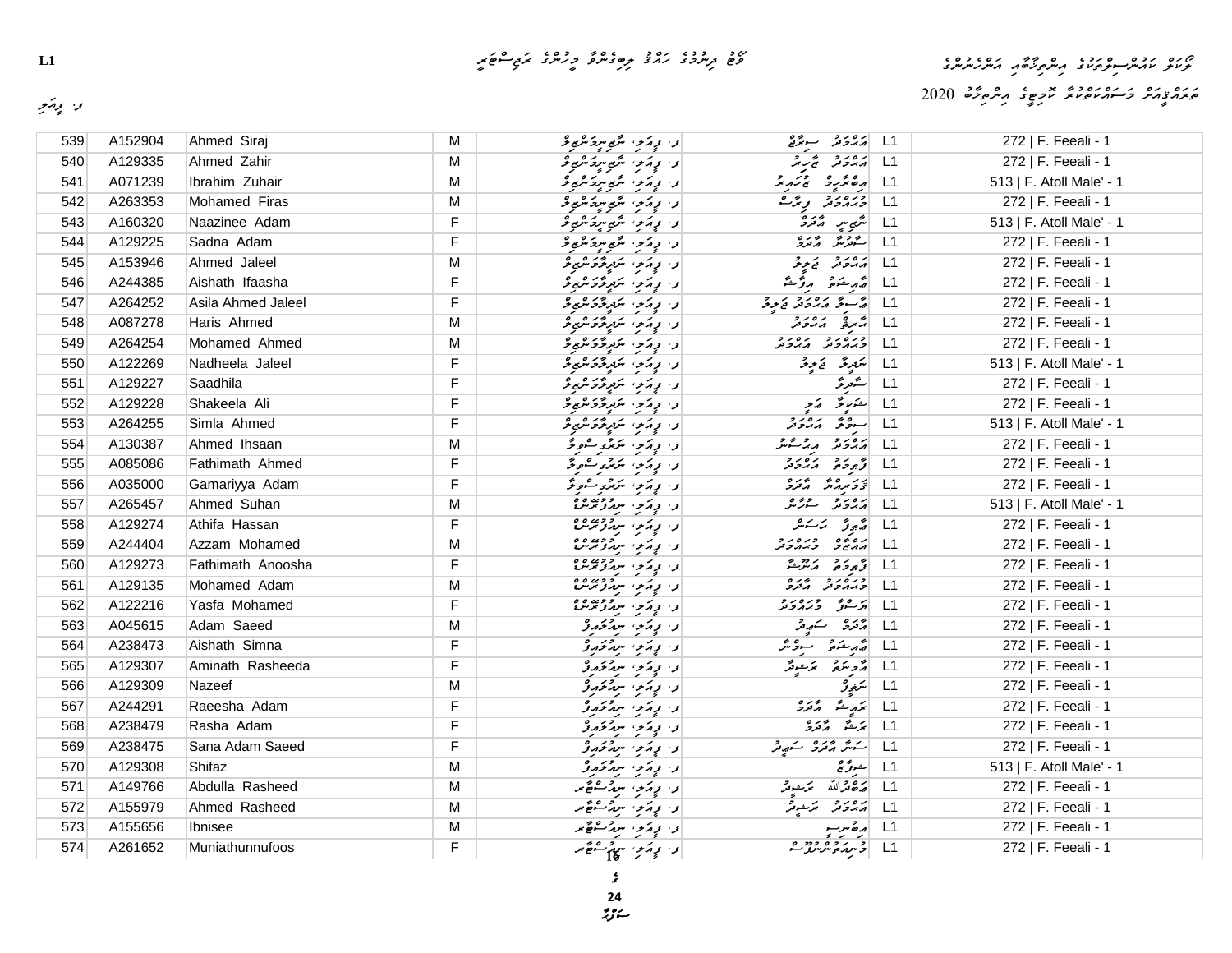<del>خرىكى ئام.ش بۇرى</del>ماي مىلزمەتھەر مىلزىكىلىك *2020 ބު ތިޚާ އިން ގެ ޓީ މި ކޮ ރާ ކު ތް ކަ އް ސަ މަ ށް އަ ޤީ އް ރަ ތަ*

و· *ومنو* 

**L1** 

| 539 | A152904 | Ahmed Siraj        | м           | ر. رٍيزَمِ، سُمَّى سِيرَسْرَى وَ       | L1   <i>مەنەۋەتە</i> سە <i>نۇ</i> ق                                                 | 272   F. Feeali - 1      |
|-----|---------|--------------------|-------------|----------------------------------------|-------------------------------------------------------------------------------------|--------------------------|
| 540 | A129335 | Ahmed Zahir        | M           | ار، رِمَزِ، سُمِ سِرَسُها وَ           | L1 <i>مُدْوَنْ مُ</i> رْمُ                                                          | 272   F. Feeali - 1      |
| 541 | A071239 | Ibrahim Zuhair     | M           | ار، وړکو، نگې نیمکه د                  | L1   م <i>ەشرى</i> ق ئە <i>رىدى</i> گە                                              | 513   F. Atoll Male' - 1 |
| 542 | A263353 | Mohamed Firas      | М           | ار، رٍ مَرَمٍ، سَمَّعِ سِرْ سُمَّعَ دُ | L1 دېم دېمر وېژگ                                                                    | 272   F. Feeali - 1      |
| 543 | A160320 | Naazinee Adam      | F           | وا وٍ مَرَى السَّي الرِيَاسُ وَ        | L1 شمع سر م <sup>ح</sup> مده                                                        | 513   F. Atoll Male' - 1 |
| 544 | A129225 | Sadna Adam         | F           | ار، رِړَسِ، سُمَّے سِرَسُرْہو ک        | L1   سُمْرُسٌ مُقرِّرٌ                                                              | 272   F. Feeali - 1      |
| 545 | A153946 | Ahmed Jaleel       | М           | و- وٍ ړٌی سَمِرِوٌوَسُمِ و             | L1 <i>مَدْدَة.</i> ق يَوتْرُ                                                        | 272   F. Feeali - 1      |
| 546 | A244385 | Aishath Ifaasha    | F           | و- وٍ ړَځٍ، سَمِرِدَّدَشْهاد           | L1   مُدِينَة دِرْيَّة                                                              | 272   F. Feeali - 1      |
| 547 | A264252 | Asila Ahmed Jaleel | F           | ار، رِمَزِ، سَمِرِدَّدَشْهِ وَ         | L1   مەسىرى <i>مەدەند</i> <sub>ق</sub> ورى                                          | 272   F. Feeali - 1      |
| 548 | A087278 | Haris Ahmed        | м           | اور وأيكوا الكميروكوكليني              | L1 كَيْمِيْرُ مَدْحَقْر                                                             | 272   F. Feeali - 1      |
| 549 | A264254 | Mohamed Ahmed      | M           | اور أومكور سكيرتخذ كمنتها في           | $5.201$ $2.012$ $1$                                                                 | 272   F. Feeali - 1      |
| 550 | A122269 | Nadheela Jaleel    | F           | ار، رٍمَرِ، سَمِرِدَّدَشِی د           | L1   سَرْمِرتَرٌ     يَ وِتْرَ                                                      | 513   F. Atoll Male' - 1 |
| 551 | A129227 | Saadhila           | F           | ار. رٍ ړَتَرِ، سَمِرتَرَدَشْها وَ      | L1   سەھرىتى                                                                        | 272   F. Feeali - 1      |
| 552 | A129228 | Shakeela Ali       | F           | و . وٍ ړَی سَمَبِرِوَّۃَ شَہْرَدُ      | L1   شەبۇ كەم                                                                       | 272   F. Feeali - 1      |
| 553 | A264255 | Simla Ahmed        | F           | و- وٍ رَمِ سَرَمِرِ وَّوَ سُرْمٍ وَ    | L1   س <i>وق م</i> مردند                                                            | 513   F. Atoll Male' - 1 |
| 554 | A130387 | Ahmed Ihsaan       | М           | اوسوپرې سرپرې کمونځ                    | L1 <i>مَدْوَمْ مِدْسَّ</i> سْ                                                       | 272   F. Feeali - 1      |
| 555 | A085086 | Fathimath Ahmed    | F           | اوسوپموس سكري كمبونى                   | L1 وَّجِوَدَةُ مَ <sup>رُود</sup> َ                                                 | 272   F. Feeali - 1      |
| 556 | A035000 | Gamariyya Adam     | F           | اوا ومكوا الممكروسكونى                 | L1 تۆ <i>ەبىرە ئۇ مەندە</i>                                                         | 272   F. Feeali - 1      |
| 557 | A265457 | Ahmed Suhan        | М           | او ومرد سدوسه                          | L1 <i>أرْدُوَنْ سُ</i> رْسُ                                                         | 513   F. Atoll Male' - 1 |
| 558 | A129274 | Athifa Hassan      | F           | اور ويمنوا سروديا وه                   | L1 ۾ُج <i>وڙ بَهَ شر</i>                                                            | 272   F. Feeali - 1      |
| 559 | A244404 | Azzam Mohamed      | М           | والمحصر والمتعرف المعالمة              | $3,0,0,0$ $3,0,0,0$ $1$                                                             | 272   F. Feeali - 1      |
| 560 | A129273 | Fathimath Anoosha  | F           | والمحضر والمتعرف والمحدث               | L1 <i>وُجِودَة مَ</i> تَرْسَّمُ                                                     | 272   F. Feeali - 1      |
| 561 | A129135 | Mohamed Adam       | M           | والمحضر والمتعرف المعالمة              | 5, 5, 7, 7, 7, 7                                                                    | 272   F. Feeali - 1      |
| 562 | A122216 | Yasfa Mohamed      | $\mathsf F$ | والمحامرة المتعارفين وه                | L1 أَبَرْ سْتَوَرَّ مَرْدُونَدْ                                                     | 272   F. Feeali - 1      |
| 563 | A045615 | Adam Saeed         | M           | اوا وٍ مَنْ سِمْ يَمْدُ                | L1 ا <i>نگ<sup>و</sup>ن کے م</i> قر                                                 | 272   F. Feeali - 1      |
| 564 | A238473 | Aishath Simna      | F           | اور ومكور سلائملاقى                    | L1 مەم ئىكتى سىر ئىگە                                                               | 272   F. Feeali - 1      |
| 565 | A129307 | Aminath Rasheeda   | F           | اور ويكور سيكتوبرو                     | L1 أَمُّ <i>وسَمَّةً</i> مَمَّسُومَّر                                               | 272   F. Feeali - 1      |
| 566 | A129309 | Nazeef             | M           | اور ويكور سيكتملا                      | L1  سَمَعِ وَ                                                                       | 272   F. Feeali - 1      |
| 567 | A244291 | Raeesha Adam       | F           | اور ومكور سلافلاقى                     | L1 بَرَمِــَّةً مُرْمَرْدُ                                                          | 272   F. Feeali - 1      |
| 568 | A238479 | Rasha Adam         | F           | او- وٍمَنْ سِمْنَوْمِنْ                | L1 بَرْتُ مُرْمَرْدُ                                                                | 272   F. Feeali - 1      |
| 569 | A238475 | Sana Adam Saeed    | F           | اور ويكور سيكومو                       | L1   سَتَشَرَّ دُوَرْتَ سَتَهِيضُ                                                   | 272   F. Feeali - 1      |
| 570 | A129308 | Shifaz             | M           | اور ومكور سمكومانى                     | $\mathcal{E}$ $\mathcal{E}$ $\mathcal{E}$ $\mathcal{E}$ $\mathcal{E}$ $\mathcal{E}$ | 513   F. Atoll Male' - 1 |
| 571 | A149766 | Abdulla Rasheed    | M           | اوا ومكوا سمائي مقامر                  | L1 مَهْ هُمَّرَاللَّهُ مَرَسْوِمْر                                                  | 272   F. Feeali - 1      |
| 572 | A155979 | Ahmed Rasheed      | М           | والمحمد والمستر المقامير               | L1 <i>مُدُوَمْ مَرْجِ</i> مْ                                                        | 272   F. Feeali - 1      |
| 573 | A155656 | Ibnisee            | м           | والمحمد والمستر والمحافظ               | L1   مەسرىبە                                                                        | 272   F. Feeali - 1      |
| 574 | A261652 | Muniathunnufoos    | F           | ادا ويركب المهم والمقامر               | L1 خېرىد <i>مەدەبىرى</i>                                                            | 272   F. Feeali - 1      |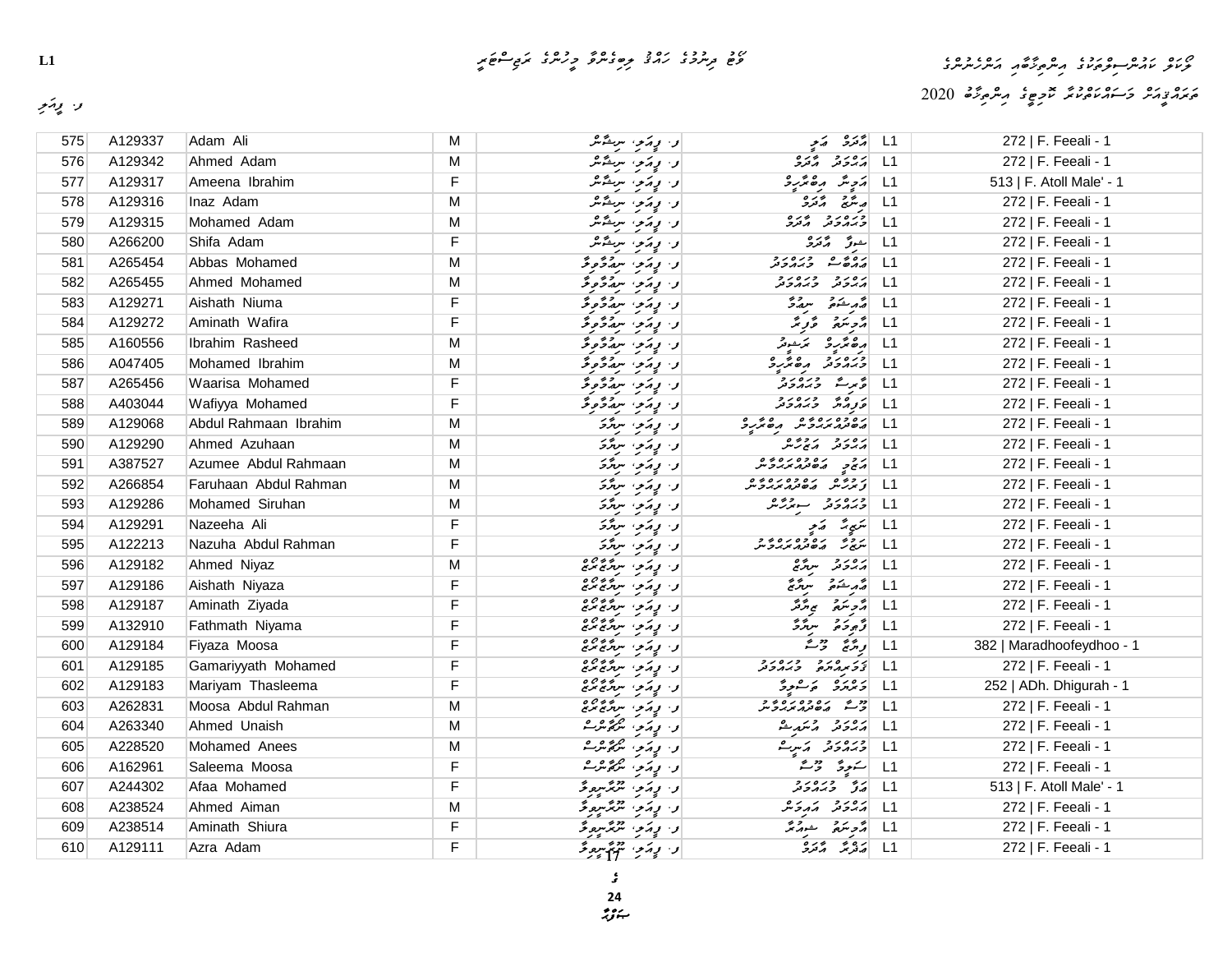*ޯކަލް ކައުންސިލްތަކުގެ އިންތިޚާބާއި އަންހެނުންގެ ވޯ ލ ތަރައްޤީއަށް މަސައްކަތްކުރާ ކޮމިޓީގެ އިންތިޚާބު 2020*

ى <sub>م</sub>ەتىر

| 575 | A129337 | Adam Ali              | M            | و. وٍ پَرَمُو، سَرْمَشَّشَ                   | L1 ا <i>مُّ</i> قرَّدُ م <i>َ</i> ح                            | 272   F. Feeali - 1       |
|-----|---------|-----------------------|--------------|----------------------------------------------|----------------------------------------------------------------|---------------------------|
| 576 | A129342 | Ahmed Adam            | M            | أو. وٍيَرَمُو، سَرِيدٌ مَثَرٌ                | $33.3$ $-25.2$ $-11$                                           | 272   F. Feeali - 1       |
| 577 | A129317 | Ameena Ibrahim        | F            | ار، ويكو، سيشكل                              | L1 أ <i>مَّجِسٌ م</i> ِ صَمَّ <i>بِ</i> 1                      | 513   F. Atoll Male' - 1  |
| 578 | A129316 | Inaz Adam             | M            | اور وٍمَو، سِيَّمَرُ                         | L1 مەشىخ م <i>ەترى</i>                                         | 272   F. Feeali - 1       |
| 579 | A129315 | Mohamed Adam          | М            | او- وٍمَو، سَرَجُمْ                          | כנסני הנק<br>L1                                                | 272   F. Feeali - 1       |
| 580 | A266200 | Shifa Adam            | E            | اور ومكور سيشكل                              | L1   سُوتٌ مَ <i>دَّمَ</i> دُ                                  | 272   F. Feeali - 1       |
| 581 | A265454 | Abbas Mohamed         | M            | اور ومكور سمائي ومحمو                        | $3,0,2$ $2,0,3$ $1$                                            | 272   F. Feeali - 1       |
| 582 | A265455 | Ahmed Mohamed         | M            | اور ومكور سماؤه ومح                          | L1 <i>הُגُכ</i> َى <i>دُيُہُوَى</i>                            | 272   F. Feeali - 1       |
| 583 | A129271 | Aishath Niuma         | F            | ار، وٍمَن، سِمْتَوْهِ وَ                     | $rac{3}{2}$ $rac{3}{2}$ $rac{3}{2}$ $frac{3}{2}$ $\frac{1}{2}$ | 272   F. Feeali - 1       |
| 584 | A129272 | Aminath Wafira        | F            | اور ويكور سيقومو                             | L1 أَمُرْسَنَهُمْ قُومَدٌ                                      | 272   F. Feeali - 1       |
| 585 | A160556 | Ibrahim Rasheed       | M            | اور ومكور سمائي و مح                         | L1 م <i>ەھترى</i> رى ئرىنې <i>م</i> تر                         | 272   F. Feeali - 1       |
| 586 | A047405 | Mohamed Ibrahim       | M            | و. وٍ <i>مَنٍ سِمْ</i> قُونٌ                 | כגתכני תפתיכ<br>L1                                             | 272   F. Feeali - 1       |
| 587 | A265456 | Waarisa Mohamed       | F            | اور ومرو، سمەۋەپۇ                            | L1 <i>قىمەت دېم</i> ەدىر                                       | 272   F. Feeali - 1       |
| 588 | A403044 | Wafiyya Mohamed       | F            | وا وٍمَنْ سِمْنَوْهِ وَ                      | L1 <i>وَوَدْ جَدَ دَوْ</i>                                     | 272   F. Feeali - 1       |
| 589 | A129068 | Abdul Rahmaan Ibrahim | M            | او- وٍمَنو، سِرَّدَة                         | $1 - 1$                                                        | 272   F. Feeali - 1       |
| 590 | A129290 | Ahmed Azuhaan         | М            | اوسوخوا سرقرة                                | L1 <i>محدود مح</i> مد م                                        | 272   F. Feeali - 1       |
| 591 | A387527 | Azumee Abdul Rahmaan  | M            | اور ومكور سرده                               | L1 <i>היק הסינה היספ</i>                                       | 272   F. Feeali - 1       |
| 592 | A266854 | Faruhaan Abdul Rahman | M            | اور ويركوا البراكري                          | L1 زروی پره ده در دوره د                                       | 272   F. Feeali - 1       |
| 593 | A129286 | Mohamed Siruhan       | M            | اور وٍ مَوَ سِرَّدَ                          | L1 ديرورو سنرگش                                                | 272   F. Feeali - 1       |
| 594 | A129291 | Nazeeha Ali           | F            | او، وٍمَو، سِرَّدَ                           | لىكى كە ئە<br>L1                                               | 272   F. Feeali - 1       |
| 595 | A122213 | Nazuha Abdul Rahman   | F            | اور وٍ په دو، سرگری                          | ה כל הסכם הסליכ<br>ייתאיה הסיקה <i>ההכ</i> ית<br>L1            | 272   F. Feeali - 1       |
| 596 | A129182 | Ahmed Niyaz           | M            | و وأو سره وه                                 | L1 <i>مُدْدَفَرْ</i> س <i>رگ</i> ُ                             | 272   F. Feeali - 1       |
| 597 | A129186 | Aishath Niyaza        | F            | اور ومكور سرد من من                          | L1 أَشْهَرْ مَشْهُمْ سِيَدْبَعُ                                | 272   F. Feeali - 1       |
| 598 | A129187 | Aminath Ziyada        | F            | و٠ وِ دَوِ سِرَّجْ يَرْج                     | L1 أُمُّ حِسَنَةً مِنْ مُحَمَّدٌ                               | 272   F. Feeali - 1       |
| 599 | A132910 | Fathmath Niyama       | F            | ن وأرو، سردة بره                             | L1 أَوَّجِعَةُ سِمَّدَّدُّ                                     | 272   F. Feeali - 1       |
| 600 | A129184 | Fiyaza Moosa          | F            | اور ويركو المسترج مرج                        | $\stackrel{2}{\sim}$ ورمج ومستر 11                             | 382   Maradhoofeydhoo - 1 |
| 601 | A129185 | Gamariyyath Mohamed   | F            | و. وړې سرگانون                               | L1 <i>تؤكيروگرو ويرو</i> گر                                    | 272   F. Feeali - 1       |
| 602 | A129183 | Mariyam Thasleema     | F            | و. وٍ مَرَو، سِرَّجْ مَرَج                   | L1 <i>وَبُرْدَة وَسَعِرَةُ</i>                                 | 252   ADh. Dhigurah - 1   |
| 603 | A262831 | Moosa Abdul Rahman    | M            | ن وٍ مَرَدٍ سِرَّ مِنَّ مِنَ                 | L1 در ده ده ده بره در                                          | 272   F. Feeali - 1       |
| 604 | A263340 | Ahmed Unaish          | M            | ار، ومدَو، سرگوَس                            | $2.22$ $2.20$ $11$                                             | 272   F. Feeali - 1       |
| 605 | A228520 | Mohamed Anees         | M            | اور ومزو، سرگار مث                           | L1 <i>وَبَهُمْ وَبَوْ</i> مَسِرَ ا                             | 272   F. Feeali - 1       |
| 606 | A162961 | Saleema Moosa         | F            | ار، پېړو، سرگوش                              | L1  سَنَوِرٌ وَ"سُدُّ                                          | 272   F. Feeali - 1       |
| 607 | A244302 | Afaa Mohamed          | $\mathsf{F}$ | ار. وړې شرعونو                               | $35923$ $32$ $L1$                                              | 513   F. Atoll Male' - 1  |
| 608 | A238524 | Ahmed Aiman           | M            | اور ومرد المرتم للروت                        | L1 <i>مُدْدَوْ مُددَ</i> مْر                                   | 272   F. Feeali - 1       |
| 609 | A238514 | Aminath Shiura        | F            | ار. وٍمَنْ شَمَّسِهِ وَّ                     | L1 أُمُّ جِسَمَةً مُسْتَمَرَّةً                                | 272   F. Feeali - 1       |
| 610 | A129111 | Azra Adam             | F            | ادا دٍ پَرَمُ اللهِ مَمْ اللهِ عَلَيْهِ مِنْ | L1 <i>مَا فَرْمَّہُ مُ</i> مَ <i>ّدة</i> ُ                     | 272   F. Feeali - 1       |

*ގެ* **24**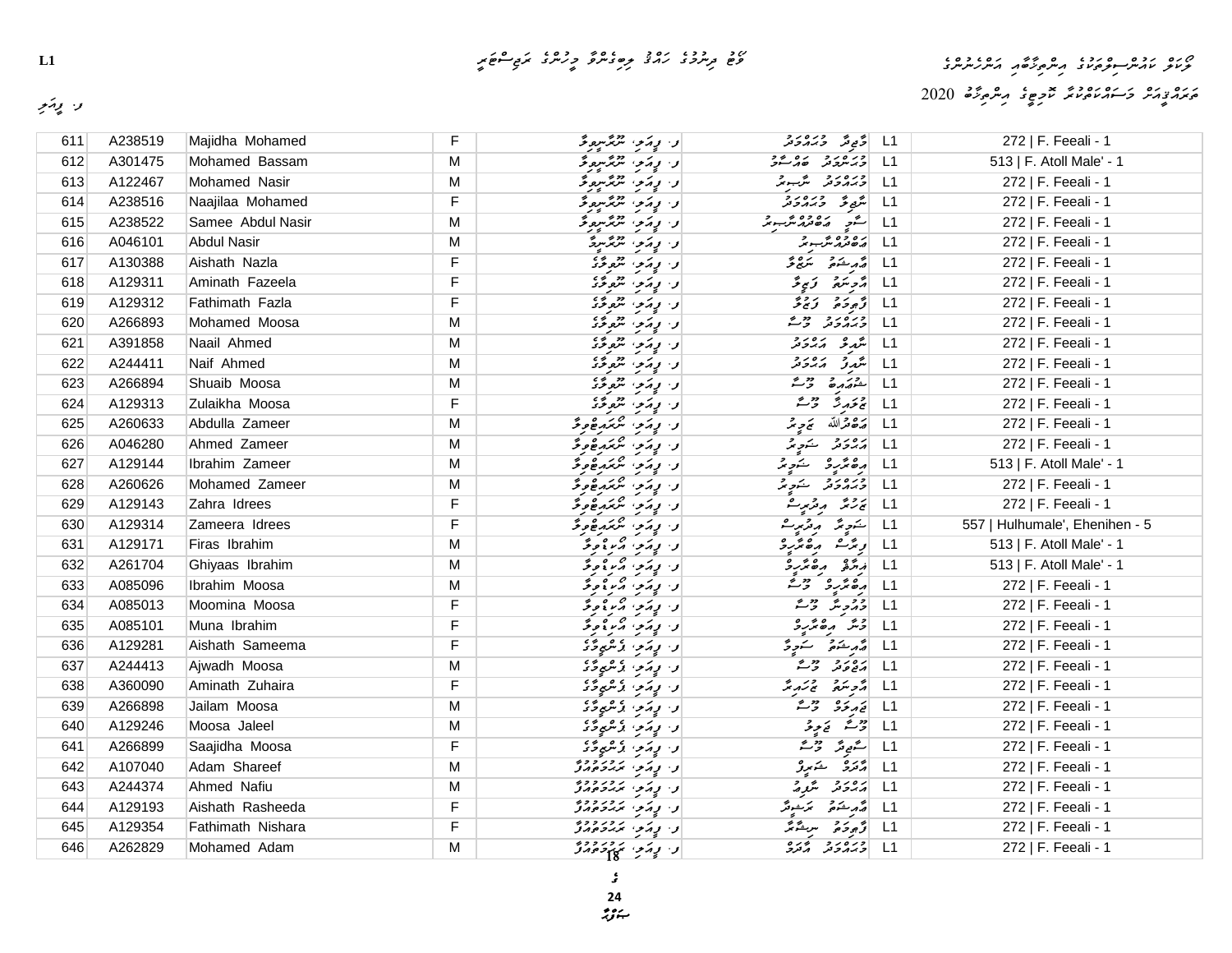<del>خرىكى ئام.ش بۇرى</del>ماي مىلزمەتھەر مىلزىكىلىك *2020 ބު ތިޚާ އިން ގެ ޓީ މި ކޮ ރާ ކު ތް ކަ އް ސަ މަ ށް އަ ޤީ އް ރަ ތަ*

و· *ومنو* 

**L1** 

| 611 | A238519 | Majidha Mohamed    | F | ار. وٍمَرَمٍ، شَمَّسْهُ وَ       | L1   دَّمِ مَدْ دَبَرْدُونر                                                            | 272   F. Feeali - 1            |
|-----|---------|--------------------|---|----------------------------------|----------------------------------------------------------------------------------------|--------------------------------|
| 612 | A301475 | Mohamed Bassam     | M | ار، وٍمَرَمٍ، شَمَّسْهِ وَ       | $3.2022$ $-2.2022$ $-11$                                                               | 513   F. Atoll Male' - 1       |
| 613 | A122467 | Mohamed Nasir      | M | ار، ومرَم، شَمَّسِهِ وَ          | L1 دېمگرونکر مگر <i>پ</i> ونکر                                                         | 272   F. Feeali - 1            |
| 614 | A238516 | Naajilaa Mohamed   | F | ار. وٍمَرِ، شَمَّسِهِ وَ         | L1   سَمَّهِ حَدَّ صَدَّرَ حَدَّ                                                       | 272   F. Feeali - 1            |
| 615 | A238522 | Samee Abdul Nasir  | М | او، وٍمَنْ شَمَّسِهِ وَ          |                                                                                        | 272   F. Feeali - 1            |
| 616 | A046101 | <b>Abdul Nasir</b> | м | الاستوركين الترمكر سريحا         | L1 <i>ەڭ ھىرە شبەيد</i>                                                                | 272   F. Feeali - 1            |
| 617 | A130388 | Aishath Nazla      | F | اور ومكور الشي محمد              | L1 مەم ئىسىم ئىسى ئىس                                                                  | 272   F. Feeali - 1            |
| 618 | A129311 | Aminath Fazeela    | F | اور وٍمَوِ، شَعْوَةٌ وَ          | L1   مَرْحِسَنَةُ      وَمِوَّتَرَ                                                     | 272   F. Feeali - 1            |
| 619 | A129312 | Fathimath Fazla    | F | وا وٍمَرَمٍ، شَمْعِرَةٌ وَ       | L1 وَجِودَة وَيَ تَحَ                                                                  | 272   F. Feeali - 1            |
| 620 | A266893 | Mohamed Moosa      | М | اور ومقرما الثموقرى              | $23.22$ $11$                                                                           | 272   F. Feeali - 1            |
| 621 | A391858 | Naail Ahmed        | М | ار، وٍ مَرَمٍ، شَمْعِ قَرْءٌ     | L1   يثمد عبد المردوند                                                                 | 272   F. Feeali - 1            |
| 622 | A244411 | Naif Ahmed         | М | اور ويرَموا الثمومُّوَة          | L1 پن <i>گه دفتر میگ</i> وند                                                           | 272   F. Feeali - 1            |
| 623 | A266894 | Shuaib Moosa       | М | ن دٍ مَنْ شَعْرَةٌ               | $23 - 212$ $-11$                                                                       | 272   F. Feeali - 1            |
| 624 | A129313 | Zulaikha Moosa     | F | اور ويرتو، شموقه                 | $23 - 52$ $-11$                                                                        | 272   F. Feeali - 1            |
| 625 | A260633 | Abdulla Zameer     | M | ار، وأمر سلم المعدم في مر        | L1 حَدَّةَ قَدْاللَّهُ تَجَرَّ مِرْ                                                    | 272   F. Feeali - 1            |
| 626 | A046280 | Ahmed Zameer       | М | اور ومزوا الكنده عاواة           | L1 <i>مەرى ئى</i> جە                                                                   | 272   F. Feeali - 1            |
| 627 | A129144 | Ibrahim Zameer     | M | ار. وٍمَرَ سَمَعَه عَوَمَ        | L1 <i>مِنْ جُرِّدِ تَوَبِّرُ</i>                                                       | 513   F. Atoll Male' - 1       |
| 628 | A260626 | Mohamed Zameer     | M | ال ومكور الكلمية فأوتح           | L1 دېرونو خوند                                                                         | 272   F. Feeali - 1            |
| 629 | A129143 | Zahra Idrees       | F | والمحدود المتكرم فأوثى           | L1 كەرجىم مەم <i>رىب</i>                                                               | 272   F. Feeali - 1            |
| 630 | A129314 | Zameera Idrees     | F | والمحضر المتكرم فالمحافي         | L1  سَمَوِیْر م <i>ِیوْمِی</i> ٹ                                                       | 557   Hulhumale', Ehenihen - 5 |
| 631 | A129171 | Firas Ibrahim      | М | الأرا ومكنوا المراء ولحا         | L1  رېژىشە مەھ <i>ئ</i> رىبىۋ                                                          | 513   F. Atoll Male' - 1       |
| 632 | A261704 | Ghiyaas Ibrahim    | М | الار ومكن مكانا ولمحا            | L1 مٰ پڑھ م <i>ے پڑ</i> ے                                                              | 513   F. Atoll Male' - 1       |
| 633 | A085096 | Ibrahim Moosa      | М | الاستومانوا المراء وقر           | $23 - 22 = 11$                                                                         | 272   F. Feeali - 1            |
| 634 | A085013 | Moomina Moosa      | F | والإمكر المراءوقى                | L1 در در ژبه                                                                           | 272   F. Feeali - 1            |
| 635 | A085101 | Muna Ibrahim       | F | ن وړې د کامونځ                   | L1 دېگر م <i>ەھ</i> مگرىدى                                                             | 272   F. Feeali - 1            |
| 636 | A129281 | Aishath Sameema    | F | ن بِهُمْ رُمْهِ وَ               | L1 مُدْمَنْہُ سَج <sup>و</sup> دٌ                                                      | 272   F. Feeali - 1            |
| 637 | A244413 | Ajwadh Moosa       | М | ار. رٍ پرَ مِ، بَرْ شَيْءٌ وَ دَ | $23.322$ $-11$                                                                         | 272   F. Feeali - 1            |
| 638 | A360090 | Aminath Zuhaira    | F | ار. رٍ پرَمِ، بَرْسْہِ وُدْ      | L1 أُمُّ حِسَنَةً مَحْ سَهِ مِمَّد                                                     | 272   F. Feeali - 1            |
| 639 | A266898 | Jailam Moosa       | М | ادا وٍمَرَ وَعُمَّوَدٌ           | $23$ $332$ $11$                                                                        | 272   F. Feeali - 1            |
| 640 | A129246 | Moosa Jaleel       | M | ادا وٍمَوا وَعُمَّعَوَّدَ        | L1 حيث في وتي                                                                          | 272   F. Feeali - 1            |
| 641 | A266899 | Saajidha Moosa     | F | ن بِهَمَرٍ، وَسُمِوَدَّدُ        | L1 اسٹی پورٹر شرکت                                                                     | 272   F. Feeali - 1            |
| 642 | A107040 | Adam Shareef       | M | ادا وأأوا الملاقواني             | L1 أَمُرْتَزَّرٌ شَ <i>مَبِرْ</i>                                                      | 272   F. Feeali - 1            |
| 643 | A244374 | Ahmed Nafiu        | M | اور وٍمَعٍ، مُرْدَوْهِ وَمُعَ    | L1 <i>مەرى بىر ئىگ</i> ر                                                               | 272   F. Feeali - 1            |
| 644 | A129193 | Aishath Rasheeda   | F | ن وٍمَن مَدْوَمُمَرَّ            | L1 مەم ئىشىمە ئىم ئىسىدىگر                                                             | 272   F. Feeali - 1            |
| 645 | A129354 | Fathimath Nishara  | F | اور وٍمَو، مُدَوَّوْمَةٌ         | L1 أَوَّجْرَحْرَمْ سَرْسُتْهُمّْ                                                       | 272   F. Feeali - 1            |
| 646 | A262829 | Mohamed Adam       | м | و ، وړو ، سرد دورو               | $\begin{array}{cc} 0 & 0 & 0 & 0 & 0 \\ 0 & 0 & 0 & 0 \\ 0 & 0 & 0 & 0 \end{array}$ [1 | 272   F. Feeali - 1            |

*ގެ 18*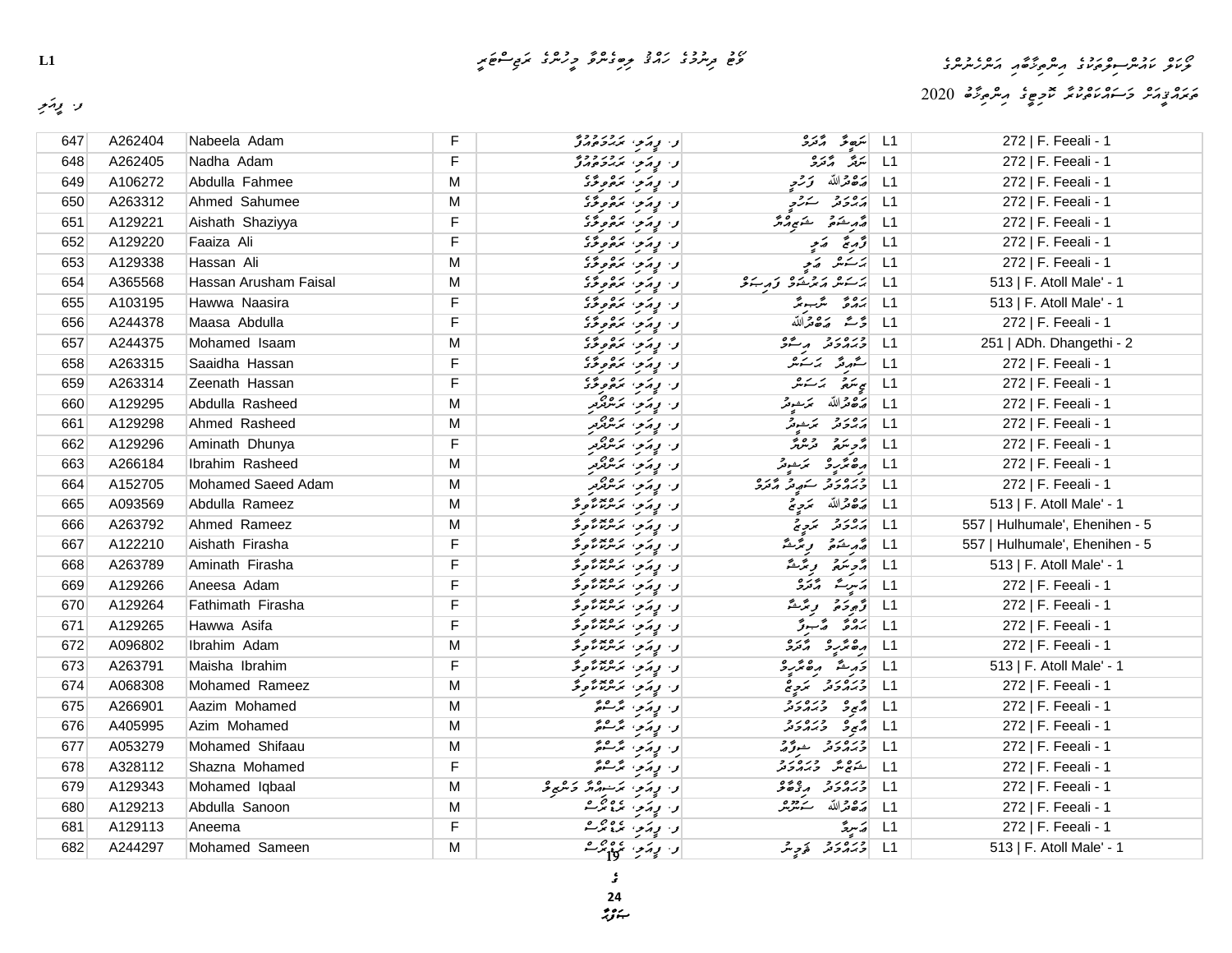*ޯކަލް ކައުންސިލްތަކުގެ އިންތިޚާބާއި އަންހެނުންގެ ވޯ ލ ތަރައްޤީއަށް މަސައްކަތްކުރާ ކޮމިޓީގެ އިންތިޚާބު 2020*

ى <sub>م</sub>ەتىر

| 647 | A262404 | Nabeela Adam          | F | ن وٍ مَنْ مَدَوَءُ مِنْ             | L1 سَهعَدَ مَعْرَضَ                     |    | 272   F. Feeali - 1            |
|-----|---------|-----------------------|---|-------------------------------------|-----------------------------------------|----|--------------------------------|
| 648 | A262405 | Nadha Adam            | F | والإمكع المرود ودود                 | L1 يَرَةً مُرَّتَرَةً                   |    | 272   F. Feeali - 1            |
| 649 | A106272 | Abdulla Fahmee        | M | ن وٍمَن مَعْوَوفَ                   | L1 مَدْهُ قَرْاللّه وَرْحِ              |    | 272   F. Feeali - 1            |
| 650 | A263312 | Ahmed Sahumee         | M | ن وٍمَنْ مَعْوَوَمِّيْ              | L1 <i>مَدْوَمْ سَرْمِ</i>               |    | 272   F. Feeali - 1            |
| 651 | A129221 | Aishath Shaziyya      | F | اور ومكور مكره ومحمى                | L1 مُدِينَة شَ <sub>ك</sub> رْدَ        |    | 272   F. Feeali - 1            |
| 652 | A129220 | Faaiza Ali            | F | و وٍ مَعِ مَعْوَفَوْ                | L1 وَمِعَ صَعِ                          |    | 272   F. Feeali - 1            |
| 653 | A129338 | Hassan Ali            | M | اور وٍمَنْ مَعْوَوَدٌ               | L1   پزشکر کم <i>ی</i>                  |    | 272   F. Feeali - 1            |
| 654 | A365568 | Hassan Arusham Faisal | M | اوا وٍمَوا مَعْوَمُونَّ             | L1   ئەس <i>تىش كەيمىشكى ق.م.سكۇ</i>    |    | 513   F. Atoll Male' - 1       |
| 655 | A103195 | Hawwa Naasira         | F | اوا وٍ مَرَمٍ، مَرَةٌ وَمَرَّدَ     | L1 كەبىر <i>ۇ</i> ش <i>ىبەت</i> ر       |    | 513   F. Atoll Male' - 1       |
| 656 | A244378 | Maasa Abdulla         | F | اوا وٍمَنْ نَمُعُومُ فَرُدُ         | L1   قُرْسٌ صَرَّةَ هَذَاللَّه          |    | 272   F. Feeali - 1            |
| 657 | A244375 | Mohamed Isaam         | м | اوا وٍمَنْ مَعْوَوَنَّ              | כנהבב השכ                               | L1 | 251   ADh. Dhangethi - 2       |
| 658 | A263315 | Saaidha Hassan        | F | اوا وٍ مَرَمٍ، مَرَةٌ وَمَرَّى      | L1   سُم <i>ه مُنْ</i> بَرَسَسْ         |    | 272   F. Feeali - 1            |
| 659 | A263314 | Zeenath Hassan        | F | ن وٍمَن مَعْوَونَّ                  | L1 يوپئر <i>ة بزست</i> ر                |    | 272   F. Feeali - 1            |
| 660 | A129295 | Abdulla Rasheed       | M | اوا وٍ دَمَوا مَرْسْمَلِ            | L1 رَصْحَرْاللَّهُ سَمَّسْوِمْر         |    | 272   F. Feeali - 1            |
| 661 | A129298 | Ahmed Rasheed         | M | اور ويمنوا برندهما                  | L1 <i>مُرْدُى مُمْ مَدْمِيْرِ</i>       |    | 272   F. Feeali - 1            |
| 662 | A129296 | Aminath Dhunya        | F | او- وٍ پرکو، نرگرمان                | L1 أَمُّ حِسَنَةً مِّسْتَدَمَّ          |    | 272   F. Feeali - 1            |
| 663 | A266184 | Ibrahim Rasheed       | М | او- وٍ پڑو، بڑیڑھا                  | L1 <i>مەھەرى ئەتبەت</i> ر               |    | 272   F. Feeali - 1            |
| 664 | A152705 | Mohamed Saeed Adam    | M | اوا وٍ په کوال مرکزه کرد            | כנסגב הנביבים<br>כגובת הקית וניב        | L1 | 272   F. Feeali - 1            |
| 665 | A093569 | Abdulla Rameez        | M | ن وٍمَنِ مَسْرَمَنَوْ وَمَحْ        | L1 مَرْحَدْرَاللَّهُ تَمْرَ <i>ج</i> عْ |    | 513   F. Atoll Male' - 1       |
| 666 | A263792 | Ahmed Rameez          | M | الأروم كالمتعمد والمحافظ            | L1 <i>مَدْدُوَمْ مَرْدِ</i> يْ          |    | 557   Hulhumale', Ehenihen - 5 |
| 667 | A122210 | Aishath Firasha       | F | الا وٍ وَمَنْ مَسْرَ اللَّهُ وَمَحْ | L1 مەم ئىكتىمى بويتى <sup>س</sup> گە    |    | 557   Hulhumale', Ehenihen - 5 |
| 668 | A263789 | Aminath Firasha       | F | ن وٍمَنْ مَسْرَمَا لَمُوهَ          | L1 أُمُّ حِسَنَةً وِيُّنَةً             |    | 513   F. Atoll Male' - 1       |
| 669 | A129266 | Aneesa Adam           | F | الأروم كالمستعمل والمحمد            | L1   رَسِتْ مُسَرَّدُ                   |    | 272   F. Feeali - 1            |
| 670 | A129264 | Fathimath Firasha     | F | الأروم والمحامدة والمحافظ           | L1 أَوَّج <i>وحَةْ وِبِرْ</i> تْهُ      |    | 272   F. Feeali - 1            |
| 671 | A129265 | Hawwa Asifa           | F | ن وٍمَنْ مَسْ مُوْمَنَوْمٌ          | L1 <i>يَدُدُّ</i> مُبِيرُ               |    | 272   F. Feeali - 1            |
| 672 | A096802 | Ibrahim Adam          | М | ن وٍمَنْ مَسْ مُوْمَنَوْمٌ          | L1 م <i>ەھمەر 3 مەدر</i>                |    | 272   F. Feeali - 1            |
| 673 | A263791 | Maisha Ibrahim        | F | ن وٍمَعٍ، مَسْ مَعْ وَمَحْ          | L1 دَرِيْهُ ر <i>ەھت</i> رىۋ            |    | 513   F. Atoll Male' - 1       |
| 674 | A068308 | Mohamed Rameez        | М | ن وٍمَنْ مَسْ مُوْمَوْمَ وَمَحْ     | L1 دېرونو تروی                          |    | 272   F. Feeali - 1            |
| 675 | A266901 | Aazim Mohamed         | М | وا وٍ دَمَوا مُرْسُمَّ              | L1 انگنې <i>5 د 3 د ه</i> رو تر         |    | 272   F. Feeali - 1            |
| 676 | A405995 | Azim Mohamed          | М | اوا وٍمَوا مُرْسُعُ                 | L1 انگهای ویرودور                       |    | 272   F. Feeali - 1            |
| 677 | A053279 | Mohamed Shifaau       | М | اوا وٍمَنوا مُرْسَعُ                | $29.25$ $-25.25$ $-11$                  |    | 272   F. Feeali - 1            |
| 678 | A328112 | Shazna Mohamed        | F | ن دٍ دِرَمٍ، بُرَّسَمُّ             | L1 خۇچ ش <i>ى جەم</i> ر <i>ەند</i>      |    | 272   F. Feeali - 1            |
| 679 | A129343 | Mohamed Iqbaal        | M | ن ومرَ مَنه مَنْ دَمَّ وَمَّن       |                                         |    | 272   F. Feeali - 1            |
| 680 | A129213 | Abdulla Sanoon        | М | ن پېړو، پروگړے                      | L1 رَصْحَرْاللَّهُ سَمْسِ <i>نْدُ</i>   |    | 272   F. Feeali - 1            |
| 681 | A129113 | Aneema                | F | ن پېښو، نوچوگ                       | L1   مەسبر <del>ى</del>                 |    | 272   F. Feeali - 1            |
| 682 | A244297 | Mohamed Sameen        | м | ار، رِهَ مِنْ عَوْمِ مَثَلَ         | L1 <i>وَبَهُ دَوَنَہ</i> مُؤْمِنُہُ     |    | 513   F. Atoll Male' - 1       |

*ގެ*

**24**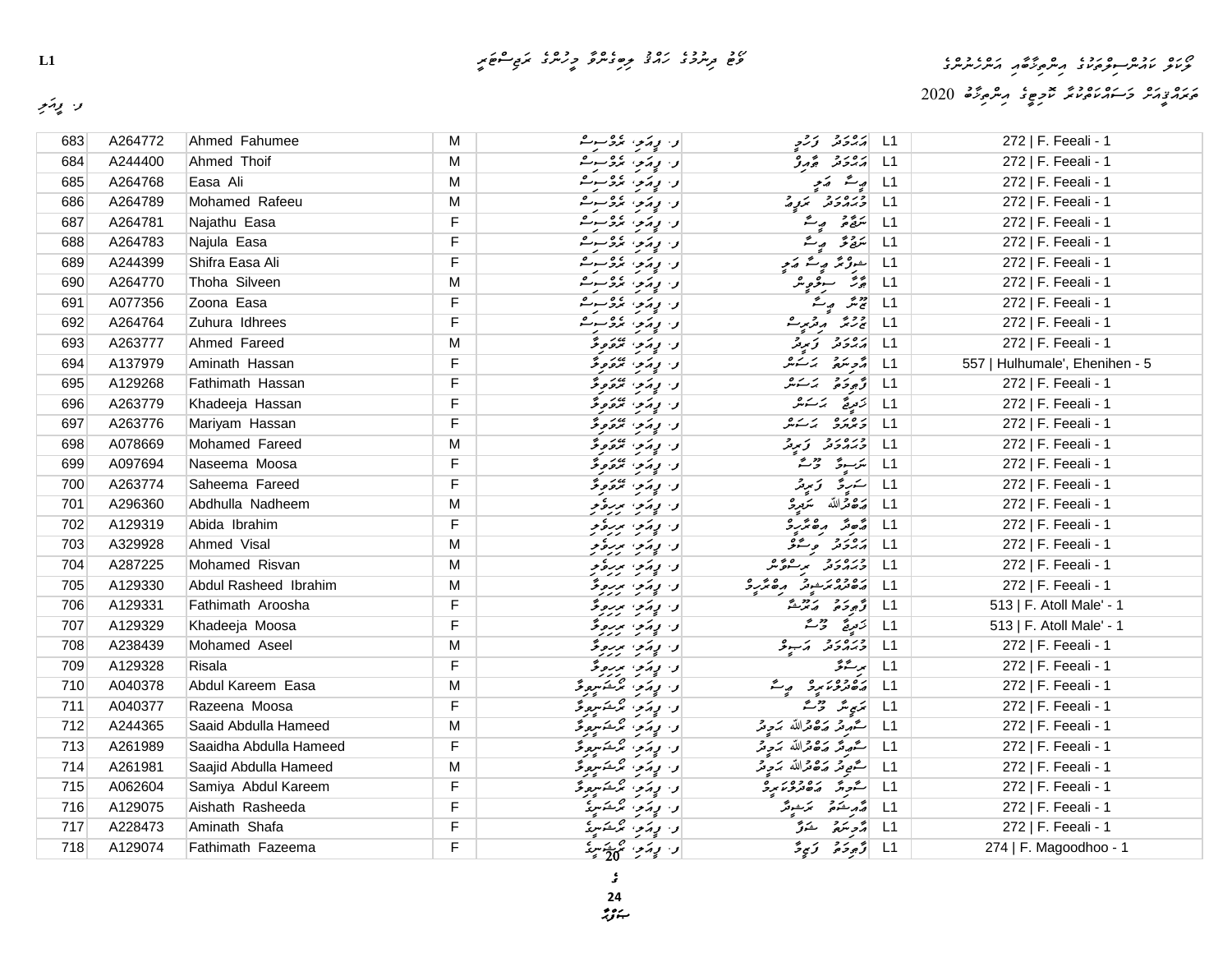*ޯކަލް ކައުންސިލްތަކުގެ އިންތިޚާބާއި އަންހެނުންގެ ވޯ ލ ތަރައްޤީއަށް މަސައްކަތްކުރާ ކޮމިޓީގެ އިންތިޚާބު 2020*

ى <sub>م</sub>ەتىر

| 683 | A264772 | Ahmed Fahumee          | M  | ن پەير پۇھىدى                    | L1 <i>مَدْدَمْدْ وَرْدِ</i>                      |    | 272   F. Feeali - 1            |
|-----|---------|------------------------|----|----------------------------------|--------------------------------------------------|----|--------------------------------|
| 684 | A244400 | Ahmed Thoif            | M  | ن پېڭى ئۇسى                      | $3.5$ $3.5$ $2.7$ $\pm 1$                        |    | 272   F. Feeali - 1            |
| 685 | A264768 | Easa Ali               | M  | ن پېړو، ندولت                    | L1   <sub>ج</sub> يستر اركبو                     |    | 272   F. Feeali - 1            |
| 686 | A264789 | Mohamed Rafeeu         | M  | ن پەيجە بەۋسەت                   | L1 دېرونو تر <i>و</i> ړ                          |    | 272   F. Feeali - 1            |
| 687 | A264781 | Najathu Easa           | F  | ن ويمو، عوضت                     | سَقَعَ مِ سَّ                                    | L1 | 272   F. Feeali - 1            |
| 688 | A264783 | Najula Easa            | F  | ادا وٍ مَرَدٍ، مَرْوَّست         | L1 سَمَةَ ثَمَّ مِتَّ                            |    | 272   F. Feeali - 1            |
| 689 | A244399 | Shifra Easa Ali        | F  | ادا وٍ مَرَدٍ، لِمَرْحَبِ مِسْ   | L1   سورگ ہرتے ک <i>ے ج</i>                      |    | 272   F. Feeali - 1            |
| 690 | A264770 | Thoha Silveen          | M  | اور ومكور محدث المست             | ۇر سوپەش                                         | L1 | 272   F. Feeali - 1            |
| 691 | A077356 | Zoona Easa             | F  | ن ويرَمُ الراقصية                | چش پر م                                          | L1 | 272   F. Feeali - 1            |
| 692 | A264764 | Zuhura Idhrees         | F  | ن وٍ دَي نَوْرَ - شَ             | ى ئەشرىق بەيدىمبرىت                              | L1 | 272   F. Feeali - 1            |
| 693 | A263777 | Ahmed Fareed           | M  | ادا وٍ دَمَنٍ مَحْرَهُ وَمَحْ    | L1 <i>مُدْوَنْ وَبِ</i> يْر                      |    | 272   F. Feeali - 1            |
| 694 | A137979 | Aminath Hassan         | F  | ادا دٍ په داران مُتَرَوَّ و مُخْ | L1 أَمُرْحِسَمُ بِرَسَسْر                        |    | 557   Hulhumale', Ehenihen - 5 |
| 695 | A129268 | Fathimath Hassan       | F  | ادا دٍ په دس نژوَه دَ            | L1 وَجوحَعْ بَرَسَتَثَرَ                         |    | 272   F. Feeali - 1            |
| 696 | A263779 | Khadeeja Hassan        | F  | اوس وتزمز المترة وقر             | L1   زَمِرةٌ = بَرَسَ <i>مَ</i> سٌ               |    | 272   F. Feeali - 1            |
| 697 | A263776 | Mariyam Hassan         | F  | ادا دٍ په دس نژوَم دَ گ          | L1   ئ <i>ىرىنى ئەستىر</i>                       |    | 272   F. Feeali - 1            |
| 698 | A078669 | Mohamed Fareed         | M  | اوس وتزمز المترة وقر             | ورورو ويدد                                       | L1 | 272   F. Feeali - 1            |
| 699 | A097694 | Naseema Moosa          | F  | ادا دٍ په کور شوکار نگرو دی      | أنترسوش وحماشة                                   | L1 | 272   F. Feeali - 1            |
| 700 | A263774 | Saheema Fareed         | F  | ادا دٍ مَرَمٍ، عَرَوَهِ مَ       | ستارِیْ - وَبَرِیْزُ                             | L1 | 272   F. Feeali - 1            |
| 701 | A296360 | Abdhulla Nadheem       | M  | أوسوةكمن المربرة و               | L1 رَصْحَرْاللَّهُ سَمَعِرْدُ                    |    | 272   F. Feeali - 1            |
| 702 | A129319 | Abida Ibrahim          | F. | اوسوخوس بربرة و                  | L1 أَرَّةَ مُتَّقِّدِةً                          |    | 272   F. Feeali - 1            |
| 703 | A329928 | Ahmed Visal            | M  | [والإيكف برباء وبالمعج           | L1 <i>مَدْدَوْرْ وسَّوْ</i>                      |    | 272   F. Feeali - 1            |
| 704 | A287225 | Mohamed Risvan         | M  | اوسي تروب المربانجامي            | כנסנכ תשפת                                       | L1 | 272   F. Feeali - 1            |
| 705 | A129330 | Abdul Rasheed Ibrahim  | M  | اوسوچي برېږدغ                    | L1 مەھ <i>ىرمىكىشونى مەھەتگەر ۋ</i>              |    | 272   F. Feeali - 1            |
| 706 | A129331 | Fathimath Aroosha      | F  | اوس وكمنوس مورونى                | L1 <i>وُّجِوَدُو مُ</i> مَرْشُدُ                 |    | 513   F. Atoll Male' - 1       |
| 707 | A129329 | Khadeeja Moosa         | F  | [و- وٍمَرَّمٍ، مَرْرِهِ مَنْ     | L1  زَمِرِجٌ حَمْسَةٌ                            |    | 513   F. Atoll Male' - 1       |
| 708 | A238439 | Mohamed Aseel          | M  | [وا وٍيَرُوا برِرُوِدٌ           | L1 دېمبر <i>ونه م</i> ېبو                        |    | 272   F. Feeali - 1            |
| 709 | A129328 | Risala                 | F  | أوسمية كمركب مربده وتخر          | L1   برگ <b>م</b> گر                             |    | 272   F. Feeali - 1            |
| 710 | A040378 | Abdul Kareem Easa      | M  | اور ومكور لركيكسيونى             | ره ده در ه میگیر                                 | L1 | 272   F. Feeali - 1            |
| 711 | A040377 | Razeena Moosa          | F. | الا إلاكم المحمد والمستقر        | L1 <i>مَدْي مَّنْ</i> وَ <i>مْ</i> سَمُّ         |    | 272   F. Feeali - 1            |
| 712 | A244365 | Saaid Abdulla Hameed   | м  | ال المحمد المحمد المحمد المحمد   | تجمرتر وكافرالله بروتر                           | L1 | 272   F. Feeali - 1            |
| 713 | A261989 | Saaidha Abdulla Hameed | F  | ال إِلَّامِ الْمُسْتَسِعِةُ      | سَمَعَ مَدَّةً مِنْ مَعْ اللَّهُ بَرَدِ مِّرْ    | L1 | 272   F. Feeali - 1            |
| 714 | A261981 | Saajid Abdulla Hameed  | M  | ال إلكن المحطور المحمدة          | L1   سُمْعِ مَرْ مَرْهُ مِّرْاللّهِ بَرَدِ مِّرْ |    | 272   F. Feeali - 1            |
| 715 | A062604 | Samiya Abdul Kareem    | F  | ار، وٍمَرٍ، لاَنْشَهُولَا        | L1 گرد <i>ۇ مەھەردىن</i> ېرى                     |    | 272   F. Feeali - 1            |
| 716 | A129075 | Aishath Rasheeda       | F  | او- وٍمَوَا الرَّحْسِرَةَ        | L1 مەم ئىشىم ئىزىنىدىگر                          |    | 272   F. Feeali - 1            |
| 717 | A228473 | Aminath Shafa          | F  | اوا وٍمَنوا مُرْجَسِرَةٌ         | L1 أَمُرْحَسَمُو مُسَوَّرٌ                       |    | 272   F. Feeali - 1            |
| 718 | A129074 | Fathimath Fazeema      | F  | اور ويمو، مح شهر                 | L1 وَ <i>ُجِودَةْ</i> وَ <sub>مَح</sub> ِرًّ     |    | 274   F. Magoodhoo - 1         |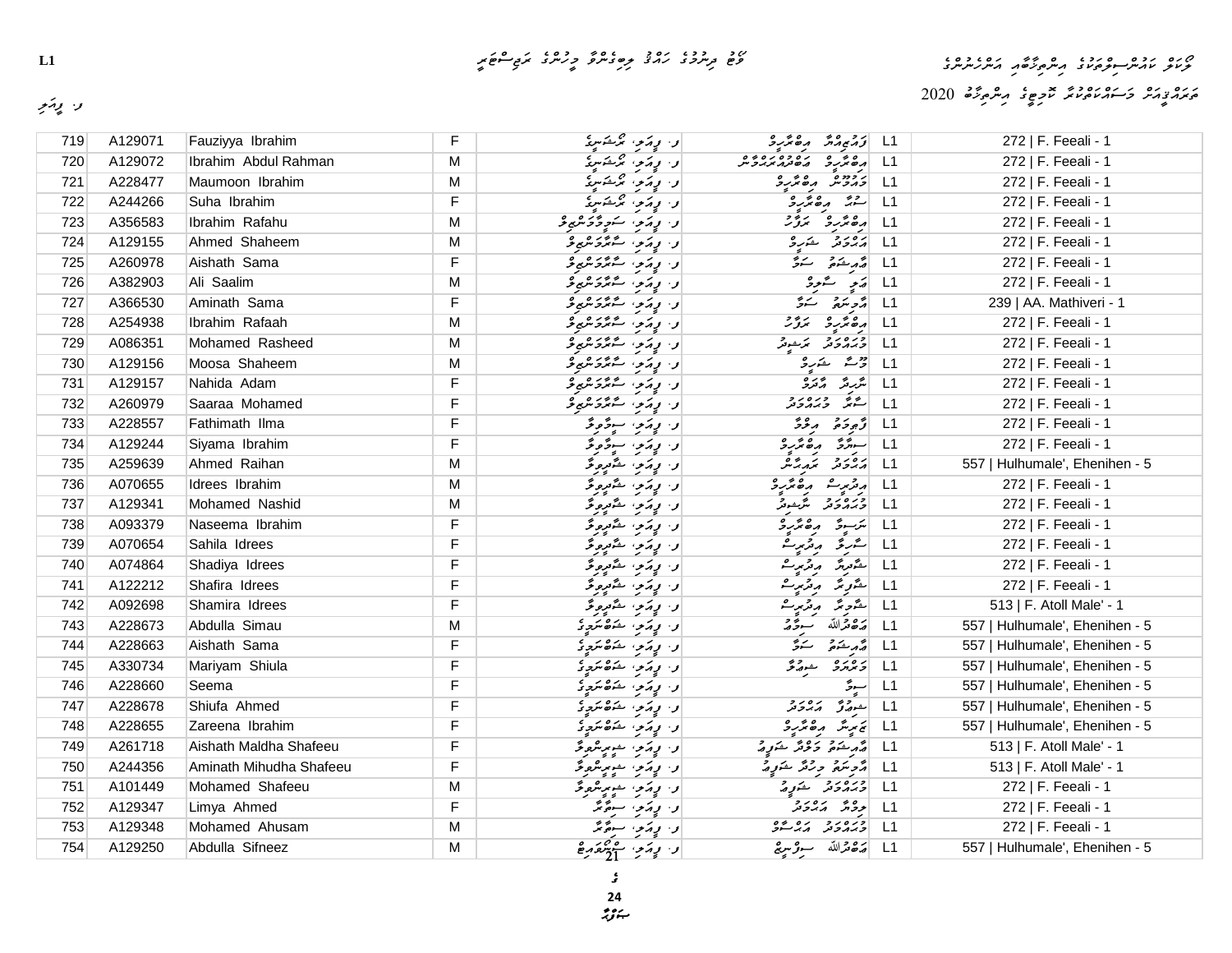*ޯކަލް ކައުންސިލްތަކުގެ އިންތިޚާބާއި އަންހެނުންގެ ވޯ ލ ތަރައްޤީއަށް މަސައްކަތްކުރާ ކޮމިޓީގެ އިންތިޚާބު 2020*

ى <sub>م</sub>ەتىر

| 719 | A129071 | Fauziyya Ibrahim        | F | والإمكوا المكشكين                    | $\begin{array}{cc} 0 & 0 & 0 & 0 & 0 \\ 0 & 0 & 0 & 0 & 0 \\ 0 & 0 & 0 & 0 & 0 \\ 0 & 0 & 0 & 0 & 0 \\ 0 & 0 & 0 & 0 & 0 \\ 0 & 0 & 0 & 0 & 0 \\ 0 & 0 & 0 & 0 & 0 \\ 0 & 0 & 0 & 0 & 0 \\ 0 & 0 & 0 & 0 & 0 \\ 0 & 0 & 0 & 0 & 0 \\ 0 & 0 & 0 & 0 & 0 \\ 0 & 0 & 0 & 0 & 0 & 0 \\ 0 & 0 & 0 & 0 & 0 & 0 \\ 0 & 0 & 0 & 0 &$ | L1                  | 272   F. Feeali - 1            |
|-----|---------|-------------------------|---|--------------------------------------|------------------------------------------------------------------------------------------------------------------------------------------------------------------------------------------------------------------------------------------------------------------------------------------------------------------------------|---------------------|--------------------------------|
| 720 | A129072 | Ibrahim Abdul Rahman    | M | اوا وٍمَوا مُمْشَمِّدَ               | ره وه ره ده و<br>پره تربر تر س<br>ە ھەترىر ۋ                                                                                                                                                                                                                                                                                 | L1                  | 272   F. Feeali - 1            |
| 721 | A228477 | Maumoon Ibrahim         | M | اوا وكموا لمحتضرة                    | בגרית גלילים                                                                                                                                                                                                                                                                                                                 | L1                  | 272   F. Feeali - 1            |
| 722 | A244266 | Suha Ibrahim            | F | اوا وٍمَوا مُمْشَمِّدَ               | سترش مرضمررو                                                                                                                                                                                                                                                                                                                 | L1                  | 272   F. Feeali - 1            |
| 723 | A356583 | Ibrahim Rafahu          | M | ن وِړَې ڪووگونگهو                    | دە ئەرە بەدر                                                                                                                                                                                                                                                                                                                 | L1                  | 272   F. Feeali - 1            |
| 724 | A129155 | Ahmed Shaheem           | M | و٠ وٍ دَمَو السَّمَرَةَ شَيْءَ       | رەر ئىرو                                                                                                                                                                                                                                                                                                                     | L1                  | 272   F. Feeali - 1            |
| 725 | A260978 | Aishath Sama            | F | والمحضرة والمتفرد شهافى              | ە ئەرسىنى كەشى                                                                                                                                                                                                                                                                                                               | $\lfloor 1 \rfloor$ | 272   F. Feeali - 1            |
| 726 | A382903 | Ali Saalim              | M | و٠ وٍدَى سَمَّرْدَسْءِ وَ            | L1 <i>حَبِّوٍ</i> سَ <i>بُودٌ</i>                                                                                                                                                                                                                                                                                            |                     | 272   F. Feeali - 1            |
| 727 | A366530 | Aminath Sama            | F | و٠ وٍدَى سَمَّرْدَشِي                | L1 أَمُرْحَسَمُ مَسَرَّ                                                                                                                                                                                                                                                                                                      |                     | 239   AA. Mathiveri - 1        |
| 728 | A254938 | Ibrahim Rafaah          | M | ر، روكر، سەئىرى ئىلى                 | أرە ئەر ئەر ئەر                                                                                                                                                                                                                                                                                                              | L1                  | 272   F. Feeali - 1            |
| 729 | A086351 | Mohamed Rasheed         | M | والمحضرة والمتفركة للمعالجة فخر      | ورەرو كەشەتر                                                                                                                                                                                                                                                                                                                 | L1                  | 272   F. Feeali - 1            |
| 730 | A129156 | Moosa Shaheem           | M | و ، وړکو، سگرگرگرگرگرگر              | رَّحْتُ شَرَرْ                                                                                                                                                                                                                                                                                                               | L1                  | 272   F. Feeali - 1            |
| 731 | A129157 | Nahida Adam             | F | وا وٍ پرَمُوا سُمَعَرَدَ عَرَيْدِ وَ | شررتر مرترده                                                                                                                                                                                                                                                                                                                 | L1                  | 272   F. Feeali - 1            |
| 732 | A260979 | Saaraa Mohamed          | F | و ، وٍ مَرَمٍ ، سَمَّتَرَدَسَّى وَ   | روبر دره دره<br>سنگر برگردبر                                                                                                                                                                                                                                                                                                 | L1                  | 272   F. Feeali - 1            |
| 733 | A228557 | Fathimath Ilma          | F | وا وٍړَی سودٌودٌ                     | ەربى<br>گە بەر ئە                                                                                                                                                                                                                                                                                                            | L1                  | 272   F. Feeali - 1            |
| 734 | A129244 | Siyama Ibrahim          | F | وا وړي جوگونگ                        | مەھترىرى<br>سىدىخە                                                                                                                                                                                                                                                                                                           | L1                  | 272   F. Feeali - 1            |
| 735 | A259639 | Ahmed Raihan            | M | و. وٍړَو، ڪُتوونگ                    | رەرد ئەرشى                                                                                                                                                                                                                                                                                                                   | L1                  | 557   Hulhumale', Ehenihen - 5 |
| 736 | A070655 | Idrees Ibrahim          | M | اور ومكور كمحيوه فخ                  | مترىر مەھرىر                                                                                                                                                                                                                                                                                                                 | L1                  | 272   F. Feeali - 1            |
| 737 | A129341 | Mohamed Nashid          | M | او ، وٍ پُرِمِ ، ڪَمَعِرونَگ         | ورەرو شىدۇر                                                                                                                                                                                                                                                                                                                  | L1                  | 272   F. Feeali - 1            |
| 738 | A093379 | Naseema Ibrahim         | F | او ، وٍ پُرِمِ ، ڪَمَعِرونَگ         | ترسوش مقتررة                                                                                                                                                                                                                                                                                                                 | L1                  | 272   F. Feeali - 1            |
| 739 | A070654 | Sahila Idrees           | F | او ، وٍ پُرِمِ ، ڪَمبرونَوَ          | استمبرقى الرفرموسة                                                                                                                                                                                                                                                                                                           | L1                  | 272   F. Feeali - 1            |
| 740 | A074864 | Shadiya Idrees          | F | اوا وٍ پرَمِ الشَّمْوِهِ فَل         | ڪورگر آروگرموٽ                                                                                                                                                                                                                                                                                                               | L1                  | 272   F. Feeali - 1            |
| 741 | A122212 | Shafira Idrees          | F | أوا وٍ وَرَمِ السُّمُوهِ مُحَ        | ڪويڙ مقرم ڪ                                                                                                                                                                                                                                                                                                                  | L1                  | 272   F. Feeali - 1            |
| 742 | A092698 | Shamira Idrees          | F | او، وٍیکو، ڪُموهِ گ                  | شَرْحر مَرْ مَرْمَر سَرْ                                                                                                                                                                                                                                                                                                     | L1                  | 513   F. Atoll Male' - 1       |
| 743 | A228673 | Abdulla Simau           | M | الأرا ومكرما المشكر والمحارج         | رەقمەللە سەۋە                                                                                                                                                                                                                                                                                                                | L1                  | 557   Hulhumale', Ehenihen - 5 |
| 744 | A228663 | Aishath Sama            | F | والمحمد ومكواني                      | ستریخ<br>ھ مر شدھ                                                                                                                                                                                                                                                                                                            | $\lfloor 1 \rfloor$ | 557   Hulhumale', Ehenihen - 5 |
| 745 | A330734 | Mariyam Shiula          | F | والمحمكم المتكافيرة                  | شەرگە گە<br>ے مرمر <i>ہ</i>                                                                                                                                                                                                                                                                                                  | L1                  | 557   Hulhumale', Ehenihen - 5 |
| 746 | A228660 | Seema                   | F | والمحمد والمتوضح للمجاني             | سەۋ                                                                                                                                                                                                                                                                                                                          | L1                  | 557   Hulhumale', Ehenihen - 5 |
| 747 | A228678 | Shiufa Ahmed            | F | والإركوا المتكاميرة                  | برورد<br>المشورقو                                                                                                                                                                                                                                                                                                            | L1                  | 557   Hulhumale', Ehenihen - 5 |
| 748 | A228655 | Zareena Ibrahim         | F | والإركوا الشقائرة                    | $\begin{array}{cc} \mathcal{L}_{\mathcal{A}}\mathcal{L}_{\mathcal{A}} & \mathcal{L}_{\mathcal{A}}\mathcal{L}_{\mathcal{A}} \end{array}$                                                                                                                                                                                      | L1                  | 557   Hulhumale', Ehenihen - 5 |
| 749 | A261718 | Aishath Maldha Shafeeu  | F | و- وٍړکو، ڪوپرنگونگ                  | أَمَّ مِنْ مَوَ وَحَرَّمَ شَوَرٍ مُ                                                                                                                                                                                                                                                                                          | L1                  | 513   F. Atoll Male' - 1       |
| 750 | A244356 | Aminath Mihudha Shafeeu | F | ن پېړنو، خپلپونکونگ                  | أأروبتهم ورفائه لمنور                                                                                                                                                                                                                                                                                                        | L1                  | 513   F. Atoll Male' - 1       |
| 751 | A101449 | Mohamed Shafeeu         | M | ن پېړنو، خوبرشونځ                    | ورەرو شۆپە                                                                                                                                                                                                                                                                                                                   | $\lfloor 1 \rfloor$ | 272   F. Feeali - 1            |
| 752 | A129347 | Limya Ahmed             | F | وا وٍمَنوا سَيَّعَمُ                 | ووثر يزورو                                                                                                                                                                                                                                                                                                                   | $\lfloor 1 \rfloor$ | 272   F. Feeali - 1            |
| 753 | A129348 | Mohamed Ahusam          | M | اوا وٍ مَرَوا سَنَجْتُرُ             |                                                                                                                                                                                                                                                                                                                              | L1                  | 272   F. Feeali - 1            |
| 754 | A129250 | Abdulla Sifneez         | M | و ويزو، جوهوهو                       | رَصْحَرْاللّه سورْمَبْع                                                                                                                                                                                                                                                                                                      | -L1                 | 557   Hulhumale', Ehenihen - 5 |

*ގެ* **24**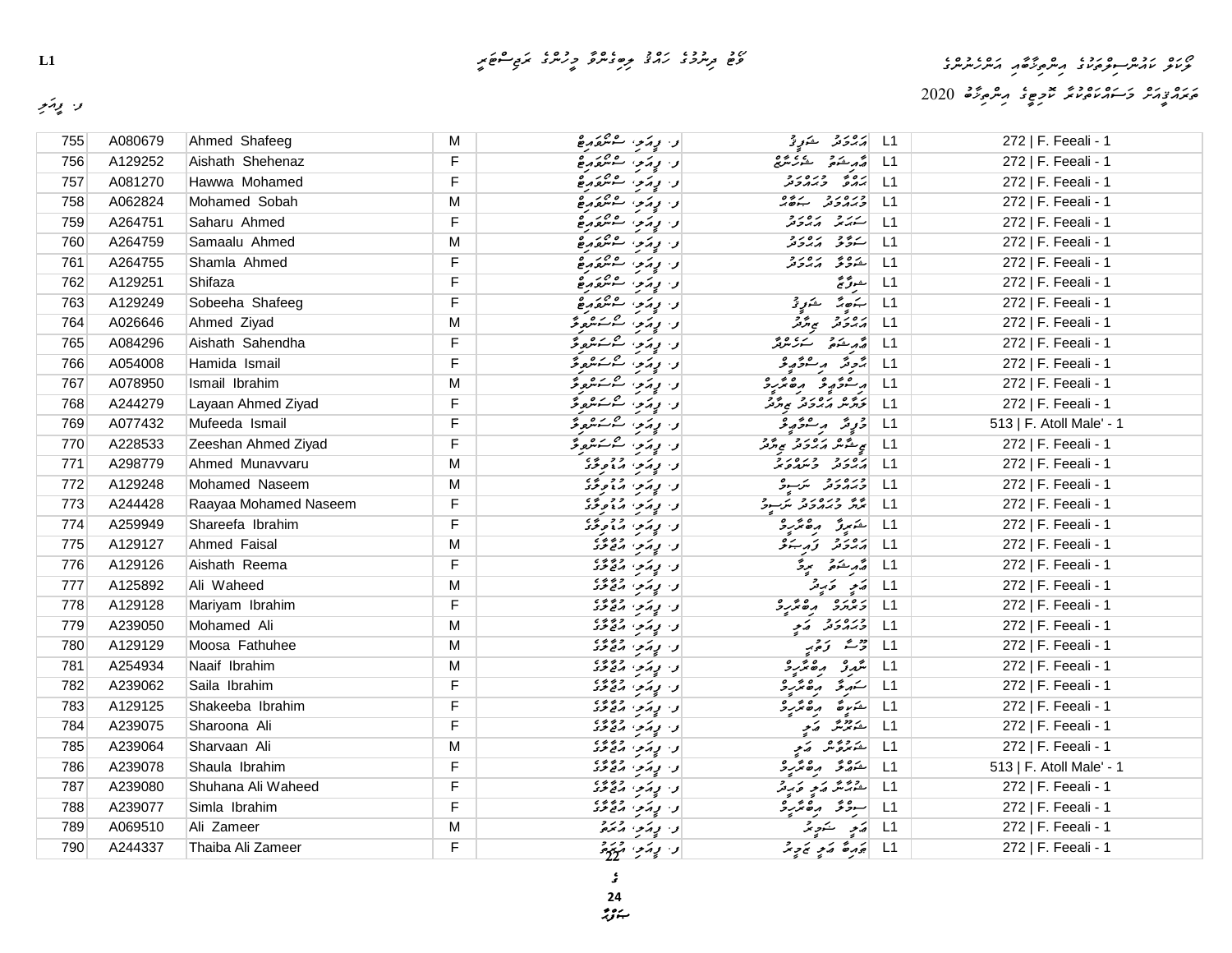*ޯކަލް ކައުންސިލްތަކުގެ އިންތިޚާބާއި އަންހެނުންގެ ވޯ ލ ތަރައްޤީއަށް މަސައްކަތްކުރާ ކޮމިޓީގެ އިންތިޚާބު 2020*

ى <sub>م</sub>ەتىر

| 755 | A080679 | Ahmed Shafeeg         | M            | ار. وٍمَرَ مشهورة                  | L1 <i>مەندى ھەبى</i> ق                          | 272   F. Feeali - 1      |
|-----|---------|-----------------------|--------------|------------------------------------|-------------------------------------------------|--------------------------|
| 756 | A129252 | Aishath Shehenaz      | F            | والمحمد والمحمدة                   | L1 <i>مەم ئىشمۇ</i> شى <i>ر ئىرى</i> گى         | 272   F. Feeali - 1      |
| 757 | A081270 | Hawwa Mohamed         | F            | ار، ومدَى ساعده وه                 | $32023$ $32$ $\sqrt{21}$ $\sqrt{21}$            | 272   F. Feeali - 1      |
| 758 | A062824 | Mohamed Sobah         | M            | ار ومكوا ساعده وهي                 | 28222012<br>L1                                  | 272   F. Feeali - 1      |
| 759 | A264751 | Saharu Ahmed          | $\mathsf{F}$ | والمحمد والمتعددة                  | ستهتر المرورو<br>L1                             | 272   F. Feeali - 1      |
| 760 | A264759 | Samaalu Ahmed         | M            | اور ومدافق المعقدة                 | سەۋىق ئەرەر ۋ<br>L1                             | 272   F. Feeali - 1      |
| 761 | A264755 | Shamla Ahmed          | F            | والمحمد والمحمدة                   | L1   شەۋى <i>ق مەدەن</i> ر                      | 272   F. Feeali - 1      |
| 762 | A129251 | Shifaza               | F            | والمحمد والمشكر وهي                | مشەرقىچ<br>L1                                   | 272   F. Feeali - 1      |
| 763 | A129249 | Sobeeha Shafeeg       | F            | والمحمد والمستقدم                  | L1 جنوب <sup>و</sup> شنونو                      | 272   F. Feeali - 1      |
| 764 | A026646 | Ahmed Ziyad           | M            | ادا ومكوا سك يكرها في              | L1 <i>مەندى تىمەم</i> تىر                       | 272   F. Feeali - 1      |
| 765 | A084296 | Aishath Sahendha      | F            | ار، وړی کے کارونگ                  | L1 مەم ئىكى ئىكەن ئىكرىنى <i>گە</i>             | 272   F. Feeali - 1      |
| 766 | A054008 | Hamida Ismail         | F            | ادا وكمردا سك يكرها في             | L1   بَرْوِمَرْ بِرِ سِرْوَبِهِ فِرْ            | 272   F. Feeali - 1      |
| 767 | A078950 | Ismail Ibrahim        | M            | الا إروكير، كەسكىلى ئ              | L1 رەۋرو رەم <i>زر</i> و                        | 272   F. Feeali - 1      |
| 768 | A244279 | Layaan Ahmed Ziyad    | $\mathsf{F}$ | ى بەيرى سىرىكىرى ئى                | L1   ئۇرگىر <i>مەدى مەيدى</i> ر                 | 272   F. Feeali - 1      |
| 769 | A077432 | Mufeeda Ismail        | $\mathsf F$  | اور ومكور كاسكس ومح                | L1  ۇرى <i>گە مەشۇم</i> ۇ                       | 513   F. Atoll Male' - 1 |
| 770 | A228533 | Zeeshan Ahmed Ziyad   | F            | اور ومزمز، سى سەھرى ئى             | L1   پی ش <i>گیل پر بر دگر</i> ہے <i>مرکز</i>   | 272   F. Feeali - 1      |
| 771 | A298779 | Ahmed Munavvaru       | M            | الأبوخوا فيقوفو                    | $22022$ $222$ $11$                              | 272   F. Feeali - 1      |
| 772 | A129248 | Mohamed Naseem        | M            | الأرابية كمريم والمحافظة           | L1 <i>وَبَهُمْ وَبَوْ</i> سَرَسِيوْ             | 272   F. Feeali - 1      |
| 773 | A244428 | Raayaa Mohamed Naseem | F            | الأرابية كمريم والمحافية والمحافية | L1   بَرْيَرُ وَبَرُودُو تَرَسُودُ              | 272   F. Feeali - 1      |
| 774 | A259949 | Shareefa Ibrahim      | F            | المستومنوس منقوفي                  | L1  شَمَعِي <i>نَ م</i> ِنْ مَعْرَبِهِ          | 272   F. Feeali - 1      |
| 775 | A129127 | Ahmed Faisal          | M            | اور ومكور مقومى                    | L1 <i>مەرى قەستى</i>                            | 272   F. Feeali - 1      |
| 776 | A129126 | Aishath Reema         | $\mathsf{F}$ | اوا وٍ مَرَمٍ، مَنْ فَرَى          | L1 مُدِينَة بِرِدًّ                             | 272   F. Feeali - 1      |
| 777 | A125892 | Ali Waheed            | M            | اوا وٍمَعٍ، مُقَعَّدَ              | L1   <i>مَ</i> وِ     مَرِيمٌ                   | 272   F. Feeali - 1      |
| 778 | A129128 | Mariyam Ibrahim       | F            | الاستجدي المقافرة                  | L1 <i>خ</i> مرر م <i>ەشرى</i>                   | 272   F. Feeali - 1      |
| 779 | A239050 | Mohamed Ali           | м            | الأبا ومكافر المتفاقرى             | L1 ديره ديو کمبو                                | 272   F. Feeali - 1      |
| 780 | A129129 | Moosa Fathuhee        | M            | ال الإمكن المقطوع                  | L1 دحمشہ ن <i>ی ڈ</i>                           | 272   F. Feeali - 1      |
| 781 | A254934 | Naaif Ibrahim         | M            | اور وٍمَرَمٍ، مُنْ وَءُ            | L1 سَمْدِرْ م <i>ەھْتَدى</i> رْ                 | 272   F. Feeali - 1      |
| 782 | A239062 | Saila Ibrahim         | $\mathsf F$  | اوا وٍمَعٍ، مُقَعَّدَ              | L1  سَمبِ وَمُقَدَّرِ وَمَعَدَّرِ وَ            | 272   F. Feeali - 1      |
| 783 | A129125 | Shakeeba Ibrahim      | F            | اور ومكور مقومى                    | L1 خَيْرِةُ مِ <b>صْ</b> تَرِدْ                 | 272   F. Feeali - 1      |
| 784 | A239075 | Sharoona Ali          | F            | اوا وٍمَوا مُقَوَّدَ               | L1   شەترىمىش كەمبر                             | 272   F. Feeali - 1      |
| 785 | A239064 | Sharvaan Ali          | M            | اور وٍمَرَمٍ، مَنْ وَرَّ           | L1 ينم <i>برقم شعر م</i>                        | 272   F. Feeali - 1      |
| 786 | A239078 | Shaula Ibrahim        | F            | اور ومكور مقومى                    |                                                 | 513   F. Atoll Male' - 1 |
| 787 | A239080 | Shuhana Ali Waheed    | F            | ار په پرې چې دې                    | L1   ڪَنَهُ شَرِّ ۾َ پِرِ قُرْ پِرِ             | 272   F. Feeali - 1      |
| 788 | A239077 | Simla Ibrahim         | F            | ار، وٍمَرَمٍ، مُقَرَّدَ            | L1   سوڤ م <i>ەنگ</i> رۇ                        | 272   F. Feeali - 1      |
| 789 | A069510 | Ali Zameer            | M            | اوسومنوا منعاه                     | L1 <i>حَدِّ سَوَيْر</i> َ                       | 272   F. Feeali - 1      |
| 790 | A244337 | Thaiba Ali Zameer     | F            | الاستجابة والمجيجة                 | L1 <i>أَوَّدَهُ مَرِّدٍ <sub>كَا</sub>حِ</i> رْ | 272   F. Feeali - 1      |

*ގެ* **24**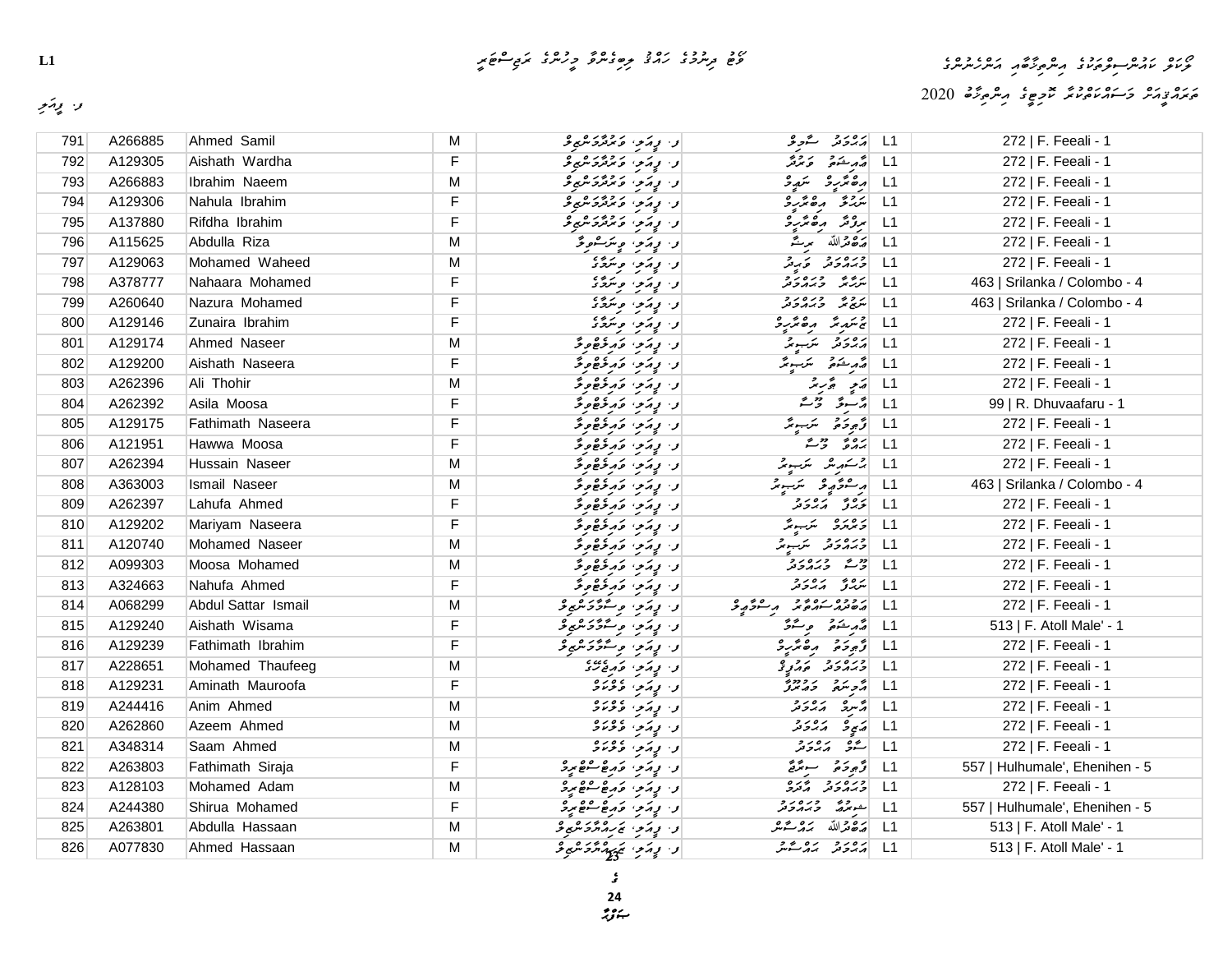<del>خرىكى ئام.ش بۇرى</del>ماي مىلزمەتھەر مىلزىكىلىك *2020 ބު ތިޚާ އިން ގެ ޓީ މި ކޮ ރާ ކު ތް ކަ އް ސަ މަ ށް އަ ޤީ އް ރަ ތަ*

و· *ومنو* 

**L1** 

| 791 | A266885 | Ahmed Samil          | M | والإرتجاء وترتزونكي وا                        | L1 <i>مَدْدَة سُّ</i> وءُ                                                                                                                                                                                                                                   | 272   F. Feeali - 1            |
|-----|---------|----------------------|---|-----------------------------------------------|-------------------------------------------------------------------------------------------------------------------------------------------------------------------------------------------------------------------------------------------------------------|--------------------------------|
| 792 | A129305 | Aishath Wardha       | F | و٠ وٍ ٦ وَ الله عَمْلاَةِ عَرْضَةً وَ اللَّهَ | ه دخته و دو<br>L1                                                                                                                                                                                                                                           | 272   F. Feeali - 1            |
| 793 | A266883 | Ibrahim Naeem        | м | والإركاح والمتفاوين                           | مەڭرىر سەر<br>L1                                                                                                                                                                                                                                            | 272   F. Feeali - 1            |
| 794 | A129306 | Nahula Ibrahim       | F | والمحمد والمتحدد والمعالج فليحمد              | أتركز مقتررة<br>L1                                                                                                                                                                                                                                          | 272   F. Feeali - 1            |
| 795 | A137880 | Rifdha Ibrahim       | F | والمحمد والمتحدد والمعالج فليحرج              | برزقر مەمزىر<br>L1                                                                                                                                                                                                                                          | 272   F. Feeali - 1            |
| 796 | A115625 | Abdulla Riza         | м | ادا وٍمَنْ وِسَ وَوَصَوتَهِ                   | 20 مرالله مرت <u></u><br>L1                                                                                                                                                                                                                                 | 272   F. Feeali - 1            |
| 797 | A129063 | Mohamed Waheed       | M | اوا وٍمَنوا وَمَعَدَّى                        | ورەرو كەبىر<br>L1                                                                                                                                                                                                                                           | 272   F. Feeali - 1            |
| 798 | A378777 | Nahaara Mohamed      | F | ادا وٍ مَرَوا وَسَمَّدًى                      | يزمر ورەرو<br>$\lfloor 1 \rfloor$                                                                                                                                                                                                                           | 463   Srilanka / Colombo - 4   |
| 799 | A260640 | Nazura Mohamed       | F | اوا وٍمَوا وَمَعَىٰ                           | يروثه وره دو<br>L1                                                                                                                                                                                                                                          | 463   Srilanka / Colombo - 4   |
| 800 | A129146 | Zunaira Ibrahim      | F | ادر ويزوا ويزده                               | $\begin{array}{cc} 0 & \stackrel{0}{\sim} & \stackrel{0}{\sim} & \stackrel{0}{\sim} & \stackrel{0}{\sim} & \stackrel{0}{\sim} & \stackrel{0}{\sim} & \stackrel{0}{\sim} & \stackrel{0}{\sim} & \stackrel{0}{\sim} & \stackrel{0}{\sim} & \end{array}$<br>L1 | 272   F. Feeali - 1            |
| 801 | A129174 | Ahmed Naseer         | м | اور وٍ رَمِ الله الله عليه و الله             | أرورو الكرسولمر<br>L1                                                                                                                                                                                                                                       | 272   F. Feeali - 1            |
| 802 | A129200 | Aishath Naseera      | F | اوس وكمام المالوقية والمحر                    | لأرشكش للرسولم<br>L1                                                                                                                                                                                                                                        | 272   F. Feeali - 1            |
| 803 | A262396 | Ali Thohir           | м | والإرتوا المركوع وتخ                          | L1   رَمِ پُرِسُ                                                                                                                                                                                                                                            | 272   F. Feeali - 1            |
| 804 | A262392 | Asila Moosa          | F | والمجامرة المكاركوهوا فخر                     | دستر وی<br>L1                                                                                                                                                                                                                                               | 99   R. Dhuvaafaru - 1         |
| 805 | A129175 | Fathimath Naseera    | F | والإرتوا المركوع وتخ                          | تۇپوخۇ سىببىگە<br>L1                                                                                                                                                                                                                                        | 272   F. Feeali - 1            |
| 806 | A121951 | Hawwa Moosa          | F | وسوري الممالوقي ومحرا                         | رەپ دوپ<br>L1                                                                                                                                                                                                                                               | 272   F. Feeali - 1            |
| 807 | A262394 | Hussain Naseer       | M | وسورتموا الممروكالحافر                        | الاسكامانكر الكرسونكر<br>L1                                                                                                                                                                                                                                 | 272   F. Feeali - 1            |
| 808 | A363003 | <b>Ismail Naseer</b> | М | والمحضر وترقيق وقر                            | أم سىر ئەر ئىكى ئىكى ئىككى ئىككى ئىككى ئىككى ئىككى ئىككى ئىككى ئىككى ئىككى ئىككى ئىككى ئىككى ئىككى ئى<br>$\mathsf{L}1$                                                                                                                                      | 463   Srilanka / Colombo - 4   |
| 809 | A262397 | Lahufa Ahmed         | F | اوسودي المكاديج وفخ                           | كوبرق كدرور<br>L1                                                                                                                                                                                                                                           | 272   F. Feeali - 1            |
| 810 | A129202 | Mariyam Naseera      | F | والمحضر وترقيق وقر                            | L1 دېزمرو تربېد                                                                                                                                                                                                                                             | 272   F. Feeali - 1            |
| 811 | A120740 | Mohamed Naseer       | M | والمحضض المتوقيق والخر                        | L1   <i>2225 مگرسوم</i> گر                                                                                                                                                                                                                                  | 272   F. Feeali - 1            |
| 812 | A099303 | Moosa Mohamed        | M | والإمكع المكروفي وقر                          | وه وره در<br>L1                                                                                                                                                                                                                                             | 272   F. Feeali - 1            |
| 813 | A324663 | Nahufa Ahmed         | F | والمحضر وترفيفوني                             | ترەۋ كەردى<br>L1                                                                                                                                                                                                                                            | 272   F. Feeali - 1            |
| 814 | A068299 | Abdul Sattar Ismail  | м | والمجامكي ومشوكة كمنعي فخر                    | 1990 מיט ביק<br>مەستۇمەي<br>$\lfloor 1 \rfloor$                                                                                                                                                                                                             | 272   F. Feeali - 1            |
| 815 | A129240 | Aishath Wisama       | F | والإرتموا وبنكم كالمحامي                      | ە ئەرىشقى ھەشق<br>L1                                                                                                                                                                                                                                        | 513   F. Atoll Male' - 1       |
| 816 | A129239 | Fathimath Ibrahim    | F | ادا وٍ مَنْ وَسَوَّوَسُ وَ                    | L1 زُودَهُ م <i>ەشترى</i> د                                                                                                                                                                                                                                 | 272   F. Feeali - 1            |
| 817 | A228651 | Mohamed Thaufeeg     | м | اور ويمنوا المعاملين                          | ورەرو رورو<br>L1                                                                                                                                                                                                                                            | 272   F. Feeali - 1            |
| 818 | A129231 | Aminath Mauroofa     | F | وا وٍ پَرَمٍ، الْمَحْرَمَ وَ                  | أشرح وجمعر<br>L1                                                                                                                                                                                                                                            | 272   F. Feeali - 1            |
| 819 | A244416 | Anim Ahmed           | м | اد په دوره د دوره                             | أراسره أرور و<br>L1                                                                                                                                                                                                                                         | 272   F. Feeali - 1            |
| 820 | A262860 | Azeem Ahmed          | M | وا وٍ مَرَى الْمَحْرَمَادُ                    | كدي و دورو<br>L1                                                                                                                                                                                                                                            | 272   F. Feeali - 1            |
| 821 | A348314 | Saam Ahmed           | M | والمحضر والمحتفظ                              | الشرق كدرور<br>L1                                                                                                                                                                                                                                           | 272   F. Feeali - 1            |
| 822 | A263803 | Fathimath Siraja     | F | والمحضر وكالمقاطع للمحافير                    | L1 <i>وُجوح</i> قو سو <i>مرَّة</i>                                                                                                                                                                                                                          | 557   Hulhumale', Ehenihen - 5 |
| 823 | A128103 | Mohamed Adam         | M | والإمكن المرافق المقامرة                      | כנסנב בנס<br>L1                                                                                                                                                                                                                                             | 272   F. Feeali - 1            |
| 824 | A244380 | Shirua Mohamed       | F | والإركاح ورقاحهم برد                          | دو وره در د<br>شوبرژ وبروتر<br>L1                                                                                                                                                                                                                           | 557   Hulhumale', Ehenihen - 5 |
| 825 | A263801 | Abdulla Hassaan      | М | ال ومكور كارومرد من و                         | رە قەللە بەر مەھر<br>L1                                                                                                                                                                                                                                     | 513   F. Atoll Male' - 1       |
| 826 | A077830 | Ahmed Hassaan        | М | ا د بومو، مهرمه مرد مره و                     | L1 <i>أَنْ بِرُوتُو بَدُوْتُ بِ</i> رُ                                                                                                                                                                                                                      | 513   F. Atoll Male' - 1       |

*ގެ 23*